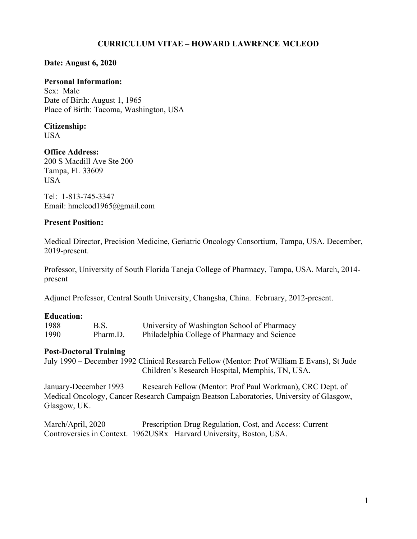# **CURRICULUM VITAE – HOWARD LAWRENCE MCLEOD**

### **Date: August 6, 2020**

#### **Personal Information:**

Sex: Male Date of Birth: August 1, 1965 Place of Birth: Tacoma, Washington, USA

# **Citizenship:**

USA

# **Office Address:**

200 S Macdill Ave Ste 200 Tampa, FL 33609 USA

Tel: 1-813-745-3347 Email: hmcleod1965@gmail.com

#### **Present Position:**

Medical Director, Precision Medicine, Geriatric Oncology Consortium, Tampa, USA. December, 2019-present.

Professor, University of South Florida Taneja College of Pharmacy, Tampa, USA. March, 2014 present

Adjunct Professor, Central South University, Changsha, China. February, 2012-present.

#### **Education:**

| 1988 | B.S.     | University of Washington School of Pharmacy  |
|------|----------|----------------------------------------------|
| 1990 | Pharm.D. | Philadelphia College of Pharmacy and Science |

#### **Post-Doctoral Training**

July 1990 – December 1992 Clinical Research Fellow (Mentor: Prof William E Evans), St Jude Children's Research Hospital, Memphis, TN, USA.

January-December 1993 Research Fellow (Mentor: Prof Paul Workman), CRC Dept. of Medical Oncology, Cancer Research Campaign Beatson Laboratories, University of Glasgow, Glasgow, UK.

March/April, 2020 Prescription Drug Regulation, Cost, and Access: Current Controversies in Context. 1962USRx Harvard University, Boston, USA.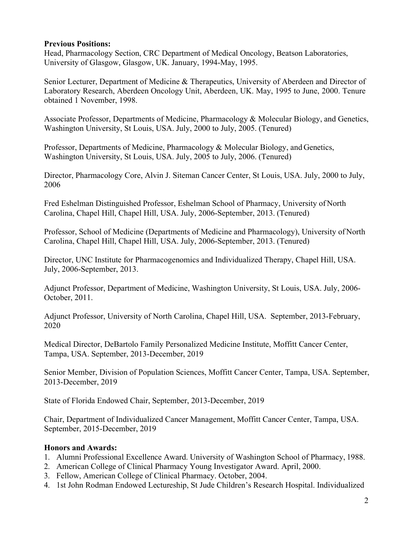## **Previous Positions:**

Head, Pharmacology Section, CRC Department of Medical Oncology, Beatson Laboratories, University of Glasgow, Glasgow, UK. January, 1994-May, 1995.

Senior Lecturer, Department of Medicine & Therapeutics, University of Aberdeen and Director of Laboratory Research, Aberdeen Oncology Unit, Aberdeen, UK. May, 1995 to June, 2000. Tenure obtained 1 November, 1998.

Associate Professor, Departments of Medicine, Pharmacology & Molecular Biology, and Genetics, Washington University, St Louis, USA. July, 2000 to July, 2005. (Tenured)

Professor, Departments of Medicine, Pharmacology & Molecular Biology, and Genetics, Washington University, St Louis, USA. July, 2005 to July, 2006. (Tenured)

Director, Pharmacology Core, Alvin J. Siteman Cancer Center, St Louis, USA. July, 2000 to July, 2006

Fred Eshelman Distinguished Professor, Eshelman School of Pharmacy, University of North Carolina, Chapel Hill, Chapel Hill, USA. July, 2006-September, 2013. (Tenured)

Professor, School of Medicine (Departments of Medicine and Pharmacology), University of North Carolina, Chapel Hill, Chapel Hill, USA. July, 2006-September, 2013. (Tenured)

Director, UNC Institute for Pharmacogenomics and Individualized Therapy, Chapel Hill, USA. July, 2006-September, 2013.

Adjunct Professor, Department of Medicine, Washington University, St Louis, USA. July, 2006- October, 2011.

Adjunct Professor, University of North Carolina, Chapel Hill, USA. September, 2013-February, 2020

Medical Director, DeBartolo Family Personalized Medicine Institute, Moffitt Cancer Center, Tampa, USA. September, 2013-December, 2019

Senior Member, Division of Population Sciences, Moffitt Cancer Center, Tampa, USA. September, 2013-December, 2019

State of Florida Endowed Chair, September, 2013-December, 2019

Chair, Department of Individualized Cancer Management, Moffitt Cancer Center, Tampa, USA. September, 2015-December, 2019

# **Honors and Awards:**

- 1. Alumni Professional Excellence Award. University of Washington School of Pharmacy, 1988.
- 2. American College of Clinical Pharmacy Young Investigator Award. April, 2000.
- 3. Fellow, American College of Clinical Pharmacy. October, 2004.
- 4. 1st John Rodman Endowed Lectureship, St Jude Children's Research Hospital. Individualized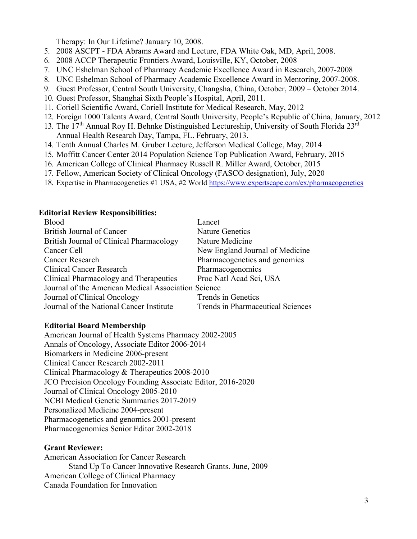Therapy: In Our Lifetime? January 10, 2008.

- 5. 2008 ASCPT FDA Abrams Award and Lecture, FDA White Oak, MD, April, 2008.
- 6. 2008 ACCP Therapeutic Frontiers Award, Louisville, KY, October, 2008
- 7. UNC Eshelman School of Pharmacy Academic Excellence Award in Research, 2007-2008
- 8. UNC Eshelman School of Pharmacy Academic Excellence Award in Mentoring, 2007-2008.
- 9. Guest Professor, Central South University, Changsha, China, October, 2009 October 2014.
- 10. Guest Professor, Shanghai Sixth People's Hospital, April, 2011.
- 11. Coriell Scientific Award, Coriell Institute for Medical Research, May, 2012
- 12. Foreign 1000 Talents Award, Central South University, People's Republic of China, January, 2012
- 13. The 17<sup>th</sup> Annual Roy H. Behnke Distinguished Lectureship, University of South Florida 23<sup>rd</sup> Annual Health Research Day, Tampa, FL. February, 2013.
- 14. Tenth Annual Charles M. Gruber Lecture, Jefferson Medical College, May, 2014
- 15. Moffitt Cancer Center 2014 Population Science Top Publication Award, February, 2015
- 16. American College of Clinical Pharmacy Russell R. Miller Award, October, 2015
- 17. Fellow, American Society of Clinical Oncology (FASCO designation), July, 2020
- 18. Expertise in Pharmacogenetics #1 USA, #2 World<https://www.expertscape.com/ex/pharmacogenetics>

#### **Editorial Review Responsibilities:**

| Blood                                               | Lancet                            |  |  |  |
|-----------------------------------------------------|-----------------------------------|--|--|--|
| <b>British Journal of Cancer</b>                    | <b>Nature Genetics</b>            |  |  |  |
| British Journal of Clinical Pharmacology            | Nature Medicine                   |  |  |  |
| Cancer Cell                                         | New England Journal of Medicine   |  |  |  |
| <b>Cancer Research</b>                              | Pharmacogenetics and genomics     |  |  |  |
| <b>Clinical Cancer Research</b>                     | Pharmacogenomics                  |  |  |  |
| Clinical Pharmacology and Therapeutics              | Proc Natl Acad Sci, USA           |  |  |  |
| Journal of the American Medical Association Science |                                   |  |  |  |
| Journal of Clinical Oncology                        | Trends in Genetics                |  |  |  |
| Journal of the National Cancer Institute            | Trends in Pharmaceutical Sciences |  |  |  |

#### **Editorial Board Membership**

American Journal of Health Systems Pharmacy 2002-2005 Annals of Oncology, Associate Editor 2006-2014 Biomarkers in Medicine 2006-present Clinical Cancer Research 2002-2011 Clinical Pharmacology & Therapeutics 2008-2010 JCO Precision Oncology Founding Associate Editor, 2016-2020 Journal of Clinical Oncology 2005-2010 NCBI Medical Genetic Summaries 2017-2019 Personalized Medicine 2004-present Pharmacogenetics and genomics 2001-present Pharmacogenomics Senior Editor 2002-2018

#### **Grant Reviewer:**

American Association for Cancer Research Stand Up To Cancer Innovative Research Grants. June, 2009 American College of Clinical Pharmacy Canada Foundation for Innovation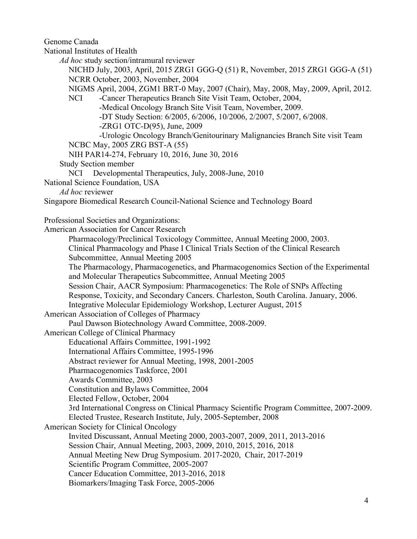Genome Canada

National Institutes of Health

*Ad hoc* study section/intramural reviewer

NICHD July, 2003, April, 2015 ZRG1 GGG-Q (51) R, November, 2015 ZRG1 GGG-A (51) NCRR October, 2003, November, 2004

NIGMS April, 2004, ZGM1 BRT-0 May, 2007 (Chair), May, 2008, May, 2009, April, 2012.

NCI -Cancer Therapeutics Branch Site Visit Team, October, 2004, -Medical Oncology Branch Site Visit Team, November, 2009.

-DT Study Section: 6/2005, 6/2006, 10/2006, 2/2007, 5/2007, 6/2008.

-ZRG1 OTC-D(95), June, 2009

-Urologic Oncology Branch/Genitourinary Malignancies Branch Site visit Team NCBC May, 2005 ZRG BST-A (55)

NIH PAR14-274, February 10, 2016, June 30, 2016

Study Section member

NCI Developmental Therapeutics, July, 2008-June, 2010

National Science Foundation, USA

*Ad hoc* reviewer

Singapore Biomedical Research Council-National Science and Technology Board

Professional Societies and Organizations:

American Association for Cancer Research

Pharmacology/Preclinical Toxicology Committee, Annual Meeting 2000, 2003.

Clinical Pharmacology and Phase I Clinical Trials Section of the Clinical Research

Subcommittee, Annual Meeting 2005

The Pharmacology, Pharmacogenetics, and Pharmacogenomics Section of the Experimental and Molecular Therapeutics Subcommittee, Annual Meeting 2005

Session Chair, AACR Symposium: Pharmacogenetics: The Role of SNPs Affecting

Response, Toxicity, and Secondary Cancers. Charleston, South Carolina. January, 2006.

Integrative Molecular Epidemiology Workshop, Lecturer August, 2015

American Association of Colleges of Pharmacy

Paul Dawson Biotechnology Award Committee, 2008-2009.

American College of Clinical Pharmacy

Educational Affairs Committee, 1991-1992

International Affairs Committee, 1995-1996

Abstract reviewer for Annual Meeting, 1998, 2001-2005

Pharmacogenomics Taskforce, 2001

Awards Committee, 2003

Constitution and Bylaws Committee, 2004

Elected Fellow, October, 2004

3rd International Congress on Clinical Pharmacy Scientific Program Committee, 2007-2009.

Elected Trustee, Research Institute, July, 2005-September, 2008

American Society for Clinical Oncology

Invited Discussant, Annual Meeting 2000, 2003-2007, 2009, 2011, 2013-2016

Session Chair, Annual Meeting, 2003, 2009, 2010, 2015, 2016, 2018

Annual Meeting New Drug Symposium. 2017-2020, Chair, 2017-2019

Scientific Program Committee, 2005-2007

Cancer Education Committee, 2013-2016, 2018

Biomarkers/Imaging Task Force, 2005-2006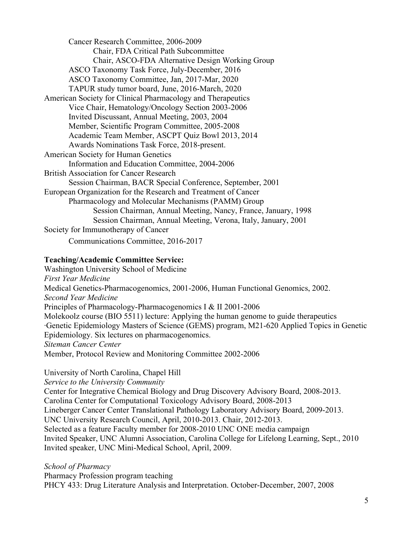Cancer Research Committee, 2006-2009 Chair, FDA Critical Path Subcommittee Chair, ASCO-FDA Alternative Design Working Group ASCO Taxonomy Task Force, July-December, 2016 ASCO Taxonomy Committee, Jan, 2017-Mar, 2020 TAPUR study tumor board, June, 2016-March, 2020 American Society for Clinical Pharmacology and Therapeutics Vice Chair, Hematology/Oncology Section 2003-2006 Invited Discussant, Annual Meeting, 2003, 2004 Member, Scientific Program Committee, 2005-2008 Academic Team Member, ASCPT Quiz Bowl 2013, 2014 Awards Nominations Task Force, 2018-present. American Society for Human Genetics Information and Education Committee, 2004-2006 British Association for Cancer Research Session Chairman, BACR Special Conference, September, 2001 European Organization for the Research and Treatment of Cancer Pharmacology and Molecular Mechanisms (PAMM) Group Session Chairman, Annual Meeting, Nancy, France, January, 1998 Session Chairman, Annual Meeting, Verona, Italy, January, 2001 Society for Immunotherapy of Cancer Communications Committee, 2016-2017

## **Teaching/Academic Committee Service:**

Washington University School of Medicine *First Year Medicine* Medical Genetics-Pharmacogenomics, 2001-2006, Human Functional Genomics, 2002. *Second Year Medicine* Principles of Pharmacology-Pharmacogenomics I & II 2001-2006 Molekoolz course (BIO 5511) lecture: Applying the human genome to guide therapeutics ∙Genetic Epidemiology Masters of Science (GEMS) program, M21-620 Applied Topics in Genetic Epidemiology. Six lectures on pharmacogenomics. *Siteman Cancer Center* Member, Protocol Review and Monitoring Committee 2002-2006

#### University of North Carolina, Chapel Hill

*Service to the University Community*

Center for Integrative Chemical Biology and Drug Discovery Advisory Board, 2008-2013. Carolina Center for Computational Toxicology Advisory Board, 2008-2013 Lineberger Cancer Center Translational Pathology Laboratory Advisory Board, 2009-2013. UNC University Research Council, April, 2010-2013. Chair, 2012-2013. Selected as a feature Faculty member for 2008-2010 UNC ONE media campaign Invited Speaker, UNC Alumni Association, Carolina College for Lifelong Learning, Sept., 2010 Invited speaker, UNC Mini-Medical School, April, 2009.

*School of Pharmacy*

Pharmacy Profession program teaching PHCY 433: Drug Literature Analysis and Interpretation. October-December, 2007, 2008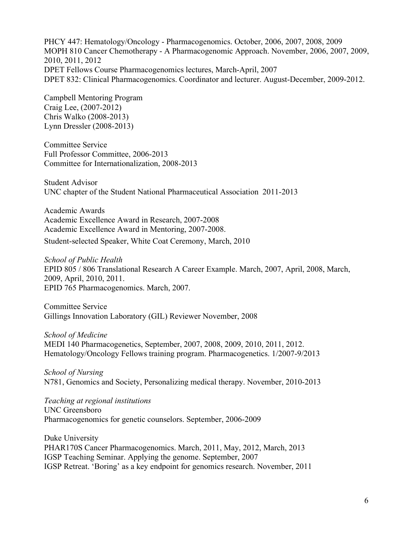PHCY 447: Hematology/Oncology - Pharmacogenomics. October, 2006, 2007, 2008, 2009 MOPH 810 Cancer Chemotherapy - A Pharmacogenomic Approach. November, 2006, 2007, 2009, 2010, 2011, 2012 DPET Fellows Course Pharmacogenomics lectures, March-April, 2007 DPET 832: Clinical Pharmacogenomics. Coordinator and lecturer. August-December, 2009-2012.

Campbell Mentoring Program Craig Lee, (2007-2012) Chris Walko (2008-2013) Lynn Dressler (2008-2013)

Committee Service Full Professor Committee, 2006-2013 Committee for Internationalization, 2008-2013

Student Advisor UNC chapter of the Student National Pharmaceutical Association 2011-2013

Academic Awards Academic Excellence Award in Research, 2007-2008 Academic Excellence Award in Mentoring, 2007-2008. Student-selected Speaker, White Coat Ceremony, March, 2010

*School of Public Health* EPID 805 / 806 Translational Research A Career Example. March, 2007, April, 2008, March, 2009, April, 2010, 2011. EPID 765 Pharmacogenomics. March, 2007.

Committee Service Gillings Innovation Laboratory (GIL) Reviewer November, 2008

*School of Medicine* MEDI 140 Pharmacogenetics, September, 2007, 2008, 2009, 2010, 2011, 2012. Hematology/Oncology Fellows training program. Pharmacogenetics. 1/2007-9/2013

*School of Nursing* N781, Genomics and Society, Personalizing medical therapy. November, 2010-2013

*Teaching at regional institutions* UNC Greensboro Pharmacogenomics for genetic counselors. September, 2006-2009

Duke University PHAR170S Cancer Pharmacogenomics. March, 2011, May, 2012, March, 2013 IGSP Teaching Seminar. Applying the genome. September, 2007 IGSP Retreat. 'Boring' as a key endpoint for genomics research. November, 2011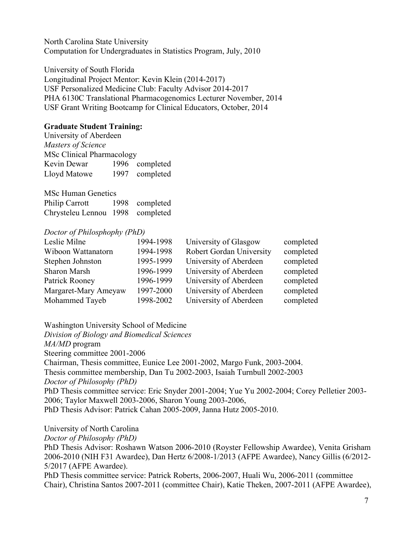North Carolina State University Computation for Undergraduates in Statistics Program, July, 2010

University of South Florida Longitudinal Project Mentor: Kevin Klein (2014-2017) USF Personalized Medicine Club: Faculty Advisor 2014-2017 PHA 6130C Translational Pharmacogenomics Lecturer November, 2014 USF Grant Writing Bootcamp for Clinical Educators, October, 2014

### **Graduate Student Training:**

University of Aberdeen *Masters of Science* MSc Clinical Pharmacology Kevin Dewar 1996 completed Lloyd Matowe 1997 completed

MSc Human Genetics Philip Carrott 1998 completed Chrysteleu Lennou 1998 completed

#### *Doctor of Philosphophy (PhD)*

| Leslie Milne         | 1994-1998 | University of Glasgow           | completed |
|----------------------|-----------|---------------------------------|-----------|
| Wiboon Wattanatorn   | 1994-1998 | <b>Robert Gordan University</b> | completed |
| Stephen Johnston     | 1995-1999 | University of Aberdeen          | completed |
| Sharon Marsh         | 1996-1999 | University of Aberdeen          | completed |
| Patrick Rooney       | 1996-1999 | University of Aberdeen          | completed |
| Margaret-Mary Ameyaw | 1997-2000 | University of Aberdeen          | completed |
| Mohammed Tayeb       | 1998-2002 | University of Aberdeen          | completed |

Washington University School of Medicine

*Division of Biology and Biomedical Sciences MA/MD* program Steering committee 2001-2006 Chairman, Thesis committee, Eunice Lee 2001-2002, Margo Funk, 2003-2004. Thesis committee membership, Dan Tu 2002-2003, Isaiah Turnbull 2002-2003 *Doctor of Philosophy (PhD)* PhD Thesis committee service: Eric Snyder 2001-2004; Yue Yu 2002-2004; Corey Pelletier 2003- 2006; Taylor Maxwell 2003-2006, Sharon Young 2003-2006, PhD Thesis Advisor: Patrick Cahan 2005-2009, Janna Hutz 2005-2010.

University of North Carolina

*Doctor of Philosophy (PhD)*

PhD Thesis Advisor: Roshawn Watson 2006-2010 (Royster Fellowship Awardee), Venita Grisham 2006-2010 (NIH F31 Awardee), Dan Hertz 6/2008-1/2013 (AFPE Awardee), Nancy Gillis (6/2012- 5/2017 (AFPE Awardee).

PhD Thesis committee service: Patrick Roberts, 2006-2007, Huali Wu, 2006-2011 (committee Chair), Christina Santos 2007-2011 (committee Chair), Katie Theken, 2007-2011 (AFPE Awardee),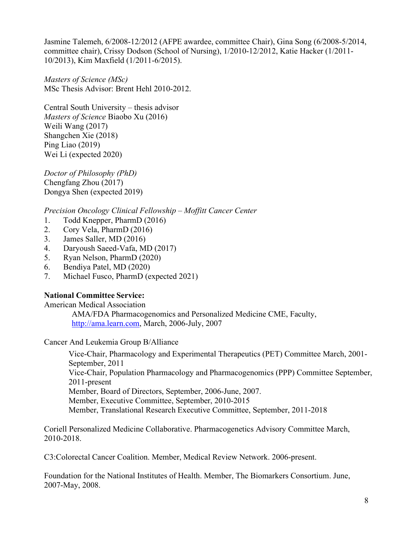Jasmine Talemeh, 6/2008-12/2012 (AFPE awardee, committee Chair), Gina Song (6/2008-5/2014, committee chair), Crissy Dodson (School of Nursing), 1/2010-12/2012, Katie Hacker (1/2011- 10/2013), Kim Maxfield (1/2011-6/2015).

*Masters of Science (MSc)* MSc Thesis Advisor: Brent Hehl 2010-2012.

Central South University – thesis advisor *Masters of Science* Biaobo Xu (2016) Weili Wang (2017) Shangchen Xie (2018) Ping Liao (2019) Wei Li (expected 2020)

*Doctor of Philosophy (PhD)*  Chengfang Zhou (2017) Dongya Shen (expected 2019)

*Precision Oncology Clinical Fellowship – Moffitt Cancer Center*

- 1. Todd Knepper, PharmD (2016)
- 2. Cory Vela, PharmD (2016)
- 3. James Saller, MD (2016)
- 4. Daryoush Saeed-Vafa, MD (2017)
- 5. Ryan Nelson, PharmD (2020)
- 6. Bendiya Patel, MD (2020)
- 7. Michael Fusco, PharmD (expected 2021)

# **National Committee Service:**

American Medical Association

AMA/FDA Pharmacogenomics and Personalized Medicine CME, Faculty, [http://ama.learn.com,](http://ama.learn.com/) March, 2006-July, 2007

Cancer And Leukemia Group B/Alliance

Vice-Chair, Pharmacology and Experimental Therapeutics (PET) Committee March, 2001- September, 2011 Vice-Chair, Population Pharmacology and Pharmacogenomics (PPP) Committee September, 2011-present Member, Board of Directors, September, 2006-June, 2007. Member, Executive Committee, September, 2010-2015 Member, Translational Research Executive Committee, September, 2011-2018

Coriell Personalized Medicine Collaborative. Pharmacogenetics Advisory Committee March, 2010-2018.

C3:Colorectal Cancer Coalition. Member, Medical Review Network. 2006-present.

Foundation for the National Institutes of Health. Member, The Biomarkers Consortium. June, 2007-May, 2008.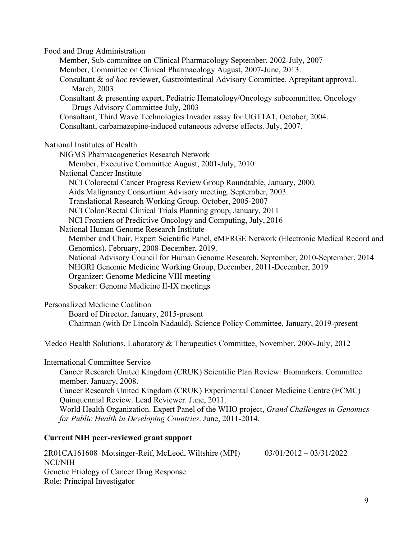Food and Drug Administration

Member, Sub-committee on Clinical Pharmacology September, 2002-July, 2007 Member, Committee on Clinical Pharmacology August, 2007-June, 2013.

Consultant & *ad hoc* reviewer, Gastrointestinal Advisory Committee. Aprepitant approval. March, 2003

Consultant & presenting expert, Pediatric Hematology/Oncology subcommittee, Oncology Drugs Advisory Committee July, 2003

Consultant, Third Wave Technologies Invader assay for UGT1A1, October, 2004.

Consultant, carbamazepine-induced cutaneous adverse effects. July, 2007.

National Institutes of Health

NIGMS Pharmacogenetics Research Network Member, Executive Committee August, 2001-July, 2010 National Cancer Institute NCI Colorectal Cancer Progress Review Group Roundtable, January, 2000. Aids Malignancy Consortium Advisory meeting. September, 2003. Translational Research Working Group. October, 2005-2007 NCI Colon/Rectal Clinical Trials Planning group, January, 2011 NCI Frontiers of Predictive Oncology and Computing, July, 2016 National Human Genome Research Institute Member and Chair, Expert Scientific Panel, eMERGE Network (Electronic Medical Record and Genomics). February, 2008-December, 2019. National Advisory Council for Human Genome Research, September, 2010-September, 2014 NHGRI Genomic Medicine Working Group, December, 2011-December, 2019 Organizer: Genome Medicine VIII meeting Speaker: Genome Medicine II-IX meetings

Personalized Medicine Coalition

Board of Director, January, 2015-present Chairman (with Dr Lincoln Nadauld), Science Policy Committee, January, 2019-present

Medco Health Solutions, Laboratory & Therapeutics Committee, November, 2006-July, 2012

International Committee Service

Cancer Research United Kingdom (CRUK) Scientific Plan Review: Biomarkers. Committee member. January, 2008.

Cancer Research United Kingdom (CRUK) Experimental Cancer Medicine Centre (ECMC) Quinquennial Review. Lead Reviewer. June, 2011.

World Health Organization. Expert Panel of the WHO project, *Grand Challenges in Genomics for Public Health in Developing Countries*. June, 2011-2014.

# **Current NIH peer-reviewed grant support**

2R01CA161608 Motsinger-Reif, McLeod, Wiltshire (MPI) 03/01/2012 – 03/31/2022 NCI/NIH Genetic Etiology of Cancer Drug Response Role: Principal Investigator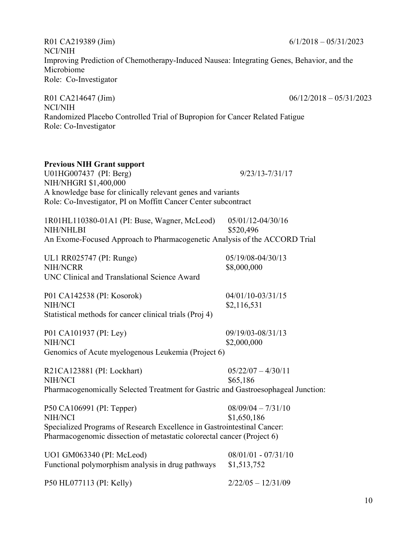R01 CA219389 (Jim) 6/1/2018 – 05/31/2023 NCI/NIH Improving Prediction of Chemotherapy-Induced Nausea: Integrating Genes, Behavior, and the Microbiome Role: Co-Investigator

R01 CA214647 (Jim) 06/12/2018 – 05/31/2023 NCI/NIH Randomized Placebo Controlled Trial of Bupropion for Cancer Related Fatigue Role: Co-Investigator

| $9/23/13 - 7/31/17$                                                               |
|-----------------------------------------------------------------------------------|
|                                                                                   |
|                                                                                   |
| A knowledge base for clinically relevant genes and variants                       |
| Role: Co-Investigator, PI on Moffitt Cancer Center subcontract                    |
|                                                                                   |
| 05/01/12-04/30/16                                                                 |
| \$520,496                                                                         |
| An Exome-Focused Approach to Pharmacogenetic Analysis of the ACCORD Trial         |
| 05/19/08-04/30/13                                                                 |
| \$8,000,000                                                                       |
|                                                                                   |
| 04/01/10-03/31/15                                                                 |
| \$2,116,531                                                                       |
|                                                                                   |
| 09/19/03-08/31/13                                                                 |
| \$2,000,000                                                                       |
|                                                                                   |
| $05/22/07 - 4/30/11$                                                              |
| \$65,186                                                                          |
| Pharmacogenomically Selected Treatment for Gastric and Gastroesophageal Junction: |
| $08/09/04 - 7/31/10$                                                              |
| \$1,650,186                                                                       |
| Specialized Programs of Research Excellence in Gastrointestinal Cancer:           |
| Pharmacogenomic dissection of metastatic colorectal cancer (Project 6)            |
|                                                                                   |
| $08/01/01 - 07/31/10$                                                             |
| \$1,513,752                                                                       |
|                                                                                   |

10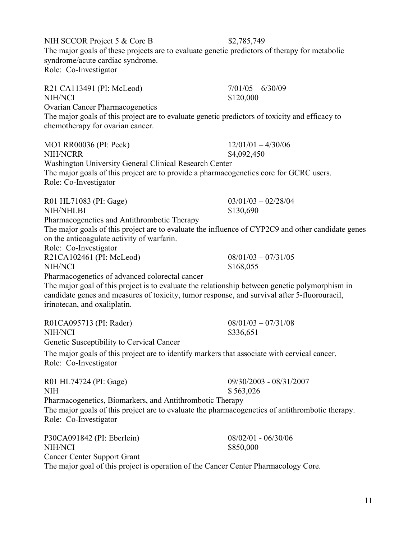Role: Co-Investigator R21 CA113491 (PI: McLeod) 7/01/05 – 6/30/09 NIH/NCI \$120,000 Ovarian Cancer Pharmacogenetics The major goals of this project are to evaluate genetic predictors of toxicity and efficacy to chemotherapy for ovarian cancer. MO1 RR00036 (PI: Peck) 12/01/01 – 4/30/06 NIH/NCRR \$4,092,450 Washington University General Clinical Research Center The major goals of this project are to provide a pharmacogenetics core for GCRC users. Role: Co-Investigator R01 HL71083 (PI: Gage) 03/01/03 – 02/28/04 NIH/NHLBI \$130,690 Pharmacogenetics and Antithrombotic Therapy on the anticoagulate activity of warfarin. Role: Co-Investigator R21CA102461 (PI: McLeod) 08/01/03 – 07/31/05 NIH/NCI \$168,055 Pharmacogenetics of advanced colorectal cancer The major goal of this project is to evaluate the relationship between genetic polymorphism in candidate genes and measures of toxicity, tumor response, and survival after 5-fluorouracil, irinotecan, and oxaliplatin. R01CA095713 (PI: Rader) 08/01/03 – 07/31/08 NIH/NCI \$336,651 Genetic Susceptibility to Cervical Cancer The major goals of this project are to identify markers that associate with cervical cancer. Role: Co-Investigator R01 HL74724 (PI: Gage) 09/30/2003 - 08/31/2007 NIH \$ 563,026 Pharmacogenetics, Biomarkers, and Antithrombotic Therapy The major goals of this project are to evaluate the pharmacogenetics of antithrombotic therapy. Role: Co-Investigator P30CA091842 (PI: Eberlein) 08/02/01 - 06/30/06 NIH/NCI \$850,000 Cancer Center Support Grant The major goal of this project is operation of the Cancer Center Pharmacology Core.

NIH SCCOR Project 5 & Core B \$2,785,749

The major goals of these projects are to evaluate genetic predictors of therapy for metabolic syndrome/acute cardiac syndrome.

The major goals of this project are to evaluate the influence of CYP2C9 and other candidate genes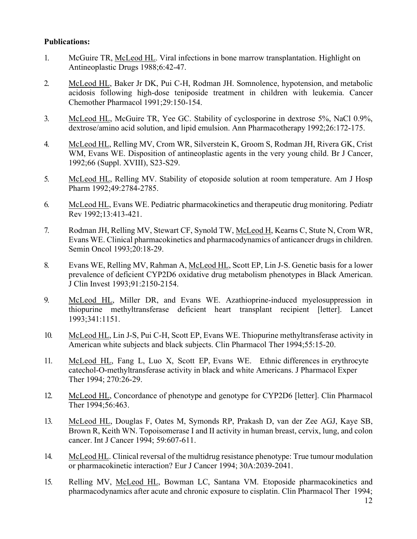# **Publications:**

- 1. McGuire TR, McLeod HL. Viral infections in bone marrow transplantation. Highlight on Antineoplastic Drugs 1988;6:42-47.
- 2. McLeod HL, Baker Jr DK, Pui C-H, Rodman JH. Somnolence, hypotension, and metabolic acidosis following high-dose teniposide treatment in children with leukemia. Cancer Chemother Pharmacol 1991;29:150-154.
- 3. McLeod HL, McGuire TR, Yee GC. Stability of cyclosporine in dextrose 5%, NaCl 0.9%, dextrose/amino acid solution, and lipid emulsion. Ann Pharmacotherapy 1992;26:172-175.
- 4. McLeod HL, Relling MV, Crom WR, Silverstein K, Groom S, Rodman JH, Rivera GK, Crist WM, Evans WE. Disposition of antineoplastic agents in the very young child. Br J Cancer, 1992;66 (Suppl. XVIII), S23-S29.
- 5. McLeod HL, Relling MV. Stability of etoposide solution at room temperature. Am J Hosp Pharm 1992;49:2784-2785.
- 6. McLeod HL, Evans WE. Pediatric pharmacokinetics and therapeutic drug monitoring. Pediatr Rev 1992;13:413-421.
- 7. Rodman JH, Relling MV, Stewart CF, Synold TW, McLeod H, Kearns C, Stute N, Crom WR, Evans WE. Clinical pharmacokinetics and pharmacodynamics of anticancer drugs in children. Semin Oncol 1993;20:18-29.
- 8. Evans WE, Relling MV, Rahman A, McLeod HL, Scott EP, Lin J-S. Genetic basis for a lower prevalence of deficient CYP2D6 oxidative drug metabolism phenotypes in Black American. J Clin Invest 1993;91:2150-2154.
- 9. McLeod HL, Miller DR, and Evans WE. Azathioprine-induced myelosuppression in thiopurine methyltransferase deficient heart transplant recipient [letter]. Lancet 1993;341:1151.
- 10. McLeod HL, Lin J-S, Pui C-H, Scott EP, Evans WE. Thiopurine methyltransferase activity in American white subjects and black subjects. Clin Pharmacol Ther 1994;55:15-20.
- 11. McLeod HL, Fang L, Luo X, Scott EP, Evans WE. Ethnic differences in erythrocyte catechol-O-methyltransferase activity in black and white Americans. J Pharmacol Exper Ther 1994; 270:26-29.
- 12. McLeod HL, Concordance of phenotype and genotype for CYP2D6 [letter]. Clin Pharmacol Ther 1994;56:463.
- 13. McLeod HL, Douglas F, Oates M, Symonds RP, Prakash D, van der Zee AGJ, Kaye SB, Brown R, Keith WN. Topoisomerase I and II activity in human breast, cervix, lung, and colon cancer. Int J Cancer 1994; 59:607-611.
- 14. McLeod HL. Clinical reversal of the multidrug resistance phenotype: True tumour modulation or pharmacokinetic interaction? Eur J Cancer 1994; 30A:2039-2041.
- 15. Relling MV, McLeod HL, Bowman LC, Santana VM. Etoposide pharmacokinetics and pharmacodynamics after acute and chronic exposure to cisplatin. Clin Pharmacol Ther 1994;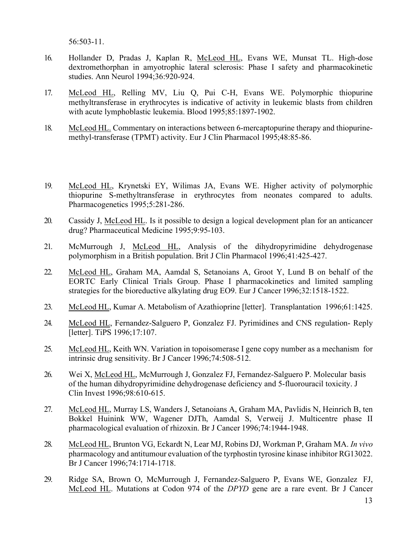56:503-11.

- 16. Hollander D, Pradas J, Kaplan R, McLeod HL, Evans WE, Munsat TL. High-dose dextromethorphan in amyotrophic lateral sclerosis: Phase I safety and pharmacokinetic studies. Ann Neurol 1994;36:920-924.
- 17. McLeod HL, Relling MV, Liu Q, Pui C-H, Evans WE. Polymorphic thiopurine methyltransferase in erythrocytes is indicative of activity in leukemic blasts from children with acute lymphoblastic leukemia. Blood 1995;85:1897-1902.
- 18. McLeod HL. Commentary on interactions between 6-mercaptopurine therapy and thiopurinemethyl-transferase (TPMT) activity. Eur J Clin Pharmacol 1995;48:85-86.
- 19. McLeod HL, Krynetski EY, Wilimas JA, Evans WE. Higher activity of polymorphic thiopurine S-methyltransferase in erythrocytes from neonates compared to adults. Pharmacogenetics 1995;5:281-286.
- 20. Cassidy J, McLeod HL. Is it possible to design a logical development plan for an anticancer drug? Pharmaceutical Medicine 1995;9:95-103.
- 21. McMurrough J, McLeod HL, Analysis of the dihydropyrimidine dehydrogenase polymorphism in a British population. Brit J Clin Pharmacol 1996;41:425-427.
- 22. McLeod HL, Graham MA, Aamdal S, Setanoians A, Groot Y, Lund B on behalf of the EORTC Early Clinical Trials Group. Phase I pharmacokinetics and limited sampling strategies for the bioreductive alkylating drug EO9. Eur J Cancer 1996;32:1518-1522.
- 23. McLeod HL, Kumar A. Metabolism of Azathioprine [letter]. Transplantation 1996;61:1425.
- 24. McLeod HL, Fernandez-Salguero P, Gonzalez FJ. Pyrimidines and CNS regulation- Reply [letter]. TiPS 1996;17:107.
- 25. McLeod HL, Keith WN. Variation in topoisomerase I gene copy number as a mechanism for intrinsic drug sensitivity. Br J Cancer 1996;74:508-512.
- 26. Wei X, McLeod HL, McMurrough J, Gonzalez FJ, Fernandez-Salguero P. Molecular basis of the human dihydropyrimidine dehydrogenase deficiency and 5-fluorouracil toxicity. J Clin Invest 1996;98:610-615.
- 27. McLeod HL, Murray LS, Wanders J, Setanoians A, Graham MA, Pavlidis N, Heinrich B, ten Bokkel Huinink WW, Wagener DJTh, Aamdal S, Verweij J. Multicentre phase II pharmacological evaluation of rhizoxin. Br J Cancer 1996;74:1944-1948.
- 28. McLeod HL, Brunton VG, Eckardt N, Lear MJ, Robins DJ, Workman P, Graham MA. *In vivo*  pharmacology and antitumour evaluation of the tyrphostin tyrosine kinase inhibitor RG13022. Br J Cancer 1996;74:1714-1718.
- 29. Ridge SA, Brown O, McMurrough J, Fernandez-Salguero P, Evans WE, Gonzalez FJ, McLeod HL. Mutations at Codon 974 of the *DPYD* gene are a rare event. Br J Cancer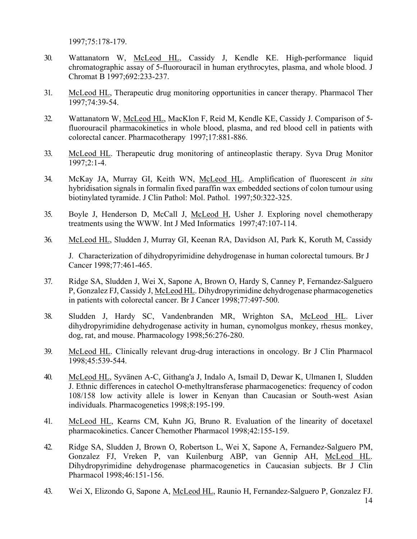1997;75:178-179.

- 30. Wattanatorn W, McLeod HL, Cassidy J, Kendle KE. High-performance liquid chromatographic assay of 5-fluorouracil in human erythrocytes, plasma, and whole blood. J Chromat B 1997;692:233-237.
- 31. McLeod HL, Therapeutic drug monitoring opportunities in cancer therapy. Pharmacol Ther 1997;74:39-54.
- 32. Wattanatorn W, McLeod HL, MacKlon F, Reid M, Kendle KE, Cassidy J. Comparison of 5 fluorouracil pharmacokinetics in whole blood, plasma, and red blood cell in patients with colorectal cancer. Pharmacotherapy 1997;17:881-886.
- 33. McLeod HL. Therapeutic drug monitoring of antineoplastic therapy. Syva Drug Monitor 1997;2:1-4.
- 34. McKay JA, Murray GI, Keith WN, McLeod HL. Amplification of fluorescent *in situ*  hybridisation signals in formalin fixed paraffin wax embedded sections of colon tumour using biotinylated tyramide. J Clin Pathol: Mol. Pathol. 1997;50:322-325.
- 35. Boyle J, Henderson D, McCall J, McLeod H, Usher J. Exploring novel chemotherapy treatments using the [WWW.](http://www/) Int J Med Informatics 1997;47:107-114.
- 36. McLeod HL, Sludden J, Murray GI, Keenan RA, Davidson AI, Park K, Koruth M, Cassidy

J. Characterization of dihydropyrimidine dehydrogenase in human colorectal tumours. Br J Cancer 1998;77:461-465.

- 37. Ridge SA, Sludden J, Wei X, Sapone A, Brown O, Hardy S, Canney P, Fernandez-Salguero P, Gonzalez FJ, Cassidy J, McLeod HL. Dihydropyrimidine dehydrogenase pharmacogenetics in patients with colorectal cancer. Br J Cancer 1998;77:497-500.
- 38. Sludden J, Hardy SC, Vandenbranden MR, Wrighton SA, McLeod HL. Liver dihydropyrimidine dehydrogenase activity in human, cynomolgus monkey, rhesus monkey, dog, rat, and mouse. Pharmacology 1998;56:276-280.
- 39. McLeod HL. Clinically relevant drug-drug interactions in oncology. Br J Clin Pharmacol 1998;45:539-544.
- 40. McLeod HL, Syvänen A-C, Githang'a J, Indalo A, Ismail D, Dewar K, Ulmanen I, Sludden J. Ethnic differences in catechol O-methyltransferase pharmacogenetics: frequency of codon 108/158 low activity allele is lower in Kenyan than Caucasian or South-west Asian individuals. Pharmacogenetics 1998;8:195-199.
- 41. McLeod HL, Kearns CM, Kuhn JG, Bruno R. Evaluation of the linearity of docetaxel pharmacokinetics. Cancer Chemother Pharmacol 1998;42:155-159.
- 42. Ridge SA, Sludden J, Brown O, Robertson L, Wei X, Sapone A, Fernandez-Salguero PM, Gonzalez FJ, Vreken P, van Kuilenburg ABP, van Gennip AH, McLeod HL. Dihydropyrimidine dehydrogenase pharmacogenetics in Caucasian subjects. Br J Clin Pharmacol 1998;46:151-156.
- 14 43. Wei X, Elizondo G, Sapone A, McLeod HL, Raunio H, Fernandez-Salguero P, Gonzalez FJ.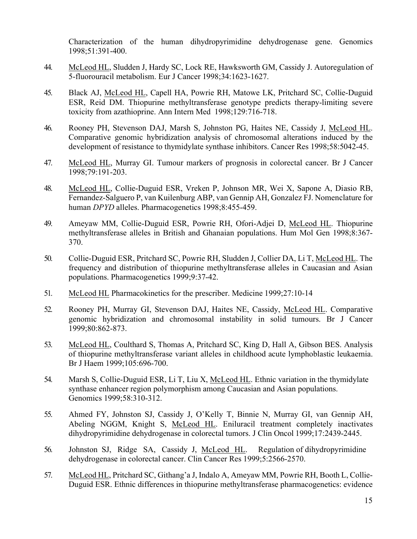Characterization of the human dihydropyrimidine dehydrogenase gene. Genomics 1998;51:391-400.

- 44. McLeod HL, Sludden J, Hardy SC, Lock RE, Hawksworth GM, Cassidy J. Autoregulation of 5-fluorouracil metabolism. Eur J Cancer 1998;34:1623-1627.
- 45. Black AJ, McLeod HL, Capell HA, Powrie RH, Matowe LK, Pritchard SC, Collie-Duguid ESR, Reid DM. Thiopurine methyltransferase genotype predicts therapy-limiting severe toxicity from azathioprine. Ann Intern Med 1998;129:716-718.
- 46. Rooney PH, Stevenson DAJ, Marsh S, Johnston PG, Haites NE, Cassidy J, McLeod HL. Comparative genomic hybridization analysis of chromosomal alterations induced by the development of resistance to thymidylate synthase inhibitors. Cancer Res 1998;58:5042-45.
- 47. McLeod HL, Murray GI. Tumour markers of prognosis in colorectal cancer. Br J Cancer 1998;79:191-203.
- 48. McLeod HL, Collie-Duguid ESR, Vreken P, Johnson MR, Wei X, Sapone A, Diasio RB, Fernandez-Salguero P, van Kuilenburg ABP, van Gennip AH, Gonzalez FJ. Nomenclature for human *DPYD* alleles. Pharmacogenetics 1998;8:455-459.
- 49. Ameyaw MM, Collie-Duguid ESR, Powrie RH, Ofori-Adjei D, McLeod HL. Thiopurine methyltransferase alleles in British and Ghanaian populations. Hum Mol Gen 1998;8:367- 370.
- 50. Collie-Duguid ESR, Pritchard SC, Powrie RH, Sludden J, Collier DA, Li T, McLeod HL. The frequency and distribution of thiopurine methyltransferase alleles in Caucasian and Asian populations. Pharmacogenetics 1999;9:37-42.
- 51. McLeod HL Pharmacokinetics for the prescriber. Medicine 1999;27:10-14
- 52. Rooney PH, Murray GI, Stevenson DAJ, Haites NE, Cassidy, McLeod HL. Comparative genomic hybridization and chromosomal instability in solid tumours. Br J Cancer 1999;80:862-873.
- 53. McLeod HL, Coulthard S, Thomas A, Pritchard SC, King D, Hall A, Gibson BES. Analysis of thiopurine methyltransferase variant alleles in childhood acute lymphoblastic leukaemia. Br J Haem 1999;105:696-700.
- 54. Marsh S, Collie-Duguid ESR, Li T, Liu X, McLeod HL. Ethnic variation in the thymidylate synthase enhancer region polymorphism among Caucasian and Asian populations. Genomics 1999;58:310-312.
- 55. Ahmed FY, Johnston SJ, Cassidy J, O'Kelly T, Binnie N, Murray GI, van Gennip AH, Abeling NGGM, Knight S, McLeod HL. Eniluracil treatment completely inactivates dihydropyrimidine dehydrogenase in colorectal tumors. J Clin Oncol 1999;17:2439-2445.
- 56. Johnston SJ, Ridge SA, Cassidy J, McLeod HL. Regulation of dihydropyrimidine dehydrogenase in colorectal cancer. Clin Cancer Res 1999;5:2566-2570.
- 57. McLeod HL, Pritchard SC, Githang'a J, Indalo A, Ameyaw MM, Powrie RH, Booth L, Collie-Duguid ESR. Ethnic differences in thiopurine methyltransferase pharmacogenetics: evidence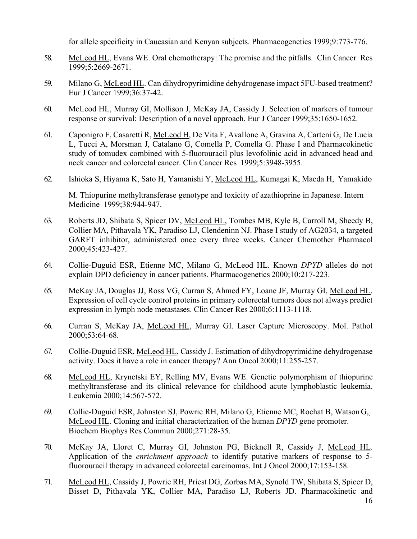for allele specificity in Caucasian and Kenyan subjects. Pharmacogenetics 1999;9:773-776.

- 58. McLeod HL, Evans WE. Oral chemotherapy: The promise and the pitfalls. Clin Cancer Res 1999;5:2669-2671.
- 59. Milano G, McLeod HL. Can dihydropyrimidine dehydrogenase impact 5FU-based treatment? Eur J Cancer 1999;36:37-42.
- 60. McLeod HL, Murray GI, Mollison J, McKay JA, Cassidy J. Selection of markers of tumour response or survival: Description of a novel approach. Eur J Cancer 1999;35:1650-1652.
- 61. Caponigro F, Casaretti R, McLeod H, De Vita F, Avallone A, Gravina A, Carteni G, De Lucia L, Tucci A, Morsman J, Catalano G, Comella P, Comella G. Phase I and Pharmacokinetic study of tomudex combined with 5-fluorouracil plus levofolinic acid in advanced head and neck cancer and colorectal cancer. Clin Cancer Res 1999;5:3948-3955.
- 62. Ishioka S, Hiyama K, Sato H, Yamanishi Y, McLeod HL, Kumagai K, Maeda H, Yamakido

M. Thiopurine methyltransferase genotype and toxicity of azathioprine in Japanese. Intern Medicine 1999;38:944-947.

- 63. Roberts JD, Shibata S, Spicer DV, McLeod HL, Tombes MB, Kyle B, Carroll M, Sheedy B, Collier MA, Pithavala YK, Paradiso LJ, Clendeninn NJ. Phase I study of AG2034, a targeted GARFT inhibitor, administered once every three weeks. Cancer Chemother Pharmacol 2000;45:423-427.
- 64. Collie-Duguid ESR, Etienne MC, Milano G, McLeod HL. Known *DPYD* alleles do not explain DPD deficiency in cancer patients. Pharmacogenetics 2000;10:217-223.
- 65. McKay JA, Douglas JJ, Ross VG, Curran S, Ahmed FY, Loane JF, Murray GI, McLeod HL. Expression of cell cycle control proteins in primary colorectal tumors does not always predict expression in lymph node metastases. Clin Cancer Res 2000;6:1113-1118.
- 66. Curran S, McKay JA, McLeod HL, Murray GI. Laser Capture Microscopy. Mol. Pathol 2000;53:64-68.
- 67. Collie-Duguid ESR, McLeod HL, Cassidy J. Estimation of dihydropyrimidine dehydrogenase activity. Does it have a role in cancer therapy? Ann Oncol 2000;11:255-257.
- 68. McLeod HL, Krynetski EY, Relling MV, Evans WE. Genetic polymorphism of thiopurine methyltransferase and its clinical relevance for childhood acute lymphoblastic leukemia. Leukemia 2000;14:567-572.
- 69. Collie-Duguid ESR, Johnston SJ, Powrie RH, Milano G, Etienne MC, Rochat B, Watson G, McLeod HL. Cloning and initial characterization of the human *DPYD* gene promoter. Biochem Biophys Res Commun 2000;271:28-35.
- 70. McKay JA, Lloret C, Murray GI, Johnston PG, Bicknell R, Cassidy J, McLeod HL. Application of the *enrichment approach* to identify putative markers of response to 5 fluorouracil therapy in advanced colorectal carcinomas. Int J Oncol 2000;17:153-158.
- 71. McLeod HL, Cassidy J, Powrie RH, Priest DG, Zorbas MA, Synold TW, Shibata S, Spicer D, Bisset D, Pithavala YK, Collier MA, Paradiso LJ, Roberts JD. Pharmacokinetic and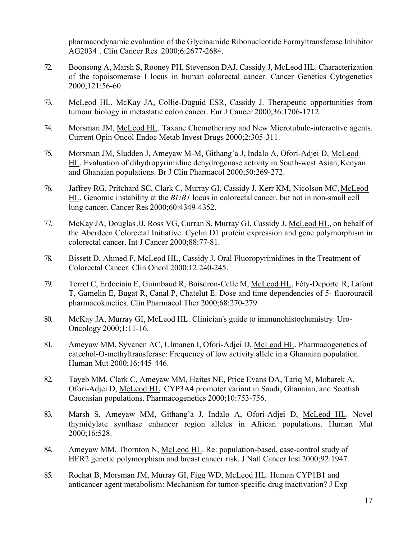pharmacodynamic evaluation of the Glycinamide Ribonucleotide Formyltransferase Inhibitor AG2034<sup>1</sup> . Clin Cancer Res 2000;6:2677-2684.

- 72. Boonsong A, Marsh S, Rooney PH, Stevenson DAJ, Cassidy J, McLeod HL. Characterization of the topoisomerase I locus in human colorectal cancer. Cancer Genetics Cytogenetics 2000;121:56-60.
- 73. McLeod HL, McKay JA, Collie-Duguid ESR, Cassidy J. Therapeutic opportunities from tumour biology in metastatic colon cancer. Eur J Cancer 2000;36:1706-1712.
- 74. Morsman JM, McLeod HL. Taxane Chemotherapy and New Microtubule-interactive agents. Current Opin Oncol Endoc Metab Invest Drugs 2000;2:305-311.
- 75. Morsman JM, Sludden J, Ameyaw M-M, Githang'a J, Indalo A, Ofori-Adjei D, McLeod HL. Evaluation of dihydropyrimidine dehydrogenase activity in South-west Asian,Kenyan and Ghanaian populations. Br J Clin Pharmacol 2000;50:269-272.
- 76. Jaffrey RG, Pritchard SC, Clark C, Murray GI, Cassidy J, Kerr KM, Nicolson MC,McLeod HL. Genomic instability at the *BUB1* locus in colorectal cancer, but not in non-small cell lung cancer. Cancer Res 2000;60:4349-4352.
- 77. McKay JA, Douglas JJ, Ross VG, Curran S, Murray GI, Cassidy J, McLeod HL, on behalf of the Aberdeen Colorectal Initiative. Cyclin D1 protein expression and gene polymorphism in colorectal cancer. Int J Cancer 2000;88:77-81.
- 78. Bissett D, Ahmed F, McLeod HL, Cassidy J. Oral Fluoropyrimidines in the Treatment of Colorectal Cancer. Clin Oncol 2000;12:240-245.
- 79. Terret C, Erdociain E, Guimbaud R, Boisdron-Celle M, McLeod HL, Féty-Deporte R, Lafont T, Gamelin E, Bugat R, Canal P, Chatelut E. Dose and time dependencies of 5- fluorouracil pharmacokinetics. Clin Pharmacol Ther 2000;68:270-279.
- 80. McKay JA, Murray GI, McLeod HL. Clinician's guide to immunohistochemistry. Uro-Oncology 2000;1:11-16.
- 81. Ameyaw MM, Syvanen AC, Ulmanen I, Ofori-Adjei D, McLeod HL. Pharmacogenetics of catechol-O-methyltransferase: Frequency of low activity allele in a Ghanaian population. Human Mut 2000;16:445-446.
- 82. Tayeb MM, Clark C, Ameyaw MM, Haites NE, Price Evans DA, Tariq M, Mobarek A, Ofori-Adjei D, McLeod HL. CYP3A4 promoter variant in Saudi, Ghanaian, and Scottish Caucasian populations. Pharmacogenetics 2000;10:753-756.
- 83. Marsh S, Ameyaw MM, Githang'a J, Indalo A, Ofori-Adjei D, McLeod HL. Novel thymidylate synthase enhancer region alleles in African populations. Human Mut 2000;16:528.
- 84. Ameyaw MM, Thornton N, McLeod HL. Re: population-based, case-control study of HER2 genetic polymorphism and breast cancer risk. J Natl Cancer Inst 2000;92:1947.
- 85. Rochat B, Morsman JM, Murray GI, Figg WD, McLeod HL. Human CYP1B1 and anticancer agent metabolism: Mechanism for tumor-specific drug inactivation? J Exp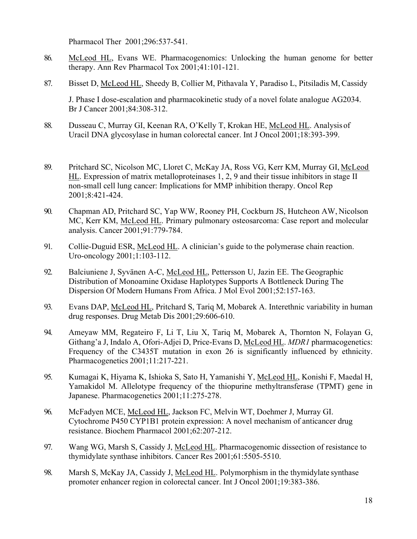Pharmacol Ther 2001;296:537-541.

- 86. McLeod HL, Evans WE. Pharmacogenomics: Unlocking the human genome for better therapy. Ann Rev Pharmacol Tox 2001;41:101-121.
- 87. Bisset D, McLeod HL, Sheedy B, Collier M, Pithavala Y, Paradiso L, Pitsiladis M, Cassidy

J. Phase I dose-escalation and pharmacokinetic study of a novel folate analogue AG2034. Br J Cancer 2001;84:308-312.

- 88. Dusseau C, Murray GI, Keenan RA, O'Kelly T, Krokan HE, McLeod HL. Analysis of Uracil DNA glycosylase in human colorectal cancer. Int J Oncol 2001;18:393-399.
- 89. Pritchard SC, Nicolson MC, Lloret C, McKay JA, Ross VG, Kerr KM, Murray GI, McLeod HL. Expression of matrix metalloproteinases 1, 2, 9 and their tissue inhibitors in stage II non-small cell lung cancer: Implications for MMP inhibition therapy. Oncol Rep 2001;8:421-424.
- 90. Chapman AD, Pritchard SC, Yap WW, Rooney PH, Cockburn JS, Hutcheon AW, Nicolson MC, Kerr KM, McLeod HL. Primary pulmonary osteosarcoma: Case report and molecular analysis. Cancer 2001;91:779-784.
- 91. Collie-Duguid ESR, McLeod HL. A clinician's guide to the polymerase chain reaction. Uro-oncology 2001;1:103-112.
- 92. Balciuniene J, Syvänen A-C, McLeod HL, Pettersson U, Jazin EE. The Geographic Distribution of Monoamine Oxidase Haplotypes Supports A Bottleneck During The Dispersion Of Modern Humans From Africa. J Mol Evol 2001;52:157-163.
- 93. Evans DAP, McLeod HL, Pritchard S, Tariq M, Mobarek A. Interethnic variability in human drug responses. Drug Metab Dis 2001;29:606-610.
- 94. Ameyaw MM, Regateiro F, Li T, Liu X, Tariq M, Mobarek A, Thornton N, Folayan G, Githang'a J, Indalo A, Ofori-Adjei D, Price-Evans D, McLeod HL. *MDR1* pharmacogenetics: Frequency of the C3435T mutation in exon 26 is significantly influenced by ethnicity. Pharmacogenetics 2001;11:217-221.
- 95. Kumagai K, Hiyama K, Ishioka S, Sato H, Yamanishi Y, McLeod HL, Konishi F, Maedal H, Yamakidol M. Allelotype frequency of the thiopurine methyltransferase (TPMT) gene in Japanese. Pharmacogenetics 2001;11:275-278.
- 96. McFadyen MCE, McLeod HL, Jackson FC, Melvin WT, Doehmer J, Murray GI. Cytochrome P450 CYP1B1 protein expression: A novel mechanism of anticancer drug resistance. Biochem Pharmacol 2001;62:207-212.
- 97. Wang WG, Marsh S, Cassidy J, McLeod HL. Pharmacogenomic dissection of resistance to thymidylate synthase inhibitors. Cancer Res 2001;61:5505-5510.
- 98. Marsh S, McKay JA, Cassidy J, McLeod HL. Polymorphism in the thymidylate synthase promoter enhancer region in colorectal cancer. Int J Oncol 2001;19:383-386.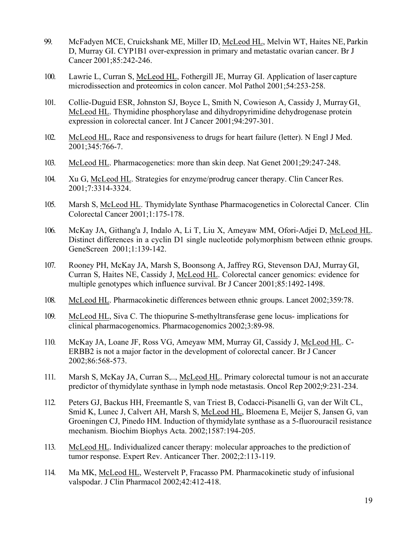- 99. McFadyen MCE, Cruickshank ME, Miller ID, McLeod HL, Melvin WT, Haites NE, Parkin D, Murray GI. CYP1B1 over-expression in primary and metastatic ovarian cancer. Br J Cancer 2001;85:242-246.
- 100. Lawrie L, Curran S, McLeod HL, Fothergill JE, Murray GI. Application of laser capture microdissection and proteomics in colon cancer. Mol Pathol 2001;54:253-258.
- 101. Collie-Duguid ESR, Johnston SJ, Boyce L, Smith N, Cowieson A, Cassidy J, MurrayGI, McLeod HL. Thymidine phosphorylase and dihydropyrimidine dehydrogenase protein expression in colorectal cancer. Int J Cancer 2001;94:297-301.
- 102. McLeod HL, Race and responsiveness to drugs for heart failure (letter). N Engl J Med. 2001;345:766-7.
- 103. McLeod HL. Pharmacogenetics: more than skin deep. Nat Genet 2001;29:247-248.
- 104. Xu G, McLeod HL. Strategies for enzyme/prodrug cancer therapy. Clin CancerRes. 2001;7:3314-3324.
- 105. Marsh S, McLeod HL. Thymidylate Synthase Pharmacogenetics in Colorectal Cancer. Clin Colorectal Cancer 2001;1:175-178.
- 106. McKay JA, Githang'a J, Indalo A, Li T, Liu X, Ameyaw MM, Ofori-Adjei D, McLeod HL. Distinct differences in a cyclin D1 single nucleotide polymorphism between ethnic groups. GeneScreen 2001;1:139-142.
- 107. Rooney PH, McKay JA, Marsh S, Boonsong A, Jaffrey RG, Stevenson DAJ, Murray GI, Curran S, Haites NE, Cassidy J, McLeod HL. Colorectal cancer genomics: evidence for multiple genotypes which influence survival. Br J Cancer 2001;85:1492-1498.
- 108. McLeod HL. Pharmacokinetic differences between ethnic groups. Lancet 2002;359:78.
- 109. McLeod HL, Siva C. The thiopurine S-methyltransferase gene locus- implications for clinical pharmacogenomics. Pharmacogenomics 2002;3:89-98.
- 110. McKay JA, Loane JF, Ross VG, Ameyaw MM, Murray GI, Cassidy J, McLeod HL. C-ERBB2 is not a major factor in the development of colorectal cancer. Br J Cancer 2002;86:568-573.
- 111. Marsh S, McKay JA, Curran S,.., McLeod HL. Primary colorectal tumour is not an accurate predictor of thymidylate synthase in lymph node metastasis. Oncol Rep 2002;9:231-234.
- 112. Peters GJ, Backus HH, Freemantle S, van Triest B, Codacci-Pisanelli G, van der Wilt CL, Smid K, Lunec J, Calvert AH, Marsh S, McLeod HL, Bloemena E, Meijer S, Jansen G, van Groeningen CJ, Pinedo HM. Induction of thymidylate synthase as a 5-fluorouracil resistance mechanism. Biochim Biophys Acta. 2002;1587:194-205.
- 113. McLeod HL. Individualized cancer therapy: molecular approaches to the prediction of tumor response. Expert Rev. Anticancer Ther. 2002;2:113-119.
- 114. Ma MK, McLeod HL, Westervelt P, Fracasso PM. Pharmacokinetic study of infusional valspodar. J Clin Pharmacol 2002;42:412-418.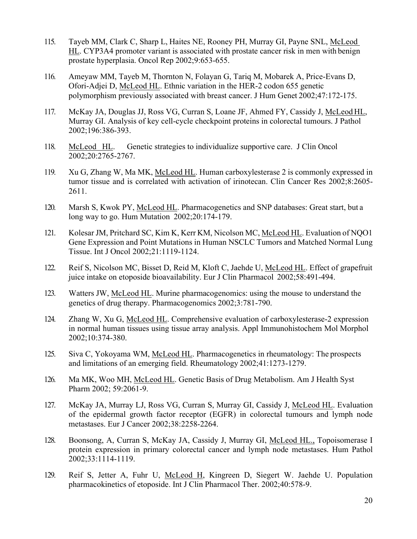- 115. Tayeb MM, Clark C, Sharp L, Haites NE, Rooney PH, Murray GI, Payne SNL, McLeod HL. CYP3A4 promoter variant is associated with prostate cancer risk in men with benign prostate hyperplasia. Oncol Rep 2002;9:653-655.
- 116. Ameyaw MM, Tayeb M, Thornton N, Folayan G, Tariq M, Mobarek A, Price-Evans D, Ofori-Adjei D, McLeod HL. Ethnic variation in the HER-2 codon 655 genetic polymorphism previously associated with breast cancer. J Hum Genet 2002;47:172-175.
- 117. McKay JA, Douglas JJ, Ross VG, Curran S, Loane JF, Ahmed FY, Cassidy J, McLeod HL, Murray GI. Analysis of key cell-cycle checkpoint proteins in colorectal tumours. J Pathol 2002;196:386-393.
- 118. McLeod HL. Genetic strategies to individualize supportive care. J Clin Oncol 2002;20:2765-2767.
- 119. Xu G, Zhang W, Ma MK, McLeod HL. Human carboxylesterase 2 is commonly expressed in tumor tissue and is correlated with activation of irinotecan. Clin Cancer Res 2002;8:2605- 2611.
- 120. Marsh S, Kwok PY, McLeod HL. Pharmacogenetics and SNP databases: Great start, but a long way to go. Hum Mutation 2002;20:174-179.
- 121. Kolesar JM, Pritchard SC, Kim K, Kerr KM, Nicolson MC, McLeod HL. Evaluation of NQO1 Gene Expression and Point Mutations in Human NSCLC Tumors and Matched Normal Lung Tissue. Int J Oncol 2002;21:1119-1124.
- 122. Reif S, Nicolson MC, Bisset D, Reid M, Kloft C, Jaehde U, McLeod HL. Effect of grapefruit juice intake on etoposide bioavailability. Eur J Clin Pharmacol 2002;58:491-494.
- 123. Watters JW, McLeod HL. Murine pharmacogenomics: using the mouse to understand the genetics of drug therapy. Pharmacogenomics 2002;3:781-790.
- 124. Zhang W, Xu G, McLeod HL. Comprehensive evaluation of carboxylesterase-2 expression in normal human tissues using tissue array analysis. Appl Immunohistochem Mol Morphol 2002;10:374-380.
- 125. Siva C, Yokoyama WM, McLeod HL. Pharmacogenetics in rheumatology: The prospects and limitations of an emerging field. Rheumatology 2002;41:1273-1279.
- 126. Ma MK, Woo MH, McLeod HL. Genetic Basis of Drug Metabolism. Am J Health Syst Pharm 2002; 59:2061-9.
- 127. McKay JA, Murray LJ, Ross VG, Curran S, Murray GI, Cassidy J, McLeod HL. Evaluation of the epidermal growth factor receptor (EGFR) in colorectal tumours and lymph node metastases. Eur J Cancer 2002;38:2258-2264.
- 128. Boonsong, A, Curran S, McKay JA, Cassidy J, Murray GI, McLeod HL., Topoisomerase I protein expression in primary colorectal cancer and lymph node metastases. Hum Pathol 2002;33:1114-1119.
- 129. Reif S, Jetter A, Fuhr U, McLeod H, Kingreen D, Siegert W. Jaehde U. Population pharmacokinetics of etoposide. Int J Clin Pharmacol Ther. 2002;40:578-9.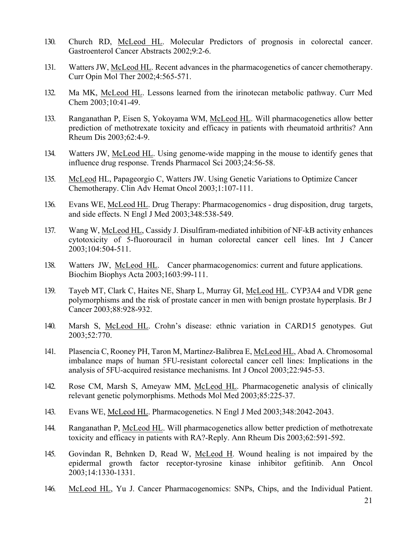- 130. Church RD, McLeod HL. Molecular Predictors of prognosis in colorectal cancer. Gastroenterol Cancer Abstracts 2002;9:2-6.
- 131. Watters JW, McLeod HL. Recent advances in the pharmacogenetics of cancer chemotherapy. Curr Opin Mol Ther 2002;4:565-571.
- 132. Ma MK, McLeod HL. Lessons learned from the irinotecan metabolic pathway. Curr Med Chem 2003;10:41-49.
- 133. Ranganathan P, Eisen S, Yokoyama WM, McLeod HL. Will pharmacogenetics allow better prediction of methotrexate toxicity and efficacy in patients with rheumatoid arthritis? Ann Rheum Dis 2003;62:4-9.
- 134. Watters JW, McLeod HL. Using genome-wide mapping in the mouse to identify genes that influence drug response. Trends Pharmacol Sci 2003;24:56-58.
- 135. McLeod HL, Papageorgio C, Watters JW. Using Genetic Variations to Optimize Cancer Chemotherapy. Clin Adv Hemat Oncol 2003;1:107-111.
- 136. Evans WE, McLeod HL. Drug Therapy: Pharmacogenomics drug disposition, drug targets, and side effects. N Engl J Med 2003;348:538-549.
- 137. Wang W, McLeod HL, Cassidy J. Disulfiram-mediated inhibition of NF-kB activity enhances cytotoxicity of 5-fluorouracil in human colorectal cancer cell lines. Int J Cancer 2003;104:504-511.
- 138. Watters JW, McLeod HL. Cancer pharmacogenomics: current and future applications. Biochim Biophys Acta 2003;1603:99-111.
- 139. Tayeb MT, Clark C, Haites NE, Sharp L, Murray GI, McLeod HL. CYP3A4 and VDR gene polymorphisms and the risk of prostate cancer in men with benign prostate hyperplasis. Br J Cancer 2003;88:928-932.
- 140. Marsh S, McLeod HL. Crohn's disease: ethnic variation in CARD15 genotypes. Gut 2003;52:770.
- 141. Plasencia C, Rooney PH, Taron M, Martinez-Balibrea E, McLeod HL, Abad A. Chromosomal imbalance maps of human 5FU-resistant colorectal cancer cell lines: Implications in the analysis of 5FU-acquired resistance mechanisms. Int J Oncol 2003;22:945-53.
- 142. Rose CM, Marsh S, Ameyaw MM, McLeod HL. Pharmacogenetic analysis of clinically relevant genetic polymorphisms. Methods Mol Med 2003;85:225-37.
- 143. Evans WE, McLeod HL. Pharmacogenetics. N Engl J Med 2003;348:2042-2043.
- 144. Ranganathan P, McLeod HL. Will pharmacogenetics allow better prediction of methotrexate toxicity and efficacy in patients with RA?-Reply. Ann Rheum Dis 2003;62:591-592.
- 145. Govindan R, Behnken D, Read W, McLeod H. Wound healing is not impaired by the epidermal growth factor receptor-tyrosine kinase inhibitor gefitinib. Ann Oncol 2003;14:1330-1331.
- 146. McLeod HL, Yu J. Cancer Pharmacogenomics: SNPs, Chips, and the Individual Patient.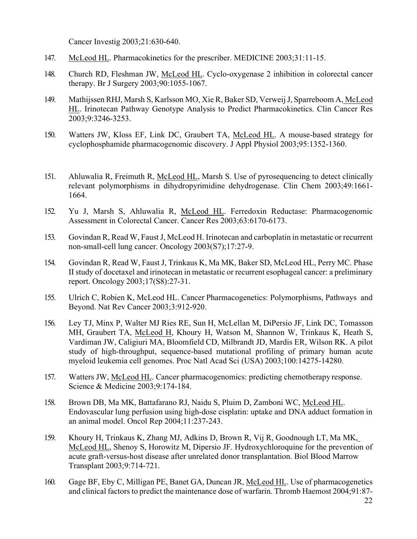Cancer Investig 2003;21:630-640.

- 147. McLeod HL. Pharmacokinetics for the prescriber. MEDICINE 2003;31:11-15.
- 148. Church RD, Fleshman JW, McLeod HL. Cyclo-oxygenase 2 inhibition in colorectal cancer therapy. Br J Surgery 2003;90:1055-1067.
- 149. Mathijssen RHJ, Marsh S, Karlsson MO, Xie R, Baker SD, Verweij J, Sparreboom A, McLeod HL. Irinotecan Pathway Genotype Analysis to Predict Pharmacokinetics. Clin Cancer Res 2003;9:3246-3253.
- 150. Watters JW, Kloss EF, Link DC, Graubert TA, McLeod HL. A mouse-based strategy for cyclophosphamide pharmacogenomic discovery. J Appl Physiol 2003;95:1352-1360.
- 151. Ahluwalia R, Freimuth R, McLeod HL, Marsh S. Use of pyrosequencing to detect clinically relevant polymorphisms in dihydropyrimidine dehydrogenase. Clin Chem 2003;49:1661- 1664.
- 152. Yu J, Marsh S, Ahluwalia R, McLeod HL. Ferredoxin Reductase: Pharmacogenomic Assessment in Colorectal Cancer. Cancer Res 2003;63:6170-6173.
- 153. Govindan R, Read W, Faust J, McLeod H. Irinotecan and carboplatin in metastatic or recurrent non-small-cell lung cancer. Oncology 2003(S7);17:27-9.
- 154. Govindan R, Read W, Faust J, Trinkaus K, Ma MK, Baker SD, McLeod HL, Perry MC. Phase II study of docetaxel and irinotecan in metastatic or recurrent esophageal cancer: a preliminary report. Oncology 2003;17(S8):27-31.
- 155. Ulrich C, Robien K, McLeod HL. Cancer Pharmacogenetics: Polymorphisms, Pathways and Beyond. Nat Rev Cancer 2003;3:912-920.
- 156. Ley TJ, Minx P, Walter MJ Ries RE, Sun H, McLellan M, DiPersio JF, Link DC, Tomasson MH, Graubert TA, McLeod H, Khoury H, Watson M, Shannon W, Trinkaus K, Heath S, Vardiman JW, Caligiuri MA, Bloomfield CD, Milbrandt JD, Mardis ER, Wilson RK. A pilot study of high-throughput, sequence-based mutational profiling of primary human acute myeloid leukemia cell genomes. Proc Natl Acad Sci (USA) 2003;100:14275-14280.
- 157. Watters JW, McLeod HL. Cancer pharmacogenomics: predicting chemotherapy response. Science & Medicine 2003;9:174-184.
- 158. Brown DB, Ma MK, Battafarano RJ, Naidu S, Pluim D, Zamboni WC, McLeod HL. Endovascular lung perfusion using high-dose cisplatin: uptake and DNA adduct formation in an animal model. Oncol Rep 2004;11:237-243.
- 159. Khoury H, Trinkaus K, Zhang MJ, Adkins D, Brown R, Vij R, Goodnough LT, Ma MK, McLeod HL, Shenoy S, Horowitz M, Dipersio JF. Hydroxychloroquine for the prevention of acute graft-versus-host disease after unrelated donor transplantation. Biol Blood Marrow Transplant 2003;9:714-721.
- 160. Gage BF, Eby C, Milligan PE, Banet GA, Duncan JR, McLeod HL. Use of pharmacogenetics and clinical factors to predict the maintenance dose of warfarin. Thromb Haemost 2004;91:87-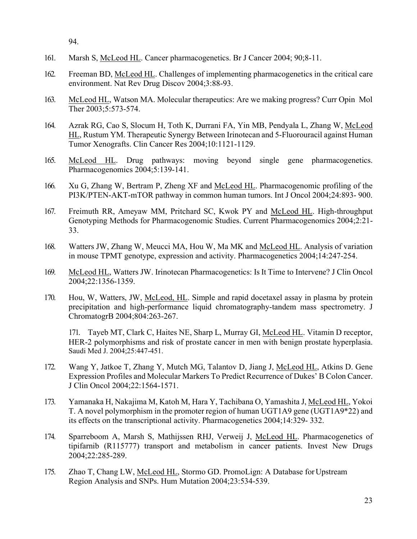94.

- 161. Marsh S, McLeod HL. Cancer pharmacogenetics. Br J Cancer 2004; 90;8-11.
- 162. Freeman BD, McLeod HL. Challenges of implementing pharmacogenetics in the critical care environment. Nat Rev Drug Discov 2004;3:88-93.
- 163. McLeod HL, Watson MA. Molecular therapeutics: Are we making progress? Curr Opin Mol Ther 2003;5:573-574.
- 164. Azrak RG, Cao S, Slocum H, Toth K, Durrani FA, Yin MB, Pendyala L, Zhang W, McLeod HL, Rustum YM. Therapeutic Synergy Between Irinotecan and 5-Fluorouracil against Human Tumor Xenografts. Clin Cancer Res 2004;10:1121-1129.
- 165. McLeod HL. Drug pathways: moving beyond single gene pharmacogenetics. Pharmacogenomics 2004;5:139-141.
- 166. Xu G, Zhang W, Bertram P, Zheng XF and McLeod HL. Pharmacogenomic profiling of the PI3K/PTEN-AKT-mTOR pathway in common human tumors. Int J Oncol 2004;24:893- 900.
- 167. Freimuth RR, Ameyaw MM, Pritchard SC, Kwok PY and McLeod HL. High-throughput Genotyping Methods for Pharmacogenomic Studies. Current Pharmacogenomics 2004;2:21- 33.
- 168. Watters JW, Zhang W, Meucci MA, Hou W, Ma MK and McLeod HL. Analysis of variation in mouse TPMT genotype, expression and activity. Pharmacogenetics 2004;14:247-254.
- 169. McLeod HL, Watters JW. Irinotecan Pharmacogenetics: Is It Time to Intervene? J Clin Oncol 2004;22:1356-1359.
- 170. Hou, W, Watters, JW, McLeod, HL. Simple and rapid docetaxel assay in plasma by protein precipitation and high-performance liquid chromatography-tandem mass spectrometry. J ChromatogrB 2004;804:263-267.

171. Tayeb MT, Clark C, Haites NE, Sharp L, Murray GI, McLeod HL. Vitamin D receptor, HER-2 polymorphisms and risk of prostate cancer in men with benign prostate hyperplasia. Saudi Med J. 2004;25:447-451.

- 172. Wang Y, Jatkoe T, Zhang Y, Mutch MG, Talantov D, Jiang J, McLeod HL, Atkins D. Gene Expression Profiles and Molecular Markers To Predict Recurrence of Dukes' B Colon Cancer. J Clin Oncol 2004;22:1564-1571.
- 173. Yamanaka H, Nakajima M, Katoh M, Hara Y, Tachibana O, Yamashita J, McLeod HL, Yokoi T. A novel polymorphism in the promoter region of human UGT1A9 gene (UGT1A9\*22) and its effects on the transcriptional activity. Pharmacogenetics 2004;14:329- 332.
- 174. Sparreboom A, Marsh S, Mathijssen RHJ, Verweij J, McLeod HL. Pharmacogenetics of tipifarnib (R115777) transport and metabolism in cancer patients. Invest New Drugs 2004;22:285-289.
- 175. Zhao T, Chang LW, McLeod HL, Stormo GD. PromoLign: A Database forUpstream Region Analysis and SNPs. Hum Mutation 2004;23:534-539.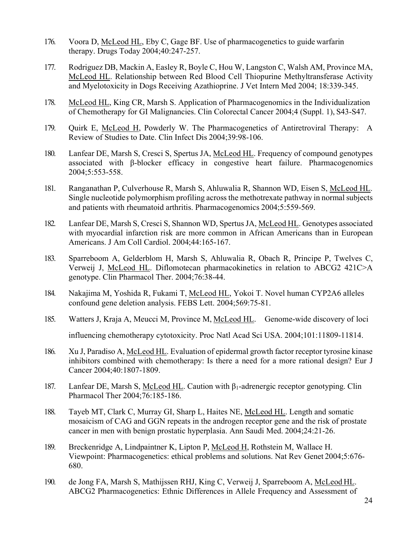- 176. Voora D, McLeod HL, Eby C, Gage BF. Use of pharmacogenetics to guide warfarin therapy. Drugs Today 2004;40:247-257.
- 177. Rodriguez DB, Mackin A, Easley R, Boyle C, Hou W, Langston C, Walsh AM, Province MA, McLeod HL. Relationship between Red Blood Cell Thiopurine Methyltransferase Activity and Myelotoxicity in Dogs Receiving Azathioprine. J Vet Intern Med 2004; 18:339-345.
- 178. McLeod HL, King CR, Marsh S. Application of Pharmacogenomics in the Individualization of Chemotherapy for GI Malignancies. Clin Colorectal Cancer 2004;4 (Suppl. 1), S43-S47.
- 179. Quirk E, McLeod H, Powderly W. The Pharmacogenetics of Antiretroviral Therapy: A Review of Studies to Date. Clin Infect Dis 2004;39:98-106.
- 180. Lanfear DE, Marsh S, Cresci S, Spertus JA, McLeod HL. Frequency of compound genotypes associated with β-blocker efficacy in congestive heart failure. Pharmacogenomics 2004;5:553-558.
- 181. Ranganathan P, Culverhouse R, Marsh S, Ahluwalia R, Shannon WD, Eisen S, McLeod HL. Single nucleotide polymorphism profiling across the methotrexate pathway in normal subjects and patients with rheumatoid arthritis. Pharmacogenomics 2004;5:559-569.
- 182. Lanfear DE, Marsh S, Cresci S, Shannon WD, Spertus JA, McLeod HL. Genotypes associated with myocardial infarction risk are more common in African Americans than in European Americans. J Am Coll Cardiol. 2004;44:165-167.
- 183. Sparreboom A, Gelderblom H, Marsh S, Ahluwalia R, Obach R, Principe P, Twelves C, Verweij J, McLeod HL. Diflomotecan pharmacokinetics in relation to ABCG2 421C>A genotype. Clin Pharmacol Ther. 2004;76:38-44.
- 184. Nakajima M, Yoshida R, Fukami T, McLeod HL, Yokoi T. Novel human CYP2A6 alleles confound gene deletion analysis. FEBS Lett. 2004;569:75-81.
- 185. Watters J, Kraja A, Meucci M, Province M, McLeod HL. Genome-wide discovery of loci influencing chemotherapy cytotoxicity. Proc Natl Acad Sci USA. 2004;101:11809-11814.
- 186. Xu J, Paradiso A, McLeod HL. Evaluation of epidermal growth factor receptor tyrosine kinase inhibitors combined with chemotherapy: Is there a need for a more rational design? Eur J Cancer 2004;40:1807-1809.
- 187. Lanfear DE, Marsh S, McLeod HL. Caution with  $β_1$ -adrenergic receptor genotyping. Clin Pharmacol Ther 2004;76:185-186.
- 188. Tayeb MT, Clark C, Murray GI, Sharp L, Haites NE, McLeod HL. Length and somatic mosaicism of CAG and GGN repeats in the androgen receptor gene and the risk of prostate cancer in men with benign prostatic hyperplasia. Ann Saudi Med. 2004;24:21-26.
- 189. Breckenridge A, Lindpaintner K, Lipton P, McLeod H, Rothstein M, Wallace H. Viewpoint: Pharmacogenetics: ethical problems and solutions. Nat Rev Genet 2004;5:676- 680.
- 190. de Jong FA, Marsh S, Mathijssen RHJ, King C, Verweij J, Sparreboom A, McLeod HL. ABCG2 Pharmacogenetics: Ethnic Differences in Allele Frequency and Assessment of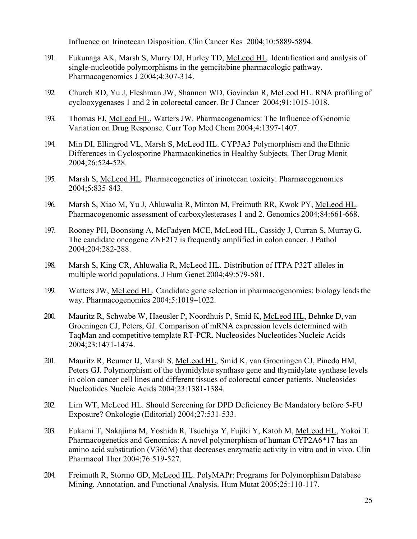Influence on Irinotecan Disposition. Clin Cancer Res 2004;10:5889-5894.

- 191. Fukunaga AK, Marsh S, Murry DJ, Hurley TD, McLeod HL. Identification and analysis of single-nucleotide polymorphisms in the gemcitabine pharmacologic pathway. Pharmacogenomics J 2004;4:307-314.
- 192. Church RD, Yu J, Fleshman JW, Shannon WD, Govindan R, McLeod HL. RNA profiling of cyclooxygenases 1 and 2 in colorectal cancer. Br J Cancer 2004;91:1015-1018.
- 193. Thomas FJ, McLeod HL, Watters JW. Pharmacogenomics: The Influence of Genomic Variation on Drug Response. Curr Top Med Chem 2004;4:1397-1407.
- 194. Min DI, Ellingrod VL, Marsh S, McLeod HL. CYP3A5 Polymorphism and the Ethnic Differences in Cyclosporine Pharmacokinetics in Healthy Subjects. Ther Drug Monit 2004;26:524-528.
- 195. Marsh S, McLeod HL. Pharmacogenetics of irinotecan toxicity. Pharmacogenomics 2004;5:835-843.
- 196. Marsh S, Xiao M, Yu J, Ahluwalia R, Minton M, Freimuth RR, Kwok PY, McLeod HL. Pharmacogenomic assessment of carboxylesterases 1 and 2. Genomics 2004;84:661-668.
- 197. Rooney PH, Boonsong A, McFadyen MCE, McLeod HL, Cassidy J, Curran S, Murray G. The candidate oncogene ZNF217 is frequently amplified in colon cancer. J Pathol 2004;204:282-288.
- 198. Marsh S, King CR, Ahluwalia R, McLeod HL. Distribution of ITPA P32T alleles in multiple world populations. J Hum Genet 2004;49:579-581.
- 199. Watters JW, McLeod HL. Candidate gene selection in pharmacogenomics: biology leadsthe way. Pharmacogenomics 2004;5:1019–1022.
- 200. Mauritz R, Schwabe W, Haeusler P, Noordhuis P, Smid K, McLeod HL, Behnke D, van Groeningen CJ, Peters, GJ. Comparison of mRNA expression levels determined with TaqMan and competitive template RT-PCR. Nucleosides Nucleotides Nucleic Acids 2004;23:1471-1474.
- 201. Mauritz R, Beumer IJ, Marsh S, McLeod HL, Smid K, van Groeningen CJ, Pinedo HM, Peters GJ. Polymorphism of the thymidylate synthase gene and thymidylate synthase levels in colon cancer cell lines and different tissues of colorectal cancer patients. Nucleosides Nucleotides Nucleic Acids 2004;23:1381-1384.
- 202. Lim WT, McLeod HL. Should Screening for DPD Deficiency Be Mandatory before 5-FU Exposure? Onkologie (Editorial) 2004;27:531-533.
- 203. Fukami T, Nakajima M, Yoshida R, Tsuchiya Y, Fujiki Y, Katoh M, McLeod HL, Yokoi T. Pharmacogenetics and Genomics: A novel polymorphism of human CYP2A6\*17 has an amino acid substitution (V365M) that decreases enzymatic activity in vitro and in vivo. Clin Pharmacol Ther 2004;76:519-527.
- 204. Freimuth R, Stormo GD, McLeod HL. PolyMAPr: Programs for PolymorphismDatabase Mining, Annotation, and Functional Analysis. Hum Mutat 2005;25:110-117.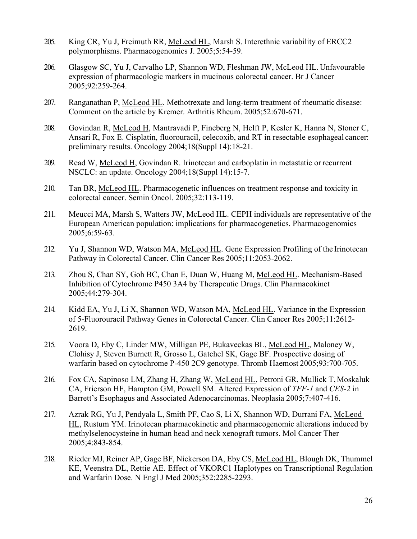- 205. King CR, Yu J, Freimuth RR, McLeod HL, Marsh S. Interethnic variability of ERCC2 polymorphisms. Pharmacogenomics J. 2005;5:54-59.
- 206. Glasgow SC, Yu J, Carvalho LP, Shannon WD, Fleshman JW, McLeod HL. Unfavourable expression of pharmacologic markers in mucinous colorectal cancer. Br J Cancer 2005;92:259-264.
- 207. Ranganathan P, McLeod HL. Methotrexate and long-term treatment of rheumatic disease: Comment on the article by Kremer. Arthritis Rheum. 2005;52:670-671.
- 208. Govindan R, McLeod H, Mantravadi P, Fineberg N, Helft P, Kesler K, Hanna N, Stoner C, Ansari R, Fox E. Cisplatin, fluorouracil, celecoxib, and RT in resectable esophageal cancer: preliminary results. Oncology 2004;18(Suppl 14):18-21.
- 209. Read W, McLeod H, Govindan R. Irinotecan and carboplatin in metastatic or recurrent NSCLC: an update. Oncology 2004;18(Suppl 14):15-7.
- 210. Tan BR, McLeod HL. Pharmacogenetic influences on treatment response and toxicity in colorectal cancer. Semin Oncol. 2005;32:113-119.
- 211. Meucci MA, Marsh S, Watters JW, McLeod HL. CEPH individuals are representative of the European American population: implications for pharmacogenetics. Pharmacogenomics 2005;6:59-63.
- 212. Yu J, Shannon WD, Watson MA, McLeod HL. Gene Expression Profiling of the Irinotecan Pathway in Colorectal Cancer. Clin Cancer Res 2005;11:2053-2062.
- 213. Zhou S, Chan SY, Goh BC, Chan E, Duan W, Huang M, McLeod HL. Mechanism-Based Inhibition of Cytochrome P450 3A4 by Therapeutic Drugs. Clin Pharmacokinet 2005;44:279-304.
- 214. Kidd EA, Yu J, Li X, Shannon WD, Watson MA, McLeod HL. Variance in the Expression of 5-Fluorouracil Pathway Genes in Colorectal Cancer. Clin Cancer Res 2005;11:2612- 2619.
- 215. Voora D, Eby C, Linder MW, Milligan PE, Bukaveckas BL, McLeod HL, Maloney W, Clohisy J, Steven Burnett R, Grosso L, Gatchel SK, Gage BF. Prospective dosing of warfarin based on cytochrome P-450 2C9 genotype. Thromb Haemost 2005;93:700-705.
- 216. Fox CA, Sapinoso LM, Zhang H, Zhang W, McLeod HL, Petroni GR, Mullick T, Moskaluk CA, Frierson HF, Hampton GM, Powell SM. Altered Expression of *TFF-1* and *CES-2* in Barrett's Esophagus and Associated Adenocarcinomas. Neoplasia 2005;7:407-416.
- 217. Azrak RG, Yu J, Pendyala L, Smith PF, Cao S, Li X, Shannon WD, Durrani FA, McLeod HL, Rustum YM. Irinotecan pharmacokinetic and pharmacogenomic alterations induced by methylselenocysteine in human head and neck xenograft tumors. Mol Cancer Ther 2005;4:843-854.
- 218. Rieder MJ, Reiner AP, Gage BF, Nickerson DA, Eby CS, McLeod HL, Blough DK, Thummel KE, Veenstra DL, Rettie AE. Effect of VKORC1 Haplotypes on Transcriptional Regulation and Warfarin Dose. N Engl J Med 2005;352:2285-2293.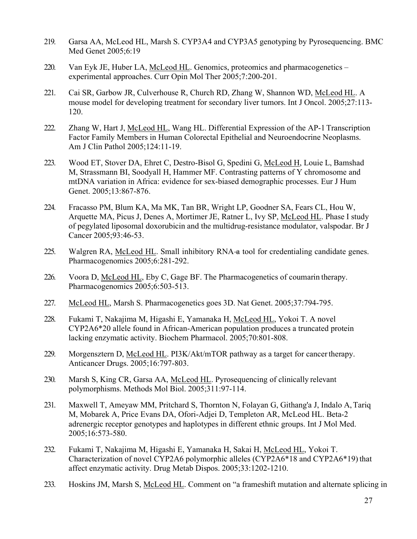- 219. Garsa AA, McLeod HL, Marsh S. CYP3A4 and CYP3A5 genotyping by Pyrosequencing. BMC Med Genet 2005;6:19
- 220. Van Eyk JE, Huber LA, McLeod HL. Genomics, proteomics and pharmacogenetics experimental approaches. Curr Opin Mol Ther 2005;7:200-201.
- 221. Cai SR, Garbow JR, Culverhouse R, Church RD, Zhang W, Shannon WD, McLeod HL. A mouse model for developing treatment for secondary liver tumors. Int J Oncol. 2005;27:113- 120.
- 222. Zhang W, Hart J, McLeod HL, Wang HL. Differential Expression of the AP-1 Transcription Factor Family Members in Human Colorectal Epithelial and Neuroendocrine Neoplasms. Am J Clin Pathol 2005;124:11-19.
- 223. Wood ET, Stover DA, Ehret C, Destro-Bisol G, Spedini G, McLeod H, Louie L, Bamshad M, Strassmann BI, Soodyall H, Hammer MF. Contrasting patterns of Y chromosome and mtDNA variation in Africa: evidence for sex-biased demographic processes. Eur J Hum Genet. 2005;13:867-876.
- 224. Fracasso PM, Blum KA, Ma MK, Tan BR, Wright LP, Goodner SA, Fears CL, Hou W, Arquette MA, Picus J, Denes A, Mortimer JE, Ratner L, Ivy SP, McLeod HL. Phase I study of pegylated liposomal doxorubicin and the multidrug-resistance modulator, valspodar. Br J Cancer 2005;93:46-53.
- 225. Walgren RA, McLeod HL. Small inhibitory RNA-a tool for credentialing candidate genes. Pharmacogenomics 2005;6:281-292.
- 226. Voora D, McLeod HL, Eby C, Gage BF. The Pharmacogenetics of coumarin therapy. Pharmacogenomics 2005;6:503-513.
- 227. McLeod HL, Marsh S. Pharmacogenetics goes 3D. Nat Genet. 2005;37:794-795.
- 228. Fukami T, Nakajima M, Higashi E, Yamanaka H, McLeod HL, Yokoi T. A novel CYP2A6\*20 allele found in African-American population produces a truncated protein lacking enzymatic activity. Biochem Pharmacol. 2005;70:801-808.
- 229. Morgensztern D, McLeod HL. PI3K/Akt/mTOR pathway as a target for cancer therapy. Anticancer Drugs. 2005;16:797-803.
- 230. Marsh S, King CR, Garsa AA, McLeod HL. Pyrosequencing of clinically relevant polymorphisms. Methods Mol Biol. 2005;311:97-114.
- 231. Maxwell T, Ameyaw MM, Pritchard S, Thornton N, Folayan G, Githang'a J, Indalo A,Tariq M, Mobarek A, Price Evans DA, Ofori-Adjei D, Templeton AR, McLeod HL. Beta-2 adrenergic receptor genotypes and haplotypes in different ethnic groups. Int J Mol Med. 2005;16:573-580.
- 232. Fukami T, Nakajima M, Higashi E, Yamanaka H, Sakai H, McLeod HL, Yokoi T. Characterization of novel CYP2A6 polymorphic alleles (CYP2A6\*18 and CYP2A6\*19) that affect enzymatic activity. Drug Metab Dispos. 2005;33:1202-1210.
- 233. Hoskins JM, Marsh S, McLeod HL. Comment on "a frameshift mutation and alternate splicing in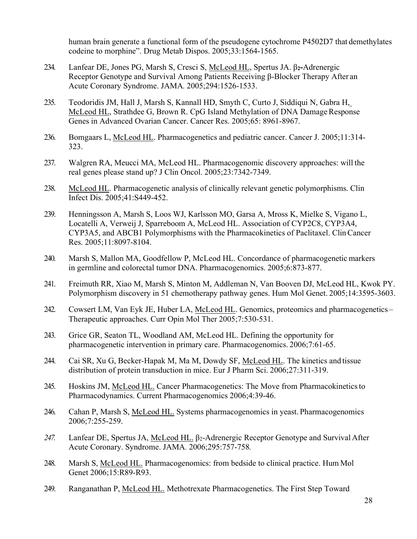human brain generate a functional form of the pseudogene cytochrome P4502D7 that demethylates codeine to morphine". Drug Metab Dispos. 2005;33:1564-1565.

- 234. Lanfear DE, Jones PG, Marsh S, Cresci S, McLeod HL, Spertus JA. β**2-**Adrenergic Receptor Genotype and Survival Among Patients Receiving β-Blocker Therapy After an Acute Coronary Syndrome. JAMA*.* 2005;294:1526-1533.
- 235. Teodoridis JM, Hall J, Marsh S, Kannall HD, Smyth C, Curto J, Siddiqui N, Gabra H, McLeod HL, Strathdee G, Brown R. CpG Island Methylation of DNA Damage Response Genes in Advanced Ovarian Cancer. Cancer Res. 2005;65: 8961-8967.
- 236. Bomgaars L, McLeod HL. Pharmacogenetics and pediatric cancer. Cancer J. 2005;11:314- 323.
- 237. Walgren RA, Meucci MA, McLeod HL. Pharmacogenomic discovery approaches: will the real genes please stand up? J Clin Oncol. 2005;23:7342-7349.
- 238. McLeod HL. Pharmacogenetic analysis of clinically relevant genetic polymorphisms. Clin Infect Dis. 2005;41:S449-452.
- 239. Henningsson A, Marsh S, Loos WJ, Karlsson MO, Garsa A, Mross K, Mielke S, Vigano L, Locatelli A, Verweij J, Sparreboom A, McLeod HL. Association of CYP2C8, CYP3A4, CYP3A5, and ABCB1 Polymorphisms with the Pharmacokinetics of Paclitaxel. ClinCancer Res. 2005;11:8097-8104.
- 240. Marsh S, Mallon MA, Goodfellow P, McLeod HL. Concordance of pharmacogenetic markers in germline and colorectal tumor DNA. Pharmacogenomics. 2005;6:873-877.
- 241. Freimuth RR, Xiao M, Marsh S, Minton M, Addleman N, Van Booven DJ, McLeod HL, Kwok PY. Polymorphism discovery in 51 chemotherapy pathway genes. Hum Mol Genet. 2005;14:3595-3603.
- 242. Cowsert LM, Van Eyk JE, Huber LA, McLeod HL. Genomics, proteomics and pharmacogenetics -Therapeutic approaches. Curr Opin Mol Ther 2005;7:530-531.
- 243. Grice GR, Seaton TL, Woodland AM, McLeod HL. Defining the opportunity for pharmacogenetic intervention in primary care. Pharmacogenomics. 2006;7:61-65.
- 244. Cai SR, Xu G, Becker-Hapak M, Ma M, Dowdy SF, McLeod HL. The kinetics and tissue distribution of protein transduction in mice. Eur J Pharm Sci. 2006;27:311-319.
- 245. Hoskins JM, McLeod HL. Cancer Pharmacogenetics: The Move from Pharmacokineticsto Pharmacodynamics. Current Pharmacogenomics 2006;4:39-46.
- 246. Cahan P, Marsh S, McLeod HL. Systems pharmacogenomics in yeast. Pharmacogenomics 2006;7:255-259.
- *247.* Lanfear DE, Spertus JA, McLeod HL. β2-Adrenergic Receptor Genotype and Survival After Acute Coronary. Syndrome. JAMA*.* 2006;295:757-758*.*
- 248. Marsh S, McLeod HL. Pharmacogenomics: from bedside to clinical practice. Hum Mol Genet 2006;15:R89-R93.
- 249. Ranganathan P, McLeod HL. Methotrexate Pharmacogenetics. The First Step Toward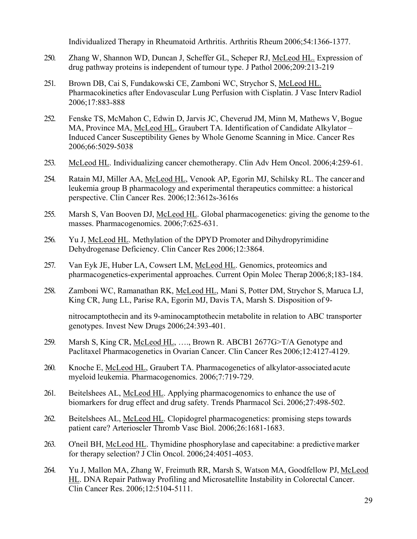Individualized Therapy in Rheumatoid Arthritis. Arthritis Rheum 2006;54:1366-1377.

- 250. Zhang W, Shannon WD, Duncan J, Scheffer GL, Scheper RJ, McLeod HL. Expression of drug pathway proteins is independent of tumour type. J Pathol 2006;209:213-219
- 251. Brown DB, Cai S, Fundakowski CE, Zamboni WC, Strychor S, McLeod HL. Pharmacokinetics after Endovascular Lung Perfusion with Cisplatin. J Vasc IntervRadiol 2006;17:883-888
- 252. Fenske TS, McMahon C, Edwin D, Jarvis JC, Cheverud JM, Minn M, Mathews V,Bogue MA, Province MA, McLeod HL, Graubert TA. Identification of Candidate Alkylator – Induced Cancer Susceptibility Genes by Whole Genome Scanning in Mice. Cancer Res 2006;66:5029-5038
- 253. McLeod HL. Individualizing cancer chemotherapy. Clin Adv Hem Oncol. 2006;4:259-61.
- 254. Ratain MJ, Miller AA, McLeod HL, Venook AP, Egorin MJ, Schilsky RL. The cancer and leukemia group B pharmacology and experimental therapeutics committee: a historical perspective. Clin Cancer Res. 2006;12:3612s-3616s
- 255. Marsh S, Van Booven DJ, McLeod HL. Global pharmacogenetics: giving the genome to the masses. Pharmacogenomics. 2006;7:625-631.
- 256. Yu J, McLeod HL. Methylation of the DPYD Promoter and Dihydropyrimidine Dehydrogenase Deficiency. Clin Cancer Res 2006;12:3864.
- 257. Van Eyk JE, Huber LA, Cowsert LM, McLeod HL. Genomics, proteomics and pharmacogenetics-experimental approaches. Current Opin Molec Therap 2006;8;183-184.
- 258. Zamboni WC, Ramanathan RK, McLeod HL, Mani S, Potter DM, Strychor S, Maruca LJ, King CR, Jung LL, Parise RA, Egorin MJ, Davis TA, Marsh S. Disposition of 9-

nitrocamptothecin and its 9-aminocamptothecin metabolite in relation to ABC transporter genotypes. Invest New Drugs 2006;24:393-401.

- 259. Marsh S, King CR, McLeod HL, …., Brown R. ABCB1 2677G>T/A Genotype and Paclitaxel Pharmacogenetics in Ovarian Cancer. Clin Cancer Res 2006;12:4127-4129.
- 260. Knoche E, McLeod HL, Graubert TA. Pharmacogenetics of alkylator-associated acute myeloid leukemia. Pharmacogenomics. 2006;7:719-729.
- 261. Beitelshees AL, McLeod HL. Applying pharmacogenomics to enhance the use of biomarkers for drug effect and drug safety. Trends Pharmacol Sci. 2006;27:498-502.
- 262. Beitelshees AL, McLeod HL. Clopidogrel pharmacogenetics: promising steps towards patient care? Arterioscler Thromb Vasc Biol. 2006;26:1681-1683.
- 263. O'neil BH, McLeod HL. Thymidine phosphorylase and capecitabine: a predictive marker for therapy selection? J Clin Oncol. 2006;24:4051-4053.
- 264. Yu J, Mallon MA, Zhang W, Freimuth RR, Marsh S, Watson MA, Goodfellow PJ, McLeod HL. DNA Repair Pathway Profiling and Microsatellite Instability in Colorectal Cancer. Clin Cancer Res. 2006;12:5104-5111.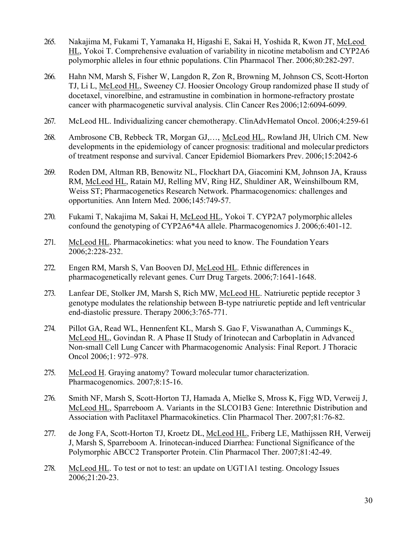- 265. Nakajima M, Fukami T, Yamanaka H, Higashi E, Sakai H, Yoshida R, Kwon JT, McLeod HL, Yokoi T. Comprehensive evaluation of variability in nicotine metabolism and CYP2A6 polymorphic alleles in four ethnic populations. Clin Pharmacol Ther. 2006;80:282-297.
- 266. Hahn NM, Marsh S, Fisher W, Langdon R, Zon R, Browning M, Johnson CS, Scott-Horton TJ, Li L, McLeod HL, Sweeney CJ. Hoosier Oncology Group randomized phase II study of docetaxel, vinorelbine, and estramustine in combination in hormone-refractory prostate cancer with pharmacogenetic survival analysis. Clin Cancer Res 2006;12:6094-6099.
- 267. McLeod HL. Individualizing cancer chemotherapy. ClinAdvHematol Oncol. 2006;4:259-61
- 268. Ambrosone CB, Rebbeck TR, Morgan GJ,…, McLeod HL, Rowland JH, Ulrich CM. New developments in the epidemiology of cancer prognosis: traditional and molecular predictors of treatment response and survival. Cancer Epidemiol Biomarkers Prev. 2006;15:2042-6
- 269. Roden DM, Altman RB, Benowitz NL, Flockhart DA, Giacomini KM, Johnson JA, Krauss RM, McLeod HL, Ratain MJ, Relling MV, Ring HZ, Shuldiner AR, Weinshilboum RM, Weiss ST; Pharmacogenetics Research Network. Pharmacogenomics: challenges and opportunities. Ann Intern Med. 2006;145:749-57.
- 270. Fukami T, Nakajima M, Sakai H, McLeod HL, Yokoi T. CYP2A7 polymorphic alleles confound the genotyping of CYP2A6\*4A allele. Pharmacogenomics J. 2006;6:401-12.
- 271. McLeod HL. Pharmacokinetics: what you need to know. The Foundation Years 2006;2:228-232.
- 272. Engen RM, Marsh S, Van Booven DJ, McLeod HL. Ethnic differences in pharmacogenetically relevant genes. Curr Drug Targets. 2006;7:1641-1648.
- 273. Lanfear DE, Stolker JM, Marsh S, Rich MW, McLeod HL. Natriuretic peptide receptor 3 genotype modulates the relationship between B-type natriuretic peptide and left ventricular end-diastolic pressure. Therapy 2006;3:765-771.
- 274. Pillot GA, Read WL, Hennenfent KL, Marsh S. Gao F, Viswanathan A, Cummings K, McLeod HL, Govindan R. A Phase II Study of Irinotecan and Carboplatin in Advanced Non-small Cell Lung Cancer with Pharmacogenomic Analysis: Final Report. J Thoracic Oncol 2006;1: 972–978.
- 275. McLeod H. Graying anatomy? Toward molecular tumor characterization. Pharmacogenomics. 2007;8:15-16.
- 276. Smith NF, Marsh S, Scott-Horton TJ, Hamada A, Mielke S, Mross K, Figg WD, Verweij J, McLeod HL, Sparreboom A. Variants in the SLCO1B3 Gene: Interethnic Distribution and Association with Paclitaxel Pharmacokinetics. Clin Pharmacol Ther. 2007;81:76-82.
- 277. de Jong FA, Scott-Horton TJ, Kroetz DL, McLeod HL, Friberg LE, Mathijssen RH, Verweij J, Marsh S, Sparreboom A. Irinotecan-induced Diarrhea: Functional Significance of the Polymorphic ABCC2 Transporter Protein. Clin Pharmacol Ther. 2007;81:42-49.
- 278. McLeod HL. To test or not to test: an update on UGT1A1 testing. Oncology Issues 2006;21:20-23.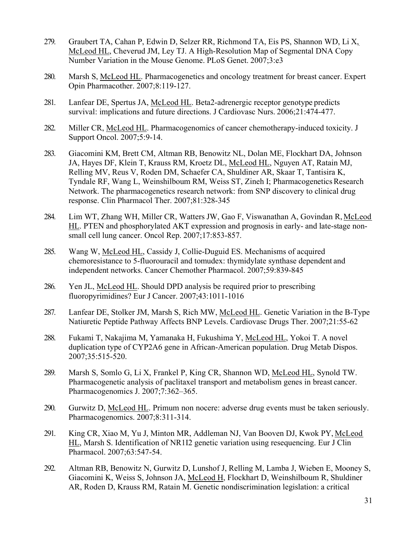- 279. Graubert TA, Cahan P, Edwin D, Selzer RR, Richmond TA, Eis PS, Shannon WD, Li X, McLeod HL, Cheverud JM, Ley TJ. A High-Resolution Map of Segmental DNA Copy Number Variation in the Mouse Genome. PLoS Genet. 2007;3:e3
- 280. Marsh S, McLeod HL. Pharmacogenetics and oncology treatment for breast cancer. Expert Opin Pharmacother. 2007;8:119-127.
- 281. Lanfear DE, Spertus JA, McLeod HL. Beta2-adrenergic receptor genotype predicts survival: implications and future directions. J Cardiovasc Nurs. 2006;21:474-477.
- 282. Miller CR, McLeod HL. Pharmacogenomics of cancer chemotherapy-induced toxicity. J Support Oncol. 2007;5:9-14.
- 283. Giacomini KM, Brett CM, Altman RB, Benowitz NL, Dolan ME, Flockhart DA, Johnson JA, Hayes DF, Klein T, Krauss RM, Kroetz DL, McLeod HL, Nguyen AT, Ratain MJ, Relling MV, Reus V, Roden DM, Schaefer CA, Shuldiner AR, Skaar T, Tantisira K, Tyndale RF, Wang L, Weinshilboum RM, Weiss ST, Zineh I; PharmacogeneticsResearch Network. The pharmacogenetics research network: from SNP discovery to clinical drug response. Clin Pharmacol Ther. 2007;81:328-345
- 284. Lim WT, Zhang WH, Miller CR, Watters JW, Gao F, Viswanathan A, Govindan R, McLeod HL. PTEN and phosphorylated AKT expression and prognosis in early- and late-stage nonsmall cell lung cancer. Oncol Rep. 2007;17:853-857.
- 285. Wang W, McLeod HL, Cassidy J, Collie-Duguid ES. Mechanisms of acquired chemoresistance to 5-fluorouracil and tomudex: thymidylate synthase dependent and independent networks. Cancer Chemother Pharmacol. 2007;59:839-845
- 286. Yen JL, McLeod HL. Should DPD analysis be required prior to prescribing fluoropyrimidines? Eur J Cancer. 2007;43:1011-1016
- 287. Lanfear DE, Stolker JM, Marsh S, Rich MW, McLeod HL. Genetic Variation in the B-Type Natiuretic Peptide Pathway Affects BNP Levels. Cardiovasc Drugs Ther. 2007;21:55-62
- 288. Fukami T, Nakajima M, Yamanaka H, Fukushima Y, McLeod HL, Yokoi T. A novel duplication type of CYP2A6 gene in African-American population. Drug Metab Dispos. 2007;35:515-520.
- 289. Marsh S, Somlo G, Li X, Frankel P, King CR, Shannon WD, McLeod HL, Synold TW. Pharmacogenetic analysis of paclitaxel transport and metabolism genes in breast cancer. Pharmacogenomics J. 2007;7:362–365.
- 290. Gurwitz D, McLeod HL. Primum non nocere: adverse drug events must be taken seriously. Pharmacogenomics. 2007;8:311-314.
- 291. King CR, Xiao M, Yu J, Minton MR, Addleman NJ, Van Booven DJ, Kwok PY, McLeod HL, Marsh S. Identification of NR1I2 genetic variation using resequencing. Eur J Clin Pharmacol. 2007;63:547-54.
- 292. Altman RB, Benowitz N, Gurwitz D, Lunshof J, Relling M, Lamba J, Wieben E, Mooney S, Giacomini K, Weiss S, Johnson JA, McLeod H, Flockhart D, Weinshilboum R, Shuldiner AR, Roden D, Krauss RM, Ratain M. Genetic nondiscrimination legislation: a critical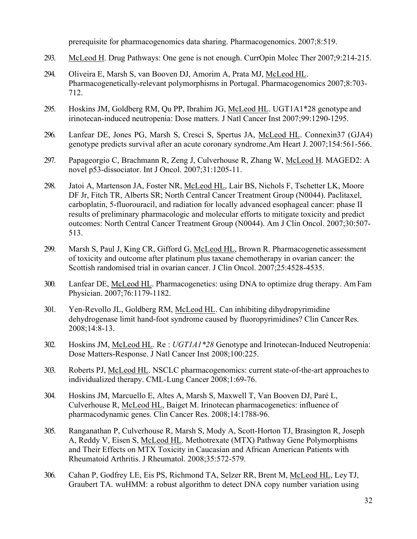prerequisite for pharmacogenomics data sharing. Pharmacogenomics. 2007;8:519.

- 293. McLeod H. Drug Pathways: One gene is not enough. CurrOpin Molec Ther 2007;9:214-215.
- 294. Oliveira E, Marsh S, van Booven DJ, Amorim A, Prata MJ, McLeod HL. Pharmacogenetically-relevant polymorphisms in Portugal. Pharmacogenomics 2007;8:703- 712.
- 295. Hoskins JM, Goldberg RM, Qu PP, Ibrahim JG, McLeod HL. UGT1A1\*28 genotype and irinotecan-induced neutropenia: Dose matters. J Natl Cancer Inst 2007;99:1290-1295.
- 296. Lanfear DE, Jones PG, Marsh S, Cresci S, Spertus JA, McLeod HL. Connexin37 (GJA4) genotype predicts survival after an acute coronary syndrome.Am Heart J. 2007;154:561-566.
- 297. Papageorgio C, Brachmann R, Zeng J, Culverhouse R, Zhang W, McLeod H. MAGED2: A novel p53-dissociator. Int J Oncol. 2007;31:1205-11.
- 298. Jatoi A, Martenson JA, Foster NR, McLeod HL, Lair BS, Nichols F, Tschetter LK, Moore DF Jr, Fitch TR, Alberts SR; North Central Cancer Treatment Group (N0044). Paclitaxel, carboplatin, 5-fluorouracil, and radiation for locally advanced esophageal cancer: phase II results of preliminary pharmacologic and molecular efforts to mitigate toxicity and predict outcomes: North Central Cancer Treatment Group (N0044). Am J Clin Oncol. 2007;30:507- 513.
- 299. Marsh S, Paul J, King CR, Gifford G, McLeod HL, Brown R. Pharmacogenetic assessment of toxicity and outcome after platinum plus taxane chemotherapy in ovarian cancer: the Scottish randomised trial in ovarian cancer. J Clin Oncol. 2007;25:4528-4535.
- 300. Lanfear DE, McLeod HL. Pharmacogenetics: using DNA to optimize drug therapy. Am Fam Physician. 2007;76:1179-1182.
- 301. Yen-Revollo JL, Goldberg RM, McLeod HL. Can inhibiting dihydropyrimidine dehydrogenase limit hand-foot syndrome caused by fluoropyrimidines? Clin CancerRes. 2008;14:8-13.
- 302. Hoskins JM, McLeod HL. Re : *UGT1A1\*28* Genotype and Irinotecan-Induced Neutropenia: Dose Matters-Response. J Natl Cancer Inst 2008;100:225.
- 303. Roberts PJ, McLeod HL. NSCLC pharmacogenomics: current state-of-the-art approachesto individualized therapy. CML-Lung Cancer 2008;1:69-76.
- 304. Hoskins JM, Marcuello E, Altes A, Marsh S, Maxwell T, Van Booven DJ, Paré L, Culverhouse R, McLeod HL, Baiget M. Irinotecan pharmacogenetics: influence of pharmacodynamic genes. Clin Cancer Res. 2008;14:1788-96.
- 305. Ranganathan P, Culverhouse R, Marsh S, Mody A, Scott-Horton TJ, Brasington R, Joseph A, Reddy V, Eisen S, McLeod HL. Methotrexate (MTX) Pathway Gene Polymorphisms and Their Effects on MTX Toxicity in Caucasian and African American Patients with Rheumatoid Arthritis. J Rheumatol. 2008;35:572-579.
- 306. Cahan P, Godfrey LE, Eis PS, Richmond TA, Selzer RR, Brent M, McLeod HL, LeyTJ, Graubert TA. wuHMM: a robust algorithm to detect DNA copy number variation using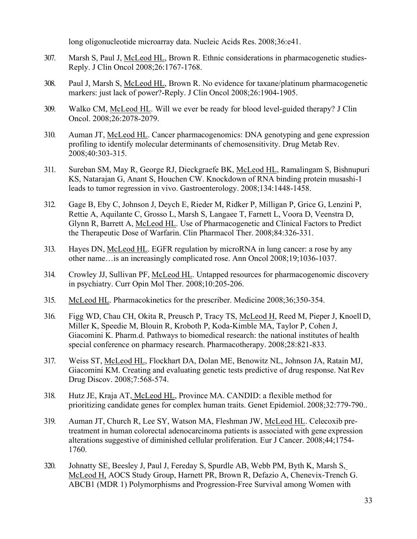long oligonucleotide microarray data. Nucleic Acids Res. 2008;36:e41.

- 307. Marsh S, Paul J, McLeod HL, Brown R. Ethnic considerations in pharmacogenetic studies-Reply. J Clin Oncol 2008;26:1767-1768.
- 308. Paul J, Marsh S, McLeod HL, Brown R. No evidence for taxane/platinum pharmacogenetic markers: just lack of power?-Reply. J Clin Oncol 2008;26:1904-1905.
- 309. Walko CM, McLeod HL. Will we ever be ready for blood level-guided therapy? J Clin Oncol. 2008;26:2078-2079.
- 310. Auman JT, McLeod HL. Cancer pharmacogenomics: DNA genotyping and gene expression profiling to identify molecular determinants of chemosensitivity. Drug Metab Rev. 2008;40:303-315.
- 311. Sureban SM, May R, George RJ, Dieckgraefe BK, McLeod HL, Ramalingam S, Bishnupuri KS, Natarajan G, Anant S, Houchen CW. Knockdown of RNA binding protein musashi-1 leads to tumor regression in vivo. Gastroenterology. 2008;134:1448-1458.
- 312. Gage B, Eby C, Johnson J, Deych E, Rieder M, Ridker P, Milligan P, Grice G, Lenzini P, Rettie A, Aquilante C, Grosso L, Marsh S, Langaee T, Farnett L, Voora D, Veenstra D, Glynn R, Barrett A, McLeod HL. Use of Pharmacogenetic and Clinical Factors to Predict the Therapeutic Dose of Warfarin. Clin Pharmacol Ther. 2008;84:326-331.
- 313. Hayes DN, McLeod HL. EGFR regulation by microRNA in lung cancer: a rose by any other name…is an increasingly complicated rose. Ann Oncol 2008;19;1036-1037.
- 314. Crowley JJ, Sullivan PF, McLeod HL. Untapped resources for pharmacogenomic discovery in psychiatry. Curr Opin Mol Ther. 2008;10:205-206.
- 315. McLeod HL. Pharmacokinetics for the prescriber. Medicine 2008;36;350-354.
- 316. Figg WD, Chau CH, Okita R, Preusch P, Tracy TS, McLeod H, Reed M, Pieper J, Knoell D, Miller K, Speedie M, Blouin R, Kroboth P, Koda-Kimble MA, Taylor P, Cohen J, Giacomini K. Pharm.d. Pathways to biomedical research: the national institutes of health special conference on pharmacy research. Pharmacotherapy. 2008;28:821-833.
- 317. Weiss ST, McLeod HL, Flockhart DA, Dolan ME, Benowitz NL, Johnson JA, Ratain MJ, Giacomini KM. Creating and evaluating genetic tests predictive of drug response. Nat Rev Drug Discov. 2008;7:568-574.
- 318. Hutz JE, Kraja AT, McLeod HL, Province MA. CANDID: a flexible method for prioritizing candidate genes for complex human traits. Genet Epidemiol. 2008;32:779-790..
- 319. Auman JT, Church R, Lee SY, Watson MA, Fleshman JW, McLeod HL. Celecoxib pretreatment in human colorectal adenocarcinoma patients is associated with gene expression alterations suggestive of diminished cellular proliferation. Eur J Cancer. 2008;44;1754- 1760.
- 320. Johnatty SE, Beesley J, Paul J, Fereday S, Spurdle AB, Webb PM, Byth K, Marsh S, McLeod H, AOCS Study Group, Harnett PR, Brown R, Defazio A, Chenevix-Trench G. ABCB1 (MDR 1) Polymorphisms and Progression-Free Survival among Women with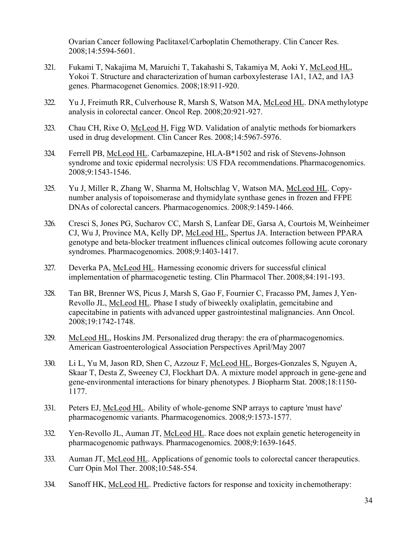Ovarian Cancer following Paclitaxel/Carboplatin Chemotherapy. Clin Cancer Res. 2008;14:5594-5601.

- 321. Fukami T, Nakajima M, Maruichi T, Takahashi S, Takamiya M, Aoki Y, McLeod HL, Yokoi T. Structure and characterization of human carboxylesterase 1A1, 1A2, and 1A3 genes. Pharmacogenet Genomics. 2008;18:911-920.
- 322. Yu J, Freimuth RR, Culverhouse R, Marsh S, Watson MA, McLeod HL. DNAmethylotype analysis in colorectal cancer. Oncol Rep. 2008;20:921-927.
- 323. Chau CH, Rixe O, McLeod H, Figg WD. Validation of analytic methods for biomarkers used in drug development. Clin Cancer Res. 2008;14:5967-5976.
- 324. Ferrell PB, McLeod HL. Carbamazepine, HLA-B\*1502 and risk of Stevens-Johnson syndrome and toxic epidermal necrolysis: US FDA recommendations. Pharmacogenomics. 2008;9:1543-1546.
- 325. Yu J, Miller R, Zhang W, Sharma M, Holtschlag V, Watson MA, McLeod HL. Copynumber analysis of topoisomerase and thymidylate synthase genes in frozen and FFPE DNAs of colorectal cancers. Pharmacogenomics. 2008;9:1459-1466.
- 326. Cresci S, Jones PG, Sucharov CC, Marsh S, Lanfear DE, Garsa A, Courtois M, Weinheimer CJ, Wu J, Province MA, Kelly DP, McLeod HL, Spertus JA. Interaction between PPARA genotype and beta-blocker treatment influences clinical outcomes following acute coronary syndromes. Pharmacogenomics. 2008;9:1403-1417.
- 327. Deverka PA, McLeod HL. Harnessing economic drivers for successful clinical implementation of pharmacogenetic testing. Clin Pharmacol Ther. 2008;84:191-193.
- 328. Tan BR, Brenner WS, Picus J, Marsh S, Gao F, Fournier C, Fracasso PM, James J, Yen-Revollo JL, McLeod HL. Phase I study of biweekly oxaliplatin, gemcitabine and capecitabine in patients with advanced upper gastrointestinal malignancies. Ann Oncol. 2008;19:1742-1748.
- 329. McLeod HL, Hoskins JM. Personalized drug therapy: the era of pharmacogenomics. American Gastroenterological Association Perspectives April/May 2007
- 330. Li L, Yu M, Jason RD, Shen C, Azzouz F, McLeod HL, Borges-Gonzales S, Nguyen A, Skaar T, Desta Z, Sweeney CJ, Flockhart DA. A mixture model approach in gene-gene and gene-environmental interactions for binary phenotypes. J Biopharm Stat. 2008;18:1150- 1177.
- 331. Peters EJ, McLeod HL. Ability of whole-genome SNP arrays to capture 'must have' pharmacogenomic variants. Pharmacogenomics. 2008;9:1573-1577.
- 332. Yen-Revollo JL, Auman JT, McLeod HL. Race does not explain genetic heterogeneity in pharmacogenomic pathways. Pharmacogenomics. 2008;9:1639-1645.
- 333. Auman JT, McLeod HL. Applications of genomic tools to colorectal cancer therapeutics. Curr Opin Mol Ther. 2008;10:548-554.
- 334. Sanoff HK, McLeod HL. Predictive factors for response and toxicity in chemotherapy: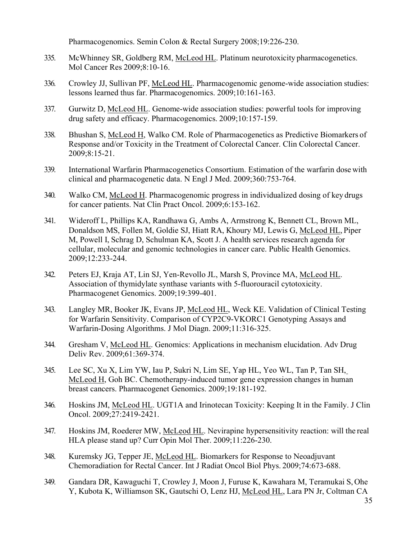Pharmacogenomics. Semin Colon & Rectal Surgery 2008;19:226-230.

- 335. McWhinney SR, Goldberg RM, McLeod HL. Platinum neurotoxicity pharmacogenetics. Mol Cancer Res 2009;8:10-16.
- 336. Crowley JJ, Sullivan PF, McLeod HL. Pharmacogenomic genome-wide association studies: lessons learned thus far. Pharmacogenomics. 2009;10:161-163.
- 337. Gurwitz D, McLeod HL. Genome-wide association studies: powerful tools for improving drug safety and efficacy. Pharmacogenomics. 2009;10:157-159.
- 338. Bhushan S, McLeod H, Walko CM. Role of Pharmacogenetics as Predictive Biomarkers of Response and/or Toxicity in the Treatment of Colorectal Cancer. Clin Colorectal Cancer. 2009;8:15-21.
- 339. International Warfarin Pharmacogenetics Consortium. Estimation of the warfarin dose with clinical and pharmacogenetic data. N Engl J Med. 2009;360:753-764.
- 340. Walko CM, McLeod H. Pharmacogenomic progress in individualized dosing of key drugs for cancer patients. Nat Clin Pract Oncol. 2009;6:153-162.
- 341. Wideroff L, Phillips KA, Randhawa G, Ambs A, Armstrong K, Bennett CL, Brown ML, Donaldson MS, Follen M, Goldie SJ, Hiatt RA, Khoury MJ, Lewis G, McLeod HL, Piper M, Powell I, Schrag D, Schulman KA, Scott J. A health services research agenda for cellular, molecular and genomic technologies in cancer care. Public Health Genomics. 2009;12:233-244.
- 342. Peters EJ, Kraja AT, Lin SJ, Yen-Revollo JL, Marsh S, Province MA, McLeod HL. Association of thymidylate synthase variants with 5-fluorouracil cytotoxicity. Pharmacogenet Genomics. 2009;19:399-401.
- 343. Langley MR, Booker JK, Evans JP, McLeod HL, Weck KE. Validation of Clinical Testing for Warfarin Sensitivity. Comparison of CYP2C9-VKORC1 Genotyping Assays and Warfarin-Dosing Algorithms. J Mol Diagn. 2009;11:316-325.
- 344. Gresham V, McLeod HL. Genomics: Applications in mechanism elucidation. Adv Drug Deliv Rev. 2009;61:369-374.
- 345. Lee SC, Xu X, Lim YW, Iau P, Sukri N, Lim SE, Yap HL, Yeo WL, Tan P, Tan SH, McLeod H, Goh BC. Chemotherapy-induced tumor gene expression changes in human breast cancers. Pharmacogenet Genomics. 2009;19:181-192.
- 346. Hoskins JM, McLeod HL. UGT1A and Irinotecan Toxicity: Keeping It in the Family. J Clin Oncol. 2009;27:2419-2421.
- 347. Hoskins JM, Roederer MW, McLeod HL. Nevirapine hypersensitivity reaction: will the real HLA please stand up? Curr Opin Mol Ther. 2009;11:226-230.
- 348. Kuremsky JG, Tepper JE, McLeod HL. Biomarkers for Response to Neoadjuvant Chemoradiation for Rectal Cancer. Int J Radiat Oncol Biol Phys. 2009;74:673-688.
- 349. Gandara DR, Kawaguchi T, Crowley J, Moon J, Furuse K, Kawahara M, Teramukai S, Ohe Y, Kubota K, Williamson SK, Gautschi O, Lenz HJ, McLeod HL, Lara PN Jr, Coltman CA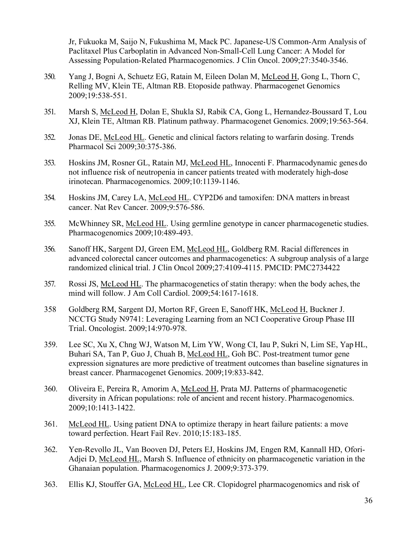Jr, Fukuoka M, Saijo N, Fukushima M, Mack PC. Japanese-US Common-Arm Analysis of Paclitaxel Plus Carboplatin in Advanced Non-Small-Cell Lung Cancer: A Model for Assessing Population-Related Pharmacogenomics. J Clin Oncol. 2009;27:3540-3546.

- 350. Yang J, Bogni A, Schuetz EG, Ratain M, Eileen Dolan M, McLeod H, Gong L, Thorn C, Relling MV, Klein TE, Altman RB. Etoposide pathway. Pharmacogenet Genomics 2009;19:538-551.
- 351. Marsh S, McLeod H, Dolan E, Shukla SJ, Rabik CA, Gong L, Hernandez-Boussard T, Lou XJ, Klein TE, Altman RB. Platinum pathway. Pharmacogenet Genomics. 2009;19:563-564.
- 352. Jonas DE, McLeod HL. Genetic and clinical factors relating to warfarin dosing. Trends Pharmacol Sci 2009;30:375-386.
- 353. Hoskins JM, Rosner GL, Ratain MJ, McLeod HL, Innocenti F. Pharmacodynamic genes do not influence risk of neutropenia in cancer patients treated with moderately high-dose irinotecan. Pharmacogenomics. 2009;10:1139-1146.
- 354. Hoskins JM, Carey LA, McLeod HL. CYP2D6 and tamoxifen: DNA matters in breast cancer. Nat Rev Cancer. 2009;9:576-586.
- 355. McWhinney SR, McLeod HL. Using germline genotype in cancer pharmacogenetic studies. Pharmacogenomics 2009;10:489-493.
- 356. Sanoff HK, Sargent DJ, Green EM, McLeod HL, Goldberg RM. Racial differences in advanced colorectal cancer outcomes and pharmacogenetics: A subgroup analysis of a large randomized clinical trial. J Clin Oncol 2009;27:4109-4115. PMCID: PMC2734422
- 357. Rossi JS, McLeod HL. The pharmacogenetics of statin therapy: when the body aches, the mind will follow. J Am Coll Cardiol. 2009;54:1617-1618.
- 358 Goldberg RM, Sargent DJ, Morton RF, Green E, Sanoff HK, McLeod H, Buckner J. NCCTG Study N9741: Leveraging Learning from an NCI Cooperative Group Phase III Trial. Oncologist. 2009;14:970-978.
- 359. Lee SC, Xu X, Chng WJ, Watson M, Lim YW, Wong CI, Iau P, Sukri N, Lim SE, YapHL, Buhari SA, Tan P, Guo J, Chuah B, McLeod HL, Goh BC. Post-treatment tumor gene expression signatures are more predictive of treatment outcomes than baseline signatures in breast cancer. Pharmacogenet Genomics. 2009;19:833-842.
- 360. Oliveira E, Pereira R, Amorim A, McLeod H, Prata MJ. Patterns of pharmacogenetic diversity in African populations: role of ancient and recent history. Pharmacogenomics. 2009;10:1413-1422.
- 361. McLeod HL. Using patient DNA to optimize therapy in heart failure patients: a move toward perfection. Heart Fail Rev. 2010;15:183-185.
- 362. Yen-Revollo JL, Van Booven DJ, Peters EJ, Hoskins JM, Engen RM, Kannall HD, Ofori-Adjei D, McLeod HL, Marsh S. Influence of ethnicity on pharmacogenetic variation in the Ghanaian population. Pharmacogenomics J. 2009;9:373-379.
- 363. Ellis KJ, Stouffer GA, McLeod HL, Lee CR. Clopidogrel pharmacogenomics and risk of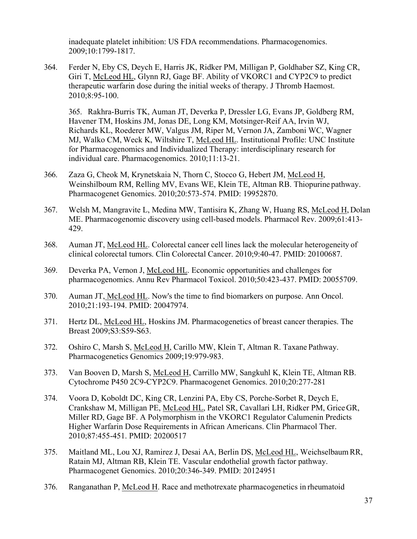inadequate platelet inhibition: US FDA recommendations. Pharmacogenomics. 2009;10:1799-1817.

364. Ferder N, Eby CS, Deych E, Harris JK, Ridker PM, Milligan P, Goldhaber SZ, King CR, Giri T, McLeod HL, Glynn RJ, Gage BF. Ability of VKORC1 and CYP2C9 to predict therapeutic warfarin dose during the initial weeks of therapy. J Thromb Haemost. 2010;8:95-100.

365. Rakhra-Burris TK, Auman JT, Deverka P, Dressler LG, Evans JP, Goldberg RM, Havener TM, Hoskins JM, Jonas DE, Long KM, Motsinger-Reif AA, Irvin WJ, Richards KL, Roederer MW, Valgus JM, Riper M, Vernon JA, Zamboni WC, Wagner MJ, Walko CM, Weck K, Wiltshire T, McLeod HL. Institutional Profile: UNC Institute for Pharmacogenomics and Individualized Therapy: interdisciplinary research for individual care. Pharmacogenomics. 2010;11:13-21.

- 366. Zaza G, Cheok M, Krynetskaia N, Thorn C, Stocco G, Hebert JM, McLeod H, Weinshilboum RM, Relling MV, Evans WE, Klein TE, Altman RB. Thiopurine pathway. Pharmacogenet Genomics. 2010;20:573-574. PMID: 19952870.
- 367. Welsh M, Mangravite L, Medina MW, Tantisira K, Zhang W, Huang RS, McLeod H, Dolan ME. Pharmacogenomic discovery using cell-based models. Pharmacol Rev. 2009;61:413- 429.
- 368. Auman JT, McLeod HL. Colorectal cancer cell lines lack the molecular heterogeneity of clinical colorectal tumors. Clin Colorectal Cancer. 2010;9:40-47. PMID: 20100687.
- 369. Deverka PA, Vernon J, McLeod HL. Economic opportunities and challenges for pharmacogenomics. Annu Rev Pharmacol Toxicol. 2010;50:423-437. PMID: 20055709.
- 370. Auman JT, McLeod HL. Now's the time to find biomarkers on purpose. Ann Oncol. 2010;21:193-194. PMID: 20047974.
- 371. Hertz DL, McLeod HL, Hoskins JM. Pharmacogenetics of breast cancer therapies. The Breast 2009;S3:S59-S63.
- 372. Oshiro C, Marsh S, McLeod H, Carillo MW, Klein T, Altman R. Taxane Pathway. Pharmacogenetics Genomics 2009;19:979-983.
- 373. Van Booven D, Marsh S, McLeod H, Carrillo MW, Sangkuhl K, Klein TE, Altman RB. Cytochrome P450 2C9-CYP2C9. Pharmacogenet Genomics. 2010;20:277-281
- 374. Voora D, Koboldt DC, King CR, Lenzini PA, Eby CS, Porche-Sorbet R, Deych E, Crankshaw M, Milligan PE, McLeod HL, Patel SR, Cavallari LH, Ridker PM, GriceGR, Miller RD, Gage BF. A Polymorphism in the VKORC1 Regulator Calumenin Predicts Higher Warfarin Dose Requirements in African Americans. Clin Pharmacol Ther. 2010;87:455-451. PMID: 20200517
- 375. Maitland ML, Lou XJ, Ramirez J, Desai AA, Berlin DS, McLeod HL, WeichselbaumRR, Ratain MJ, Altman RB, Klein TE. Vascular endothelial growth factor pathway. Pharmacogenet Genomics. 2010;20:346-349. PMID: 20124951
- 376. Ranganathan P, McLeod H. Race and methotrexate pharmacogenetics in rheumatoid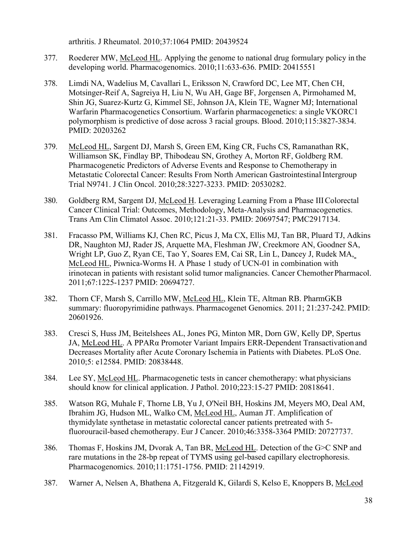arthritis. J Rheumatol. 2010;37:1064 PMID: 20439524

- 377. Roederer MW, McLeod HL. Applying the genome to national drug formulary policy in the developing world. Pharmacogenomics. 2010;11:633-636. PMID: 20415551
- 378. Limdi NA, Wadelius M, Cavallari L, Eriksson N, Crawford DC, Lee MT, Chen CH, Motsinger-Reif A, Sagreiya H, Liu N, Wu AH, Gage BF, Jorgensen A, Pirmohamed M, Shin JG, Suarez-Kurtz G, Kimmel SE, Johnson JA, Klein TE, Wagner MJ; International Warfarin Pharmacogenetics Consortium. Warfarin pharmacogenetics: a single VKORC1 polymorphism is predictive of dose across 3 racial groups. Blood. 2010;115:3827-3834. PMID: 20203262
- 379. McLeod HL, Sargent DJ, Marsh S, Green EM, King CR, Fuchs CS, Ramanathan RK, Williamson SK, Findlay BP, Thibodeau SN, Grothey A, Morton RF, Goldberg RM. Pharmacogenetic Predictors of Adverse Events and Response to Chemotherapy in Metastatic Colorectal Cancer: Results From North American GastrointestinalIntergroup Trial N9741. J Clin Oncol. 2010;28:3227-3233. PMID: 20530282.
- 380. Goldberg RM, Sargent DJ, McLeod H. Leveraging Learning From a Phase IIIColorectal Cancer Clinical Trial: Outcomes, Methodology, Meta-Analysis and Pharmacogenetics. Trans Am Clin Climatol Assoc. 2010;121:21-33. PMID: 20697547; PMC2917134.
- 381. Fracasso PM, Williams KJ, Chen RC, Picus J, Ma CX, Ellis MJ, Tan BR, Pluard TJ, Adkins DR, Naughton MJ, Rader JS, Arquette MA, Fleshman JW, Creekmore AN, Goodner SA, Wright LP, Guo Z, Ryan CE, Tao Y, Soares EM, Cai SR, Lin L, Dancey J, Rudek MA, McLeod HL, Piwnica-Worms H. A Phase 1 study of UCN-01 in combination with irinotecan in patients with resistant solid tumor malignancies. Cancer Chemother Pharmacol. 2011;67:1225-1237 PMID: 20694727.
- 382. Thorn CF, Marsh S, Carrillo MW, McLeod HL, Klein TE, Altman RB. PharmGKB summary: fluoropyrimidine pathways. Pharmacogenet Genomics. 2011; 21:237-242. PMID: 20601926.
- 383. Cresci S, Huss JM, Beitelshees AL, Jones PG, Minton MR, Dorn GW, Kelly DP, Spertus JA, McLeod HL. A PPARα Promoter Variant Impairs ERR-Dependent Transactivation and Decreases Mortality after Acute Coronary Ischemia in Patients with Diabetes. PLoS One. 2010;5: e12584. PMID: 20838448.
- 384. Lee SY, McLeod HL. Pharmacogenetic tests in cancer chemotherapy: what physicians should know for clinical application. J Pathol. 2010;223:15-27 PMID: 20818641.
- 385. Watson RG, Muhale F, Thorne LB, Yu J, O'Neil BH, Hoskins JM, Meyers MO, Deal AM, Ibrahim JG, Hudson ML, Walko CM, McLeod HL, Auman JT. Amplification of thymidylate synthetase in metastatic colorectal cancer patients pretreated with 5 fluorouracil-based chemotherapy. Eur J Cancer. 2010;46:3358-3364 PMID: 20727737.
- 386. Thomas F, Hoskins JM, Dvorak A, Tan BR, McLeod HL. Detection of the G>C SNP and rare mutations in the 28-bp repeat of TYMS using gel-based capillary electrophoresis. Pharmacogenomics. 2010;11:1751-1756. PMID: 21142919.
- 387. Warner A, Nelsen A, Bhathena A, Fitzgerald K, Gilardi S, Kelso E, Knoppers B, McLeod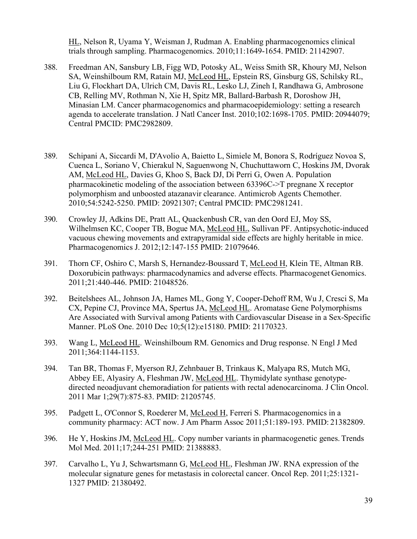HL, Nelson R, Uyama Y, Weisman J, Rudman A. Enabling pharmacogenomics clinical trials through sampling. Pharmacogenomics. 2010;11:1649-1654. PMID: 21142907.

- 388. Freedman AN, Sansbury LB, Figg WD, Potosky AL, Weiss Smith SR, Khoury MJ, Nelson SA, Weinshilboum RM, Ratain MJ, McLeod HL, Epstein RS, Ginsburg GS, Schilsky RL, Liu G, Flockhart DA, Ulrich CM, Davis RL, Lesko LJ, Zineh I, Randhawa G, Ambrosone CB, Relling MV, Rothman N, Xie H, Spitz MR, Ballard-Barbash R, Doroshow JH, Minasian LM. Cancer pharmacogenomics and pharmacoepidemiology: setting a research agenda to accelerate translation. J Natl Cancer Inst. 2010;102:1698-1705. PMID: 20944079; Central PMCID: PMC2982809.
- 389. Schipani A, Siccardi M, D'Avolio A, Baietto L, Simiele M, Bonora S, Rodríguez Novoa S, Cuenca L, Soriano V, Chierakul N, Saguenwong N, Chuchuttaworn C, Hoskins JM, Dvorak AM, McLeod HL, Davies G, Khoo S, Back DJ, Di Perri G, Owen A. Population pharmacokinetic modeling of the association between 63396C->T pregnane X receptor polymorphism and unboosted atazanavir clearance. Antimicrob Agents Chemother. 2010;54:5242-5250. PMID: 20921307; Central PMCID: PMC2981241.
- 390. Crowley JJ, Adkins DE, Pratt AL, Quackenbush CR, van den Oord EJ, Moy SS, Wilhelmsen KC, Cooper TB, Bogue MA, McLeod HL, Sullivan PF. Antipsychotic-induced vacuous chewing movements and extrapyramidal side effects are highly heritable in mice. Pharmacogenomics J. 2012;12:147-155 PMID: 21079646.
- 391. Thorn CF, Oshiro C, Marsh S, Hernandez-Boussard T, McLeod H, Klein TE, Altman RB. Doxorubicin pathways: pharmacodynamics and adverse effects. Pharmacogenet Genomics. 2011;21:440-446. PMID: 21048526.
- 392. Beitelshees AL, Johnson JA, Hames ML, Gong Y, Cooper-Dehoff RM, Wu J, Cresci S, Ma CX, Pepine CJ, Province MA, Spertus JA, McLeod HL. Aromatase Gene Polymorphisms Are Associated with Survival among Patients with Cardiovascular Disease in a Sex-Specific Manner. PLoS One. 2010 Dec 10;5(12):e15180. PMID: 21170323.
- 393. Wang L, McLeod HL. Weinshilboum RM. Genomics and Drug response. N Engl J Med 2011;364:1144-1153.
- 394. Tan BR, Thomas F, Myerson RJ, Zehnbauer B, Trinkaus K, Malyapa RS, Mutch MG, Abbey EE, Alyasiry A, Fleshman JW, McLeod HL. Thymidylate synthase genotypedirected neoadjuvant chemoradiation for patients with rectal adenocarcinoma. J Clin Oncol. 2011 Mar 1;29(7):875-83. PMID: 21205745.
- 395. Padgett L, O'Connor S, Roederer M, McLeod H, Ferreri S. Pharmacogenomics in a community pharmacy: ACT now. J Am Pharm Assoc 2011;51:189-193. PMID: 21382809.
- 396. He Y, Hoskins JM, McLeod HL. Copy number variants in pharmacogenetic genes. Trends Mol Med. 2011;17;244-251 PMID: 21388883.
- 397. Carvalho L, Yu J, Schwartsmann G, McLeod HL, Fleshman JW. RNA expression of the molecular signature genes for metastasis in colorectal cancer. Oncol Rep. 2011;25:1321- 1327 PMID: 21380492.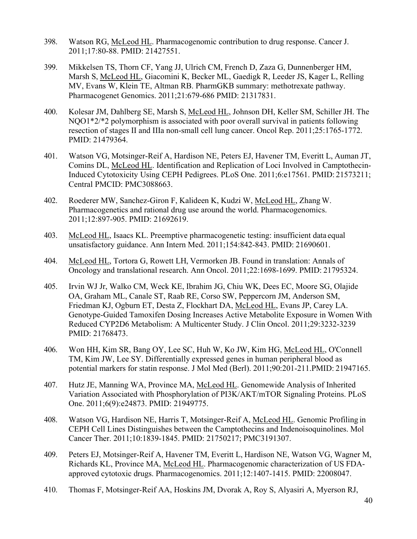- 398. Watson RG, McLeod HL. Pharmacogenomic contribution to drug response. Cancer J. 2011;17:80-88. PMID: 21427551.
- 399. Mikkelsen TS, Thorn CF, Yang JJ, Ulrich CM, French D, Zaza G, Dunnenberger HM, Marsh S, McLeod HL, Giacomini K, Becker ML, Gaedigk R, Leeder JS, Kager L, Relling MV, Evans W, Klein TE, Altman RB. PharmGKB summary: methotrexate pathway. Pharmacogenet Genomics. 2011;21:679-686 PMID: 21317831.
- 400. Kolesar JM, Dahlberg SE, Marsh S, McLeod HL, Johnson DH, Keller SM, Schiller JH. The NQO1\*2/\*2 polymorphism is associated with poor overall survival in patients following resection of stages II and IIIa non-small cell lung cancer. Oncol Rep. 2011;25:1765-1772. PMID: 21479364.
- 401. Watson VG, Motsinger-Reif A, Hardison NE, Peters EJ, Havener TM, Everitt L, Auman JT, Comins DL, McLeod HL. Identification and Replication of Loci Involved in Camptothecin-Induced Cytotoxicity Using CEPH Pedigrees. PLoS One. 2011;6:e17561. PMID: 21573211; Central PMCID: PMC3088663.
- 402. Roederer MW, Sanchez-Giron F, Kalideen K, Kudzi W, McLeod HL, Zhang W. Pharmacogenetics and rational drug use around the world. Pharmacogenomics. 2011;12:897-905. PMID: 21692619.
- 403. McLeod HL, Isaacs KL. Preemptive pharmacogenetic testing: insufficient data equal unsatisfactory guidance. Ann Intern Med. 2011;154:842-843. PMID: 21690601.
- 404. McLeod HL, Tortora G, Rowett LH, Vermorken JB. Found in translation: Annals of Oncology and translational research. Ann Oncol. 2011;22:1698-1699. PMID: 21795324.
- 405. Irvin WJ Jr, Walko CM, Weck KE, Ibrahim JG, Chiu WK, Dees EC, Moore SG, Olajide OA, Graham ML, Canale ST, Raab RE, Corso SW, Peppercorn JM, Anderson SM, Friedman KJ, Ogburn ET, Desta Z, Flockhart DA, McLeod HL, Evans JP, Carey LA. Genotype-Guided Tamoxifen Dosing Increases Active Metabolite Exposure in Women With Reduced CYP2D6 Metabolism: A Multicenter Study. J Clin Oncol. 2011;29:3232-3239 PMID: 21768473.
- 406. Won HH, Kim SR, Bang OY, Lee SC, Huh W, Ko JW, Kim HG, McLeod HL, O'Connell TM, Kim JW, Lee SY. Differentially expressed genes in human peripheral blood as potential markers for statin response. J Mol Med (Berl). 2011;90:201-211.PMID: 21947165.
- 407. Hutz JE, Manning WA, Province MA, McLeod HL. Genomewide Analysis of Inherited Variation Associated with Phosphorylation of PI3K/AKT/mTOR Signaling Proteins. PLoS One. 2011;6(9):e24873. PMID: 21949775.
- 408. Watson VG, Hardison NE, Harris T, Motsinger-Reif A, McLeod HL. Genomic Profiling in CEPH Cell Lines Distinguishes between the Camptothecins and Indenoisoquinolines. Mol Cancer Ther. 2011;10:1839-1845. PMID: 21750217; PMC3191307.
- 409. Peters EJ, Motsinger-Reif A, Havener TM, Everitt L, Hardison NE, Watson VG, Wagner M, Richards KL, Province MA, McLeod HL. Pharmacogenomic characterization of US FDAapproved cytotoxic drugs. Pharmacogenomics. 2011;12:1407-1415. PMID: 22008047.
- 410. Thomas F, Motsinger-Reif AA, Hoskins JM, Dvorak A, Roy S, Alyasiri A, Myerson RJ,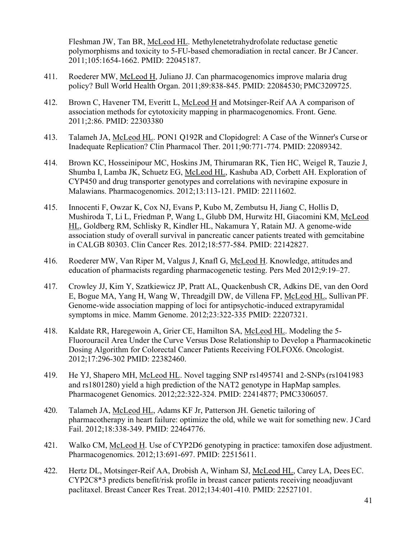Fleshman JW, Tan BR, McLeod HL. Methylenetetrahydrofolate reductase genetic polymorphisms and toxicity to 5-FU-based chemoradiation in rectal cancer. Br JCancer. 2011;105:1654-1662. PMID: 22045187.

- 411. Roederer MW, McLeod H, Juliano JJ. Can pharmacogenomics improve malaria drug policy? Bull World Health Organ. 2011;89:838-845. PMID: 22084530; PMC3209725.
- 412. Brown C, Havener TM, Everitt L, McLeod H and Motsinger-Reif AA A comparison of association methods for cytotoxicity mapping in pharmacogenomics. Front. Gene*.*  2011;2:86. PMID: 22303380
- 413. Talameh JA, McLeod HL. PON1 Q192R and Clopidogrel: A Case of the Winner's Curse or Inadequate Replication? Clin Pharmacol Ther. 2011;90:771-774. PMID: 22089342.
- 414. Brown KC, Hosseinipour MC, Hoskins JM, Thirumaran RK, Tien HC, Weigel R, Tauzie J, Shumba I, Lamba JK, Schuetz EG, McLeod HL, Kashuba AD, Corbett AH. Exploration of CYP450 and drug transporter genotypes and correlations with nevirapine exposure in Malawians. Pharmacogenomics. 2012;13:113-121. PMID: 22111602.
- 415. Innocenti F, Owzar K, Cox NJ, Evans P, Kubo M, Zembutsu H, Jiang C, Hollis D, Mushiroda T, Li L, Friedman P, Wang L, Glubb DM, Hurwitz HI, Giacomini KM, McLeod HL, Goldberg RM, Schlisky R, Kindler HL, Nakamura Y, Ratain MJ. A genome-wide association study of overall survival in pancreatic cancer patients treated with gemcitabine in CALGB 80303. Clin Cancer Res. 2012;18:577-584. PMID: 22142827.
- 416. Roederer MW, Van Riper M, Valgus J, Knafl G, McLeod H. Knowledge, attitudes and education of pharmacists regarding pharmacogenetic testing. Pers Med 2012;9:19–27.
- 417. Crowley JJ, Kim Y, Szatkiewicz JP, Pratt AL, Quackenbush CR, Adkins DE, van den Oord E, Bogue MA, Yang H, Wang W, Threadgill DW, de Villena FP, McLeod HL, Sullivan PF. Genome-wide association mapping of loci for antipsychotic-induced extrapyramidal symptoms in mice. Mamm Genome. 2012;23:322-335 PMID: 22207321.
- 418. Kaldate RR, Haregewoin A, Grier CE, Hamilton SA, McLeod HL. Modeling the 5- Fluorouracil Area Under the Curve Versus Dose Relationship to Develop a Pharmacokinetic Dosing Algorithm for Colorectal Cancer Patients Receiving FOLFOX6. Oncologist. 2012;17:296-302 PMID: 22382460.
- 419. He YJ, Shapero MH, McLeod HL. Novel tagging SNP rs1495741 and 2-SNPs(rs1041983 and rs1801280) yield a high prediction of the NAT2 genotype in HapMap samples. Pharmacogenet Genomics. 2012;22:322-324. PMID: 22414877; PMC3306057.
- 420. Talameh JA, McLeod HL, Adams KF Jr, Patterson JH. Genetic tailoring of pharmacotherapy in heart failure: optimize the old, while we wait for something new. JCard Fail. 2012;18:338-349. PMID: 22464776.
- 421. Walko CM, McLeod H. Use of CYP2D6 genotyping in practice: tamoxifen dose adjustment. Pharmacogenomics. 2012;13:691-697. PMID: 22515611.
- 422. Hertz DL, Motsinger-Reif AA, Drobish A, Winham SJ, McLeod HL, Carey LA, Dees EC. CYP2C8\*3 predicts benefit/risk profile in breast cancer patients receiving neoadjuvant paclitaxel. Breast Cancer Res Treat. 2012;134:401-410. PMID: 22527101.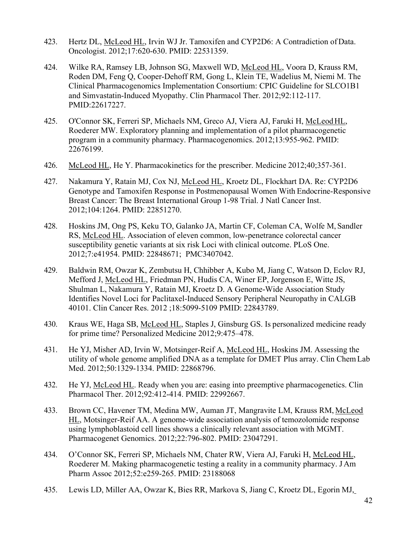- 423. Hertz DL, McLeod HL, Irvin WJ Jr. Tamoxifen and CYP2D6: A Contradiction of Data. Oncologist. 2012;17:620-630. PMID: 22531359.
- 424. Wilke RA, Ramsey LB, Johnson SG, Maxwell WD, McLeod HL, Voora D, Krauss RM, Roden DM, Feng Q, Cooper-Dehoff RM, Gong L, Klein TE, Wadelius M, Niemi M. The Clinical Pharmacogenomics Implementation Consortium: CPIC Guideline for SLCO1B1 and Simvastatin-Induced Myopathy. Clin Pharmacol Ther. 2012;92:112-117. PMID:22617227.
- 425. O'Connor SK, Ferreri SP, Michaels NM, Greco AJ, Viera AJ, Faruki H, McLeodHL, Roederer MW. Exploratory planning and implementation of a pilot pharmacogenetic program in a community pharmacy. Pharmacogenomics. 2012;13:955-962. PMID: 22676199.
- 426. McLeod HL, He Y. Pharmacokinetics for the prescriber. Medicine 2012;40;357-361.
- 427. Nakamura Y, Ratain MJ, Cox NJ, McLeod HL, Kroetz DL, Flockhart DA. Re: CYP2D6 Genotype and Tamoxifen Response in Postmenopausal Women With Endocrine-Responsive Breast Cancer: The Breast International Group 1-98 Trial. J Natl Cancer Inst. 2012;104:1264. PMID: 22851270.
- 428. Hoskins JM, Ong PS, Keku TO, Galanko JA, Martin CF, Coleman CA, Wolfe M, Sandler RS, McLeod HL. Association of eleven common, low-penetrance colorectal cancer susceptibility genetic variants at six risk Loci with clinical outcome. PLoS One. 2012;7:e41954. PMID: 22848671; PMC3407042.
- 429. Baldwin RM, Owzar K, Zembutsu H, Chhibber A, Kubo M, Jiang C, Watson D, Eclov RJ, Mefford J, McLeod HL, Friedman PN, Hudis CA, Winer EP, Jorgenson E, Witte JS, Shulman L, Nakamura Y, Ratain MJ, Kroetz D. A Genome-Wide Association Study Identifies Novel Loci for Paclitaxel-Induced Sensory Peripheral Neuropathy in CALGB 40101. Clin Cancer Res. 2012 ;18:5099-5109 PMID: 22843789.
- 430. Kraus WE, Haga SB, McLeod HL, Staples J, Ginsburg GS. Is personalized medicine ready for prime time? Personalized Medicine 2012;9:475–478.
- 431. He YJ, Misher AD, Irvin W, Motsinger-Reif A, McLeod HL, Hoskins JM. Assessing the utility of whole genome amplified DNA as a template for DMET Plus array. Clin ChemLab Med. 2012;50:1329-1334. PMID: 22868796.
- 432. He YJ, McLeod HL. Ready when you are: easing into preemptive pharmacogenetics. Clin Pharmacol Ther. 2012;92:412-414. PMID: 22992667.
- 433. Brown CC, Havener TM, Medina MW, Auman JT, Mangravite LM, Krauss RM, McLeod HL, Motsinger-Reif AA. A genome-wide association analysis of temozolomide response using lymphoblastoid cell lines shows a clinically relevant association with MGMT. Pharmacogenet Genomics. 2012;22:796-802. PMID: 23047291.
- 434. O'Connor SK, Ferreri SP, Michaels NM, Chater RW, Viera AJ, Faruki H, McLeod HL, Roederer M. Making pharmacogenetic testing a reality in a community pharmacy. J Am Pharm Assoc 2012;52:e259-265. PMID: 23188068
- 435. Lewis LD, Miller AA, Owzar K, Bies RR, Markova S, Jiang C, Kroetz DL, Egorin MJ,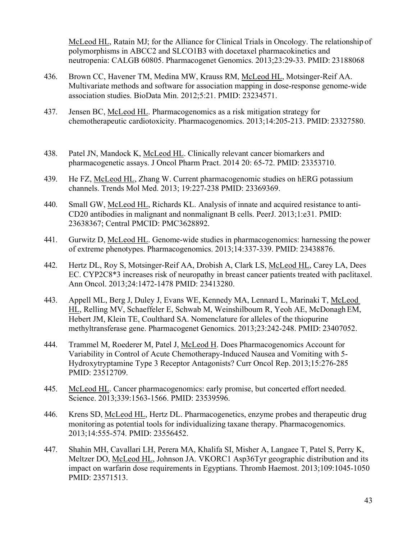McLeod HL, Ratain MJ; for the Alliance for Clinical Trials in Oncology. The relationship of polymorphisms in ABCC2 and SLCO1B3 with docetaxel pharmacokinetics and neutropenia: CALGB 60805. Pharmacogenet Genomics. 2013;23:29-33. PMID: 23188068

- 436. Brown CC, Havener TM, Medina MW, Krauss RM, McLeod HL, Motsinger-Reif AA. Multivariate methods and software for association mapping in dose-response genome-wide association studies. BioData Min. 2012;5:21. PMID: 23234571.
- 437. Jensen BC, McLeod HL. Pharmacogenomics as a risk mitigation strategy for chemotherapeutic cardiotoxicity. Pharmacogenomics. 2013;14:205-213. PMID: 23327580.
- 438. Patel JN, Mandock K, McLeod HL. Clinically relevant cancer biomarkers and pharmacogenetic assays. J Oncol Pharm Pract. 2014 20: 65-72. PMID: 23353710.
- 439. He FZ, McLeod HL, Zhang W. Current pharmacogenomic studies on hERG potassium channels. Trends Mol Med. 2013; 19:227-238 PMID: 23369369.
- 440. Small GW, McLeod HL, Richards KL. Analysis of innate and acquired resistance to anti-CD20 antibodies in malignant and nonmalignant B cells. PeerJ. 2013;1:e31. PMID: 23638367; Central PMCID: PMC3628892.
- 441. Gurwitz D, McLeod HL. Genome-wide studies in pharmacogenomics: harnessing the power of extreme phenotypes. Pharmacogenomics. 2013;14:337-339. PMID: 23438876.
- 442. Hertz DL, Roy S, Motsinger-Reif AA, Drobish A, Clark LS, McLeod HL, Carey LA, Dees EC. CYP2C8\*3 increases risk of neuropathy in breast cancer patients treated with paclitaxel. Ann Oncol. 2013;24:1472-1478 PMID: 23413280.
- 443. Appell ML, Berg J, Duley J, Evans WE, Kennedy MA, Lennard L, Marinaki T, McLeod HL, Relling MV, Schaeffeler E, Schwab M, Weinshilboum R, Yeoh AE, McDonaghEM, Hebert JM, Klein TE, Coulthard SA. Nomenclature for alleles of the thiopurine methyltransferase gene. Pharmacogenet Genomics. 2013;23:242-248. PMID: 23407052.
- 444. Trammel M, Roederer M, Patel J, McLeod H. Does Pharmacogenomics Account for Variability in Control of Acute Chemotherapy-Induced Nausea and Vomiting with 5- Hydroxytryptamine Type 3 Receptor Antagonists? Curr Oncol Rep. 2013;15:276-285 PMID: 23512709.
- 445. McLeod HL. Cancer pharmacogenomics: early promise, but concerted effort needed. Science. 2013;339:1563-1566. PMID: 23539596.
- 446. Krens SD, McLeod HL, Hertz DL. Pharmacogenetics, enzyme probes and therapeutic drug monitoring as potential tools for individualizing taxane therapy. Pharmacogenomics. 2013;14:555-574. PMID: 23556452.
- 447. Shahin MH, Cavallari LH, Perera MA, Khalifa SI, Misher A, Langaee T, Patel S, Perry K, Meltzer DO, McLeod HL, Johnson JA. VKORC1 Asp36Tyr geographic distribution and its impact on warfarin dose requirements in Egyptians. Thromb Haemost. 2013;109:1045-1050 PMID: 23571513.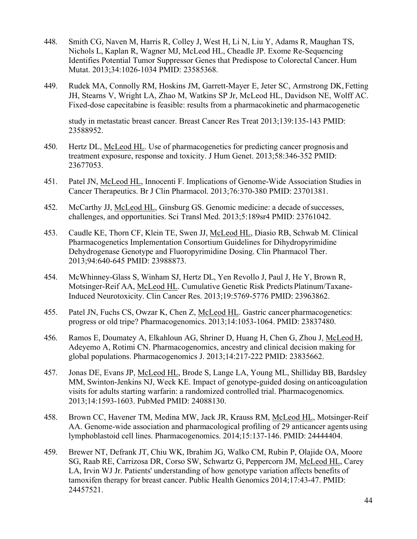- 448. Smith CG, Naven M, Harris R, Colley J, West H, Li N, Liu Y, Adams R, Maughan TS, Nichols L, Kaplan R, Wagner MJ, McLeod HL, Cheadle JP. Exome Re-Sequencing Identifies Potential Tumor Suppressor Genes that Predispose to Colorectal Cancer. Hum Mutat. 2013;34:1026-1034 PMID: 23585368.
- 449. Rudek MA, Connolly RM, Hoskins JM, Garrett-Mayer E, Jeter SC, Armstrong DK, Fetting JH, Stearns V, Wright LA, Zhao M, Watkins SP Jr, McLeod HL, Davidson NE, Wolff AC. Fixed-dose capecitabine is feasible: results from a pharmacokinetic and pharmacogenetic

study in metastatic breast cancer. Breast Cancer Res Treat 2013;139:135-143 PMID: 23588952.

- 450. Hertz DL, McLeod HL. Use of pharmacogenetics for predicting cancer prognosis and treatment exposure, response and toxicity. J Hum Genet. 2013;58:346-352 PMID: 23677053.
- 451. Patel JN, McLeod HL, Innocenti F. Implications of Genome-Wide Association Studies in Cancer Therapeutics. Br J Clin Pharmacol. 2013;76:370-380 PMID: 23701381.
- 452. McCarthy JJ, McLeod HL, Ginsburg GS. Genomic medicine: a decade ofsuccesses, challenges, and opportunities. Sci Transl Med. 2013;5:189sr4 PMID: 23761042.
- 453. Caudle KE, Thorn CF, Klein TE, Swen JJ, McLeod HL, Diasio RB, Schwab M. Clinical Pharmacogenetics Implementation Consortium Guidelines for Dihydropyrimidine Dehydrogenase Genotype and Fluoropyrimidine Dosing. Clin Pharmacol Ther. 2013;94:640-645 PMID: 23988873.
- 454. McWhinney-Glass S, Winham SJ, Hertz DL, Yen Revollo J, Paul J, He Y, Brown R, Motsinger-Reif AA, McLeod HL. Cumulative Genetic Risk Predicts Platinum/Taxane-Induced Neurotoxicity. Clin Cancer Res. 2013;19:5769-5776 PMID: 23963862.
- 455. Patel JN, Fuchs CS, Owzar K, Chen Z, McLeod HL. Gastric cancer pharmacogenetics: progress or old tripe? Pharmacogenomics. 2013;14:1053-1064. PMID: 23837480.
- 456. Ramos E, Doumatey A, Elkahloun AG, Shriner D, Huang H, Chen G, Zhou J, McLeod H, Adeyemo A, Rotimi CN. Pharmacogenomics, ancestry and clinical decision making for global populations. Pharmacogenomics J. 2013;14:217-222 PMID: 23835662.
- 457. Jonas DE, Evans JP, McLeod HL, Brode S, Lange LA, Young ML, Shilliday BB, Bardsley MM, Swinton-Jenkins NJ, Weck KE. Impact of genotype-guided dosing on anticoagulation visits for adults starting warfarin: a randomized controlled trial. Pharmacogenomics. 2013;14:1593-1603. PubMed PMID: 24088130.
- 458. Brown CC, Havener TM, Medina MW, Jack JR, Krauss RM, McLeod HL, Motsinger-Reif AA. Genome-wide association and pharmacological profiling of 29 anticancer agents using lymphoblastoid cell lines. Pharmacogenomics. 2014;15:137-146. PMID: 24444404.
- 459. Brewer NT, Defrank JT, Chiu WK, Ibrahim JG, Walko CM, Rubin P, Olajide OA, Moore SG, Raab RE, Carrizosa DR, Corso SW, Schwartz G, Peppercorn JM, McLeod HL, Carey LA, Irvin WJ Jr. Patients' understanding of how genotype variation affects benefits of tamoxifen therapy for breast cancer. Public Health Genomics 2014;17:43-47. PMID: 24457521.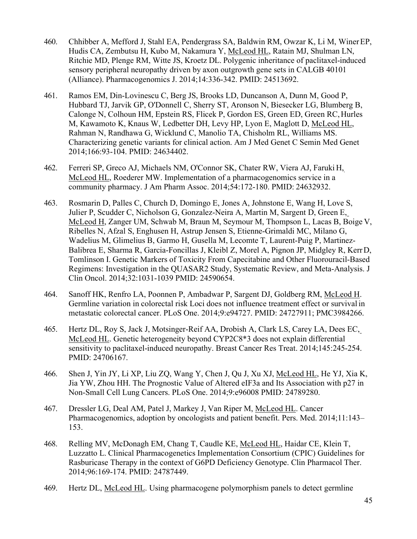- 460. Chhibber A, Mefford J, Stahl EA, Pendergrass SA, Baldwin RM, Owzar K, Li M, WinerEP, Hudis CA, Zembutsu H, Kubo M, Nakamura Y, McLeod HL, Ratain MJ, Shulman LN, Ritchie MD, Plenge RM, Witte JS, Kroetz DL. Polygenic inheritance of paclitaxel-induced sensory peripheral neuropathy driven by axon outgrowth gene sets in CALGB 40101 (Alliance). Pharmacogenomics J. 2014;14:336-342. PMID: 24513692.
- 461. Ramos EM, Din-Lovinescu C, Berg JS, Brooks LD, Duncanson A, Dunn M, Good P, Hubbard TJ, Jarvik GP, O'Donnell C, Sherry ST, Aronson N, Biesecker LG, Blumberg B, Calonge N, Colhoun HM, Epstein RS, Flicek P, Gordon ES, Green ED, Green RC,Hurles M, Kawamoto K, Knaus W, Ledbetter DH, Levy HP, Lyon E, Maglott D, McLeod HL, Rahman N, Randhawa G, Wicklund C, Manolio TA, Chisholm RL, Williams MS. Characterizing genetic variants for clinical action. Am J Med Genet C Semin Med Genet 2014;166:93-104. PMID: 24634402.
- 462. Ferreri SP, Greco AJ, Michaels NM, O'Connor SK, Chater RW, Viera AJ, Faruki H, McLeod HL, Roederer MW. Implementation of a pharmacogenomics service in a community pharmacy. J Am Pharm Assoc. 2014;54:172-180. PMID: 24632932.
- 463. Rosmarin D, Palles C, Church D, Domingo E, Jones A, Johnstone E, Wang H, Love S, Julier P, Scudder C, Nicholson G, Gonzalez-Neira A, Martin M, Sargent D, Green E, McLeod H, Zanger UM, Schwab M, Braun M, Seymour M, Thompson L, Lacas B, Boige V, Ribelles N, Afzal S, Enghusen H, Astrup Jensen S, Etienne-Grimaldi MC, Milano G, Wadelius M, Glimelius B, Garmo H, Gusella M, Lecomte T, Laurent-Puig P, Martinez-Balibrea E, Sharma R, Garcia-Foncillas J, Kleibl Z, Morel A, Pignon JP, Midgley R, KerrD, Tomlinson I. Genetic Markers of Toxicity From Capecitabine and Other Fluorouracil-Based Regimens: Investigation in the QUASAR2 Study, Systematic Review, and Meta-Analysis. J Clin Oncol. 2014;32:1031-1039 PMID: 24590654.
- 464. Sanoff HK, Renfro LA, Poonnen P, Ambadwar P, Sargent DJ, Goldberg RM, McLeod H. Germline variation in colorectal risk Loci does not influence treatment effect or survival in metastatic colorectal cancer. PLoS One. 2014;9:e94727. PMID: 24727911; PMC3984266.
- 465. Hertz DL, Roy S, Jack J, Motsinger-Reif AA, Drobish A, Clark LS, Carey LA, Dees EC, McLeod HL. Genetic heterogeneity beyond CYP2C8\*3 does not explain differential sensitivity to paclitaxel-induced neuropathy. Breast Cancer Res Treat. 2014;145:245-254. PMID: 24706167.
- 466. Shen J, Yin JY, Li XP, Liu ZQ, Wang Y, Chen J, Qu J, Xu XJ, McLeod HL, He YJ, Xia K, Jia YW, Zhou HH. The Prognostic Value of Altered eIF3a and Its Association with p27 in Non-Small Cell Lung Cancers. PLoS One. 2014;9:e96008 PMID: 24789280.
- 467. Dressler LG, Deal AM, Patel J, Markey J, Van Riper M, McLeod HL. Cancer Pharmacogenomics, adoption by oncologists and patient benefit. Pers. Med. 2014;11:143– 153.
- 468. Relling MV, McDonagh EM, Chang T, Caudle KE, McLeod HL, Haidar CE, Klein T, Luzzatto L. Clinical Pharmacogenetics Implementation Consortium (CPIC) Guidelines for Rasburicase Therapy in the context of G6PD Deficiency Genotype. Clin Pharmacol Ther. 2014;96:169-174. PMID: 24787449.
- 469. Hertz DL, McLeod HL. Using pharmacogene polymorphism panels to detect germline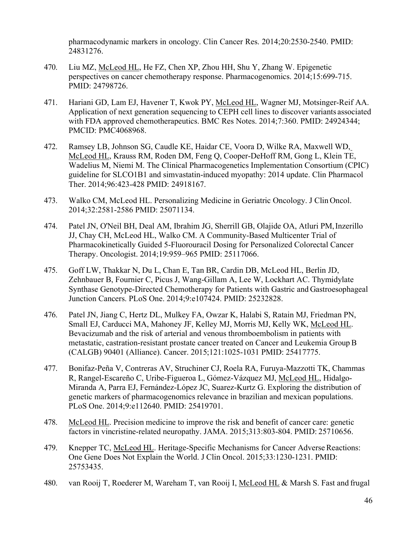pharmacodynamic markers in oncology. Clin Cancer Res. 2014;20:2530-2540. PMID: 24831276.

- 470. Liu MZ, McLeod HL, He FZ, Chen XP, Zhou HH, Shu Y, Zhang W. Epigenetic perspectives on cancer chemotherapy response. Pharmacogenomics. 2014;15:699-715. PMID: 24798726.
- 471. Hariani GD, Lam EJ, Havener T, Kwok PY, McLeod HL, Wagner MJ, Motsinger-Reif AA. Application of next generation sequencing to CEPH cell lines to discover variants associated with FDA approved chemotherapeutics. BMC Res Notes. 2014;7:360. PMID: 24924344; PMCID: PMC4068968.
- 472. Ramsey LB, Johnson SG, Caudle KE, Haidar CE, Voora D, Wilke RA, Maxwell WD, McLeod HL, Krauss RM, Roden DM, Feng Q, Cooper-DeHoff RM, Gong L, Klein TE, Wadelius M, Niemi M. The Clinical Pharmacogenetics Implementation Consortium (CPIC) guideline for SLCO1B1 and simvastatin-induced myopathy: 2014 update. Clin Pharmacol Ther. 2014;96:423-428 PMID: 24918167.
- 473. Walko CM, McLeod HL. Personalizing Medicine in Geriatric Oncology. J Clin Oncol. 2014;32:2581-2586 PMID: 25071134.
- 474. Patel JN, O'Neil BH, Deal AM, Ibrahim JG, Sherrill GB, Olajide OA, Atluri PM,Inzerillo JJ, Chay CH, McLeod HL, Walko CM. A Community-Based Multicenter Trial of Pharmacokinetically Guided 5-Fluorouracil Dosing for Personalized Colorectal Cancer Therapy. Oncologist. 2014;19:959–965 PMID: 25117066.
- 475. Goff LW, Thakkar N, Du L, Chan E, Tan BR, Cardin DB, McLeod HL, Berlin JD, Zehnbauer B, Fournier C, Picus J, Wang-Gillam A, Lee W, Lockhart AC. Thymidylate Synthase Genotype-Directed Chemotherapy for Patients with Gastric and Gastroesophageal Junction Cancers. PLoS One. 2014;9:e107424. PMID: 25232828.
- 476. Patel JN, Jiang C, Hertz DL, Mulkey FA, Owzar K, Halabi S, Ratain MJ, Friedman PN, Small EJ, Carducci MA, Mahoney JF, Kelley MJ, Morris MJ, Kelly WK, McLeod HL. Bevacizumab and the risk of arterial and venous thromboembolism in patients with metastatic, castration-resistant prostate cancer treated on Cancer and Leukemia GroupB (CALGB) 90401 (Alliance). Cancer. 2015;121:1025-1031 PMID: 25417775.
- 477. Bonifaz-Peña V, Contreras AV, Struchiner CJ, Roela RA, Furuya-Mazzotti TK, Chammas R, Rangel-Escareño C, Uribe-Figueroa L, Gómez-Vázquez MJ, McLeod HL, Hidalgo-Miranda A, Parra EJ, Fernández-López JC, Suarez-Kurtz G. Exploring the distribution of genetic markers of pharmacogenomics relevance in brazilian and mexican populations. PLoS One. 2014;9:e112640. PMID: 25419701.
- 478. McLeod HL. Precision medicine to improve the risk and benefit of cancer care: genetic factors in vincristine-related neuropathy. JAMA. 2015;313:803-804. PMID: 25710656.
- 479. Knepper TC, McLeod HL. Heritage-Specific Mechanisms for Cancer Adverse Reactions: One Gene Does Not Explain the World. J Clin Oncol. 2015;33:1230-1231. PMID: 25753435.
- 480. van Rooij T, Roederer M, Wareham T, van Rooij I, McLeod HL & Marsh S. Fast and frugal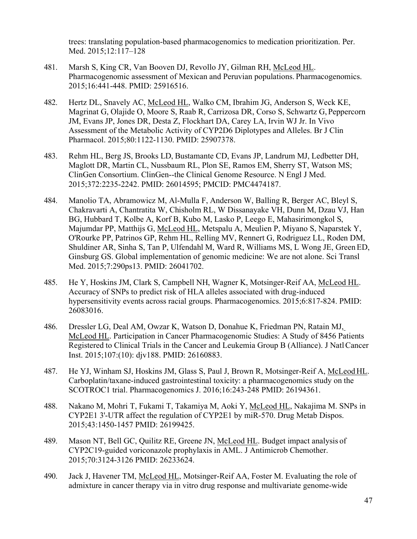trees: translating population-based pharmacogenomics to medication prioritization. Per. Med. 2015;12:117–128

- 481. Marsh S, King CR, Van Booven DJ, Revollo JY, Gilman RH, McLeod HL. Pharmacogenomic assessment of Mexican and Peruvian populations. Pharmacogenomics. 2015;16:441-448. PMID: 25916516.
- 482. Hertz DL, Snavely AC, McLeod HL, Walko CM, Ibrahim JG, Anderson S, Weck KE, Magrinat G, Olajide O, Moore S, Raab R, Carrizosa DR, Corso S, Schwartz G, Peppercorn JM, Evans JP, Jones DR, Desta Z, Flockhart DA, Carey LA, Irvin WJ Jr. In Vivo Assessment of the Metabolic Activity of CYP2D6 Diplotypes and Alleles. Br J Clin Pharmacol. 2015;80:1122-1130. PMID: 25907378.
- 483. Rehm HL, Berg JS, Brooks LD, Bustamante CD, Evans JP, Landrum MJ, Ledbetter DH, Maglott DR, Martin CL, Nussbaum RL, Plon SE, Ramos EM, Sherry ST, Watson MS; ClinGen Consortium. ClinGen--the Clinical Genome Resource. N Engl J Med. 2015;372:2235-2242. PMID: 26014595; PMCID: PMC4474187.
- 484. Manolio TA, Abramowicz M, Al-Mulla F, Anderson W, Balling R, Berger AC, Bleyl S, Chakravarti A, Chantratita W, Chisholm RL, W Dissanayake VH, Dunn M, Dzau VJ, Han BG, Hubbard T, Kolbe A, Korf B, Kubo M, Lasko P, Leego E, Mahasirimongkol S, Majumdar PP, Matthijs G, McLeod HL, Metspalu A, Meulien P, Miyano S, Naparstek Y, O'Rourke PP, Patrinos GP, Rehm HL, Relling MV, Rennert G, Rodriguez LL, Roden DM, Shuldiner AR, Sinha S, Tan P, Ulfendahl M, Ward R, Williams MS, L Wong JE, GreenED, Ginsburg GS. Global implementation of genomic medicine: We are not alone. Sci Transl Med. 2015;7:290ps13. PMID: 26041702.
- 485. He Y, Hoskins JM, Clark S, Campbell NH, Wagner K, Motsinger-Reif AA, McLeod HL. Accuracy of SNPs to predict risk of HLA alleles associated with drug-induced hypersensitivity events across racial groups. Pharmacogenomics. 2015;6:817-824. PMID: 26083016.
- 486. Dressler LG, Deal AM, Owzar K, Watson D, Donahue K, Friedman PN, Ratain MJ, McLeod HL. Participation in Cancer Pharmacogenomic Studies: A Study of 8456 Patients Registered to Clinical Trials in the Cancer and Leukemia Group B (Alliance). J NatlCancer Inst. 2015;107:(10): djv188. PMID: 26160883.
- 487. He YJ, Winham SJ, Hoskins JM, Glass S, Paul J, Brown R, Motsinger-Reif A, McLeod HL. Carboplatin/taxane-induced gastrointestinal toxicity: a pharmacogenomics study on the SCOTROC1 trial. Pharmacogenomics J. 2016;16:243-248 PMID: 26194361.
- 488. Nakano M, Mohri T, Fukami T, Takamiya M, Aoki Y, McLeod HL, Nakajima M. SNPs in CYP2E1 3'-UTR affect the regulation of CYP2E1 by miR-570. Drug Metab Dispos. 2015;43:1450-1457 PMID: 26199425.
- 489. Mason NT, Bell GC, Quilitz RE, Greene JN, McLeod HL. Budget impact analysis of CYP2C19-guided voriconazole prophylaxis in AML. J Antimicrob Chemother. 2015;70:3124-3126 PMID: 26233624.
- 490. Jack J, Havener TM, McLeod HL, Motsinger-Reif AA, Foster M. Evaluating the role of admixture in cancer therapy via in vitro drug response and multivariate genome-wide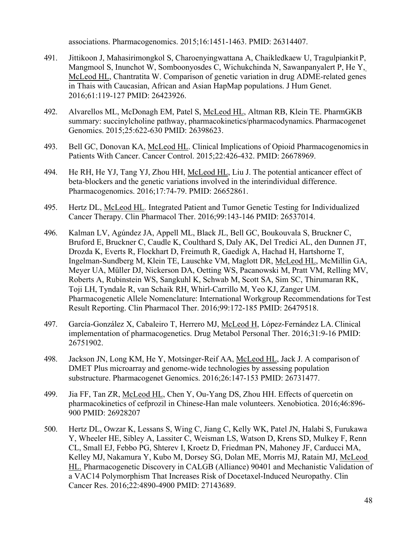associations. Pharmacogenomics. 2015;16:1451-1463. PMID: 26314407.

- 491. Jittikoon J, Mahasirimongkol S, Charoenyingwattana A, Chaikledkaew U, Tragulpiankit P, Mangmool S, Inunchot W, Somboonyosdes C, Wichukchinda N, Sawanpanyalert P, He Y, McLeod HL, Chantratita W. Comparison of genetic variation in drug ADME-related genes in Thais with Caucasian, African and Asian HapMap populations. J Hum Genet. 2016;61:119-127 PMID: 26423926.
- 492. Alvarellos ML, McDonagh EM, Patel S, McLeod HL, Altman RB, Klein TE. PharmGKB summary: succinylcholine pathway, pharmacokinetics/pharmacodynamics. Pharmacogenet Genomics. 2015;25:622-630 PMID: 26398623.
- 493. Bell GC, Donovan KA, McLeod HL. Clinical Implications of Opioid Pharmacogenomicsin Patients With Cancer. Cancer Control. 2015;22:426-432. PMID: 26678969.
- 494. He RH, He YJ, Tang YJ, Zhou HH, McLeod HL, Liu J. The potential anticancer effect of beta-blockers and the genetic variations involved in the interindividual difference. Pharmacogenomics. 2016;17:74-79. PMID: 26652861.
- 495. Hertz DL, McLeod HL. Integrated Patient and Tumor Genetic Testing for Individualized Cancer Therapy. Clin Pharmacol Ther. 2016;99:143-146 PMID: 26537014.
- 496. Kalman LV, Agúndez JA, Appell ML, Black JL, Bell GC, Boukouvala S, Bruckner C, Bruford E, Bruckner C, Caudle K, Coulthard S, Daly AK, Del Tredici AL, den Dunnen JT, Drozda K, Everts R, Flockhart D, Freimuth R, Gaedigk A, Hachad H, Hartshorne T, Ingelman-Sundberg M, Klein TE, Lauschke VM, Maglott DR, McLeod HL, McMillin GA, Meyer UA, Müller DJ, Nickerson DA, Oetting WS, Pacanowski M, Pratt VM, Relling MV, Roberts A, Rubinstein WS, Sangkuhl K, Schwab M, Scott SA, Sim SC, Thirumaran RK, Toji LH, Tyndale R, van Schaik RH, Whirl-Carrillo M, Yeo KJ, Zanger UM. Pharmacogenetic Allele Nomenclature: International Workgroup Recommendations forTest Result Reporting. Clin Pharmacol Ther. 2016;99:172-185 PMID: 26479518.
- 497. García-González X, Cabaleiro T, Herrero MJ, McLeod H, López-Fernández LA.Clinical implementation of pharmacogenetics. Drug Metabol Personal Ther. 2016;31:9-16 PMID: 26751902.
- 498. Jackson JN, Long KM, He Y, Motsinger-Reif AA, McLeod HL, Jack J. A comparison of DMET Plus microarray and genome-wide technologies by assessing population substructure. Pharmacogenet Genomics. 2016;26:147-153 PMID: 26731477.
- 499. Jia FF, Tan ZR, McLeod HL, Chen Y, Ou-Yang DS, Zhou HH. Effects of quercetin on pharmacokinetics of cefprozil in Chinese-Han male volunteers. Xenobiotica. 2016;46:896- 900 PMID: 26928207
- 500. Hertz DL, Owzar K, Lessans S, Wing C, Jiang C, Kelly WK, Patel JN, Halabi S, Furukawa Y, Wheeler HE, Sibley A, Lassiter C, Weisman LS, Watson D, Krens SD, Mulkey F, Renn CL, Small EJ, Febbo PG, Shterev I, Kroetz D, Friedman PN, Mahoney JF, Carducci MA, Kelley MJ, Nakamura Y, Kubo M, Dorsey SG, Dolan ME, Morris MJ, Ratain MJ, McLeod HL. Pharmacogenetic Discovery in CALGB (Alliance) 90401 and Mechanistic Validation of a VAC14 Polymorphism That Increases Risk of Docetaxel-Induced Neuropathy. Clin Cancer Res. 2016;22:4890-4900 PMID: 27143689.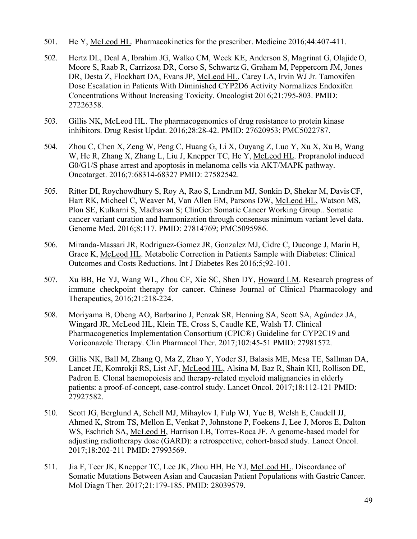- 501. He Y, McLeod HL. Pharmacokinetics for the prescriber. Medicine 2016;44:407-411.
- 502. Hertz DL, Deal A, Ibrahim JG, Walko CM, Weck KE, Anderson S, Magrinat G, OlajideO, Moore S, Raab R, Carrizosa DR, Corso S, Schwartz G, Graham M, Peppercorn JM, Jones DR, Desta Z, Flockhart DA, Evans JP, McLeod HL, Carey LA, Irvin WJ Jr. Tamoxifen Dose Escalation in Patients With Diminished CYP2D6 Activity Normalizes Endoxifen Concentrations Without Increasing Toxicity. Oncologist 2016;21:795-803. PMID: 27226358.
- 503. Gillis NK, McLeod HL. The pharmacogenomics of drug resistance to protein kinase inhibitors. Drug Resist Updat. 2016;28:28-42. PMID: 27620953; PMC5022787.
- 504. Zhou C, Chen X, Zeng W, Peng C, Huang G, Li X, Ouyang Z, Luo Y, Xu X, Xu B, Wang W, He R, Zhang X, Zhang L, Liu J, Knepper TC, He Y, McLeod HL. Propranolol induced G0/G1/S phase arrest and apoptosis in melanoma cells via AKT/MAPK pathway. Oncotarget. 2016;7:68314-68327 PMID: 27582542.
- 505. Ritter DI, Roychowdhury S, Roy A, Rao S, Landrum MJ, Sonkin D, Shekar M, DavisCF, Hart RK, Micheel C, Weaver M, Van Allen EM, Parsons DW, McLeod HL, Watson MS, Plon SE, Kulkarni S, Madhavan S; ClinGen Somatic Cancer Working Group.. Somatic cancer variant curation and harmonization through consensus minimum variant level data. Genome Med. 2016;8:117. PMID: 27814769; PMC5095986.
- 506. Miranda-Massari JR, Rodriguez-Gomez JR, Gonzalez MJ, Cidre C, Duconge J, Marin H, Grace K, McLeod HL. Metabolic Correction in Patients Sample with Diabetes: Clinical Outcomes and Costs Reductions. Int J Diabetes Res 2016;5;92-101.
- 507. Xu BB, He YJ, Wang WL, Zhou CF, Xie SC, Shen DY, Howard LM. Research progress of immune checkpoint therapy for cancer. Chinese Journal of Clinical Pharmacology and Therapeutics, 2016;21:218-224.
- 508. Moriyama B, Obeng AO, Barbarino J, Penzak SR, Henning SA, Scott SA, Agúndez JA, Wingard JR, McLeod HL, Klein TE, Cross S, Caudle KE, Walsh TJ. Clinical Pharmacogenetics Implementation Consortium (CPIC®) Guideline for CYP2C19 and Voriconazole Therapy. Clin Pharmacol Ther. 2017;102:45-51 PMID: 27981572.
- 509. Gillis NK, Ball M, Zhang Q, Ma Z, Zhao Y, Yoder SJ, Balasis ME, Mesa TE, Sallman DA, Lancet JE, Komrokji RS, List AF, McLeod HL, Alsina M, Baz R, Shain KH, Rollison DE, Padron E. Clonal haemopoiesis and therapy-related myeloid malignancies in elderly patients: a proof-of-concept, case-control study. Lancet Oncol. 2017;18:112-121 PMID: 27927582.
- 510. Scott JG, Berglund A, Schell MJ, Mihaylov I, Fulp WJ, Yue B, Welsh E, Caudell JJ, Ahmed K, Strom TS, Mellon E, Venkat P, Johnstone P, Foekens J, Lee J, Moros E, Dalton WS, Eschrich SA, McLeod H, Harrison LB, Torres-Roca JF. A genome-based model for adjusting radiotherapy dose (GARD): a retrospective, cohort-based study. Lancet Oncol. 2017;18:202-211 PMID: 27993569.
- 511. Jia F, Teer JK, Knepper TC, Lee JK, Zhou HH, He YJ, McLeod HL. Discordance of Somatic Mutations Between Asian and Caucasian Patient Populations with GastricCancer. Mol Diagn Ther. 2017;21:179-185. PMID: 28039579.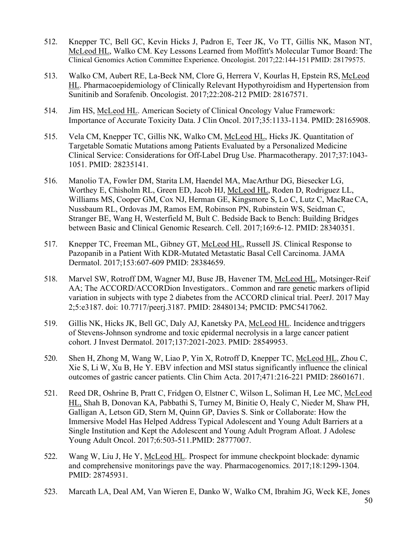- 512. Knepper TC, Bell GC, Kevin Hicks J, Padron E, Teer JK, Vo TT, Gillis NK, Mason NT, McLeod HL, Walko CM. Key Lessons Learned from Moffitt's Molecular Tumor Board: The Clinical Genomics Action Committee Experience. Oncologist. 2017;22:144-151PMID: 28179575.
- 513. Walko CM, Aubert RE, La-Beck NM, Clore G, Herrera V, Kourlas H, Epstein RS, McLeod HL. Pharmacoepidemiology of Clinically Relevant Hypothyroidism and Hypertension from Sunitinib and Sorafenib. Oncologist. 2017;22:208-212 PMID: 28167571.
- 514. Jim HS, McLeod HL. American Society of Clinical Oncology Value Framework: Importance of Accurate Toxicity Data. J Clin Oncol. 2017;35:1133-1134. PMID: 28165908.
- 515. Vela CM, Knepper TC, Gillis NK, Walko CM, McLeod HL, Hicks JK. Quantitation of Targetable Somatic Mutations among Patients Evaluated by a Personalized Medicine Clinical Service: Considerations for Off-Label Drug Use. Pharmacotherapy. 2017;37:1043- 1051. PMID: 28235141.
- 516. Manolio TA, Fowler DM, Starita LM, Haendel MA, MacArthur DG, Biesecker LG, Worthey E, Chisholm RL, Green ED, Jacob HJ, McLeod HL, Roden D, Rodriguez LL, Williams MS, Cooper GM, Cox NJ, Herman GE, Kingsmore S, Lo C, Lutz C, MacRaeCA, Nussbaum RL, Ordovas JM, Ramos EM, Robinson PN, Rubinstein WS, Seidman C, Stranger BE, Wang H, Westerfield M, Bult C. Bedside Back to Bench: Building Bridges between Basic and Clinical Genomic Research. Cell. 2017;169:6-12. PMID: 28340351.
- 517. Knepper TC, Freeman ML, Gibney GT, McLeod HL, Russell JS. Clinical Response to Pazopanib in a Patient With KDR-Mutated Metastatic Basal Cell Carcinoma. JAMA Dermatol. 2017;153:607-609 PMID: 28384659.
- 518. Marvel SW, Rotroff DM, Wagner MJ, Buse JB, Havener TM, McLeod HL, Motsinger-Reif AA; The ACCORD/ACCORDion Investigators.. Common and rare genetic markers oflipid variation in subjects with type 2 diabetes from the ACCORD clinical trial. PeerJ. 2017 May 2;5:e3187. doi: 10.7717/peerj.3187. PMID: 28480134; PMCID: PMC5417062.
- 519. Gillis NK, Hicks JK, Bell GC, Daly AJ, Kanetsky PA, McLeod HL. Incidence and triggers of Stevens-Johnson syndrome and toxic epidermal necrolysis in a large cancer patient cohort. J Invest Dermatol. 2017;137:2021-2023. PMID: 28549953.
- 520. Shen H, Zhong M, Wang W, Liao P, Yin X, Rotroff D, Knepper TC, McLeod HL, Zhou C, Xie S, Li W, Xu B, He Y. EBV infection and MSI status significantly influence the clinical outcomes of gastric cancer patients. Clin Chim Acta. 2017;471:216-221 PMID: 28601671.
- 521. Reed DR, Oshrine B, Pratt C, Fridgen O, Elstner C, Wilson L, Soliman H, Lee MC, McLeod HL, Shah B, Donovan KA, Pabbathi S, Turney M, Binitie O, Healy C, Nieder M, Shaw PH, Galligan A, Letson GD, Stern M, Quinn GP, Davies S. Sink or Collaborate: How the Immersive Model Has Helped Address Typical Adolescent and Young Adult Barriers at a Single Institution and Kept the Adolescent and Young Adult Program Afloat. J Adolesc Young Adult Oncol. 2017;6:503-511.PMID: 28777007.
- 522. Wang W, Liu J, He Y, McLeod HL. Prospect for immune checkpoint blockade: dynamic and comprehensive monitorings pave the way. Pharmacogenomics. 2017;18:1299-1304. PMID: 28745931.
- 523. Marcath LA, Deal AM, Van Wieren E, Danko W, Walko CM, Ibrahim JG, Weck KE, Jones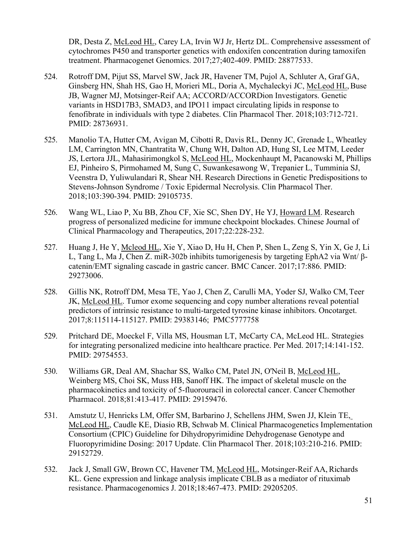DR, Desta Z, McLeod HL, Carey LA, Irvin WJ Jr, Hertz DL. Comprehensive assessment of cytochromes P450 and transporter genetics with endoxifen concentration during tamoxifen treatment. Pharmacogenet Genomics. 2017;27;402-409. PMID: 28877533.

- 524. Rotroff DM, Pijut SS, Marvel SW, Jack JR, Havener TM, Pujol A, Schluter A, Graf GA, Ginsberg HN, Shah HS, Gao H, Morieri ML, Doria A, Mychaleckyi JC, McLeod HL, Buse JB, Wagner MJ, Motsinger-Reif AA; ACCORD/ACCORDion Investigators. Genetic variants in HSD17B3, SMAD3, and IPO11 impact circulating lipids in response to fenofibrate in individuals with type 2 diabetes. Clin Pharmacol Ther. 2018;103:712-721. PMID: 28736931.
- 525. Manolio TA, Hutter CM, Avigan M, Cibotti R, Davis RL, Denny JC, Grenade L, Wheatley LM, Carrington MN, Chantratita W, Chung WH, Dalton AD, Hung SI, Lee MTM, Leeder JS, Lertora JJL, Mahasirimongkol S, McLeod HL, Mockenhaupt M, Pacanowski M, Phillips EJ, Pinheiro S, Pirmohamed M, Sung C, Suwankesawong W, Trepanier L, Tumminia SJ, Veenstra D, Yuliwulandari R, Shear NH. Research Directions in Genetic Predispositions to Stevens-Johnson Syndrome / Toxic Epidermal Necrolysis. Clin Pharmacol Ther. 2018;103:390-394. PMID: 29105735.
- 526. Wang WL, Liao P, Xu BB, Zhou CF, Xie SC, Shen DY, He YJ, Howard LM. Research progress of personalized medicine for immune checkpoint blockades. Chinese Journal of Clinical Pharmacology and Therapeutics, 2017;22:228-232.
- 527. Huang J, He Y, Mcleod HL, Xie Y, Xiao D, Hu H, Chen P, Shen L, Zeng S, Yin X, Ge J, Li L, Tang L, Ma J, Chen Z. miR-302b inhibits tumorigenesis by targeting EphA2 via Wnt/ βcatenin/EMT signaling cascade in gastric cancer. BMC Cancer. 2017;17:886. PMID: 29273006.
- 528. Gillis NK, Rotroff DM, Mesa TE, Yao J, Chen Z, Carulli MA, Yoder SJ, Walko CM,Teer JK, McLeod HL. Tumor exome sequencing and copy number alterations reveal potential predictors of intrinsic resistance to multi-targeted tyrosine kinase inhibitors. Oncotarget. 2017;8:115114-115127. PMID: 29383146; PMC5777758
- 529. Pritchard DE, Moeckel F, Villa MS, Housman LT, McCarty CA, McLeod HL. Strategies for integrating personalized medicine into healthcare practice. Per Med. 2017;14:141-152. PMID: 29754553.
- 530. Williams GR, Deal AM, Shachar SS, Walko CM, Patel JN, O'Neil B, McLeod HL, Weinberg MS, Choi SK, Muss HB, Sanoff HK. The impact of skeletal muscle on the pharmacokinetics and toxicity of 5-fluorouracil in colorectal cancer. Cancer Chemother Pharmacol. 2018;81:413-417. PMID: 29159476.
- 531. Amstutz U, Henricks LM, Offer SM, Barbarino J, Schellens JHM, Swen JJ, Klein TE, McLeod HL, Caudle KE, Diasio RB, Schwab M. Clinical Pharmacogenetics Implementation Consortium (CPIC) Guideline for Dihydropyrimidine Dehydrogenase Genotype and Fluoropyrimidine Dosing: 2017 Update. Clin Pharmacol Ther. 2018;103:210-216. PMID: 29152729.
- 532. Jack J, Small GW, Brown CC, Havener TM, McLeod HL, Motsinger-Reif AA,Richards KL. Gene expression and linkage analysis implicate CBLB as a mediator of rituximab resistance. Pharmacogenomics J. 2018;18:467-473. PMID: 29205205.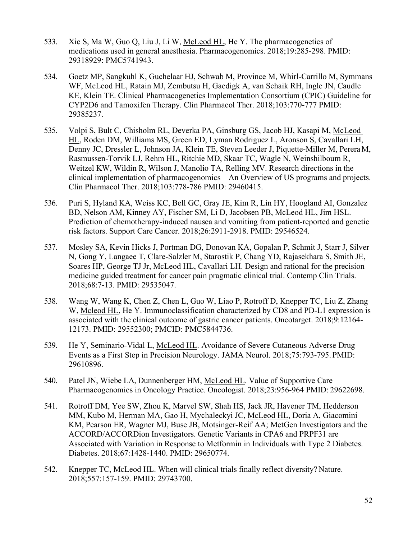- 533. Xie S, Ma W, Guo Q, Liu J, Li W, McLeod HL, He Y. The pharmacogenetics of medications used in general anesthesia. Pharmacogenomics. 2018;19:285-298. PMID: 29318929: PMC5741943.
- 534. Goetz MP, Sangkuhl K, Guchelaar HJ, Schwab M, Province M, Whirl-Carrillo M, Symmans WF, McLeod HL, Ratain MJ, Zembutsu H, Gaedigk A, van Schaik RH, Ingle JN, Caudle KE, Klein TE. Clinical Pharmacogenetics Implementation Consortium (CPIC) Guideline for CYP2D6 and Tamoxifen Therapy. Clin Pharmacol Ther. 2018;103:770-777 PMID: 29385237.
- 535. Volpi S, Bult C, Chisholm RL, Deverka PA, Ginsburg GS, Jacob HJ, Kasapi M, McLeod HL, Roden DM, Williams MS, Green ED, Lyman Rodriguez L, Aronson S, Cavallari LH, Denny JC, Dressler L, Johnson JA, Klein TE, Steven Leeder J, Piquette-Miller M, PereraM, Rasmussen-Torvik LJ, Rehm HL, Ritchie MD, Skaar TC, Wagle N, Weinshilboum R, Weitzel KW, Wildin R, Wilson J, Manolio TA, Relling MV. Research directions in the clinical implementation of pharmacogenomics – An Overview of US programs and projects. Clin Pharmacol Ther. 2018;103:778-786 PMID: 29460415.
- 536. Puri S, Hyland KA, Weiss KC, Bell GC, Gray JE, Kim R, Lin HY, Hoogland AI, Gonzalez BD, Nelson AM, Kinney AY, Fischer SM, Li D, Jacobsen PB, McLeod HL, Jim HSL. Prediction of chemotherapy-induced nausea and vomiting from patient-reported and genetic risk factors. Support Care Cancer. 2018;26:2911-2918. PMID: 29546524.
- 537. Mosley SA, Kevin Hicks J, Portman DG, Donovan KA, Gopalan P, Schmit J, Starr J, Silver N, Gong Y, Langaee T, Clare-Salzler M, Starostik P, Chang YD, Rajasekhara S, Smith JE, Soares HP, George TJ Jr, McLeod HL, Cavallari LH. Design and rational for the precision medicine guided treatment for cancer pain pragmatic clinical trial. Contemp Clin Trials. 2018;68:7-13. PMID: 29535047.
- 538. Wang W, Wang K, Chen Z, Chen L, Guo W, Liao P, Rotroff D, Knepper TC, Liu Z, Zhang W, Mcleod HL, He Y. Immunoclassification characterized by CD8 and PD-L1 expression is associated with the clinical outcome of gastric cancer patients. Oncotarget. 2018;9:12164- 12173. PMID: 29552300; PMCID: PMC5844736.
- 539. He Y, Seminario-Vidal L, McLeod HL. Avoidance of Severe Cutaneous Adverse Drug Events as a First Step in Precision Neurology. JAMA Neurol. 2018;75:793-795. PMID: 29610896.
- 540. Patel JN, Wiebe LA, Dunnenberger HM, McLeod HL. Value of Supportive Care Pharmacogenomics in Oncology Practice. Oncologist. 2018;23:956-964 PMID: 29622698.
- 541. Rotroff DM, Yee SW, Zhou K, Marvel SW, Shah HS, Jack JR, Havener TM, Hedderson MM, Kubo M, Herman MA, Gao H, Mychaleckyi JC, McLeod HL, Doria A, Giacomini KM, Pearson ER, Wagner MJ, Buse JB, Motsinger-Reif AA; MetGen Investigators and the ACCORD/ACCORDion Investigators. Genetic Variants in CPA6 and PRPF31 are Associated with Variation in Response to Metformin in Individuals with Type 2 Diabetes. Diabetes. 2018;67:1428-1440. PMID: 29650774.
- 542. Knepper TC, McLeod HL. When will clinical trials finally reflect diversity? Nature. 2018;557:157-159. PMID: 29743700.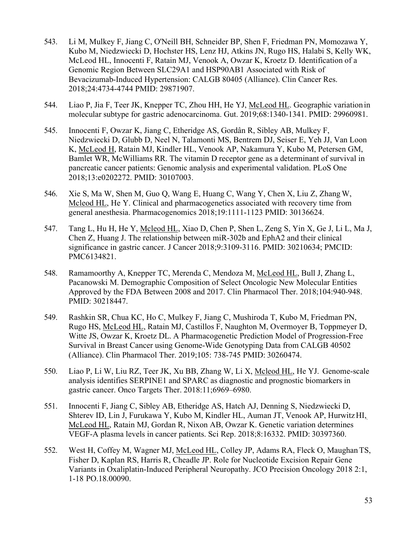- 543. Li M, Mulkey F, Jiang C, O'Neill BH, Schneider BP, Shen F, Friedman PN, Momozawa Y, Kubo M, Niedzwiecki D, Hochster HS, Lenz HJ, Atkins JN, Rugo HS, Halabi S, Kelly WK, McLeod HL, Innocenti F, Ratain MJ, Venook A, Owzar K, Kroetz D. Identification of a Genomic Region Between SLC29A1 and HSP90AB1 Associated with Risk of Bevacizumab-Induced Hypertension: CALGB 80405 (Alliance). Clin Cancer Res. 2018;24:4734-4744 PMID: 29871907.
- 544. Liao P, Jia F, Teer JK, Knepper TC, Zhou HH, He YJ, McLeod HL. Geographic variation in molecular subtype for gastric adenocarcinoma. Gut. 2019;68:1340-1341. PMID: 29960981.
- 545. Innocenti F, Owzar K, Jiang C, Etheridge AS, Gordân R, Sibley AB, Mulkey F, Niedzwiecki D, Glubb D, Neel N, Talamonti MS, Bentrem DJ, Seiser E, Yeh JJ, Van Loon K, McLeod H, Ratain MJ, Kindler HL, Venook AP, Nakamura Y, Kubo M, Petersen GM, Bamlet WR, McWilliams RR. The vitamin D receptor gene as a determinant of survival in pancreatic cancer patients: Genomic analysis and experimental validation. PLoS One 2018;13:e0202272. PMID: 30107003.
- 546. Xie S, Ma W, Shen M, Guo Q, Wang E, Huang C, Wang Y, Chen X, Liu Z, Zhang W, Mcleod HL, He Y. Clinical and pharmacogenetics associated with recovery time from general anesthesia. Pharmacogenomics 2018;19:1111-1123 PMID: 30136624.
- 547. Tang L, Hu H, He Y, Mcleod HL, Xiao D, Chen P, Shen L, Zeng S, Yin X, Ge J, Li L, Ma J, Chen Z, Huang J. The relationship between miR-302b and EphA2 and their clinical significance in gastric cancer. J Cancer 2018;9:3109-3116. PMID: 30210634; PMCID: PMC6134821.
- 548. Ramamoorthy A, Knepper TC, Merenda C, Mendoza M, McLeod HL, Bull J, Zhang L, Pacanowski M. Demographic Composition of Select Oncologic New Molecular Entities Approved by the FDA Between 2008 and 2017. Clin Pharmacol Ther. 2018;104:940-948. PMID: 30218447.
- 549. Rashkin SR, Chua KC, Ho C, Mulkey F, Jiang C, Mushiroda T, Kubo M, Friedman PN, Rugo HS, McLeod HL, Ratain MJ, Castillos F, Naughton M, Overmoyer B, Toppmeyer D, Witte JS, Owzar K, Kroetz DL. A Pharmacogenetic Prediction Model of Progression-Free Survival in Breast Cancer using Genome-Wide Genotyping Data from CALGB 40502 (Alliance). Clin Pharmacol Ther. 2019;105: 738-745 PMID: 30260474.
- 550. Liao P, Li W, Liu RZ, Teer JK, Xu BB, Zhang W, Li X, Mcleod HL, He YJ. Genome-scale analysis identifies SERPINE1 and SPARC as diagnostic and prognostic biomarkers in gastric cancer. Onco Targets Ther. 2018:11;6969–6980.
- 551. Innocenti F, Jiang C, Sibley AB, Etheridge AS, Hatch AJ, Denning S, Niedzwiecki D, Shterev ID, Lin J, Furukawa Y, Kubo M, Kindler HL, Auman JT, Venook AP, HurwitzHI, McLeod HL, Ratain MJ, Gordan R, Nixon AB, Owzar K. Genetic variation determines VEGF-A plasma levels in cancer patients. Sci Rep. 2018;8:16332. PMID: 30397360.
- 552. West H, Coffey M, Wagner MJ, McLeod HL, Colley JP, Adams RA, Fleck O, MaughanTS, Fisher D, Kaplan RS, Harris R, Cheadle JP. Role for Nucleotide Excision Repair Gene Variants in Oxaliplatin-Induced Peripheral Neuropathy. JCO Precision Oncology 2018 2:1, 1-18 PO.18.00090.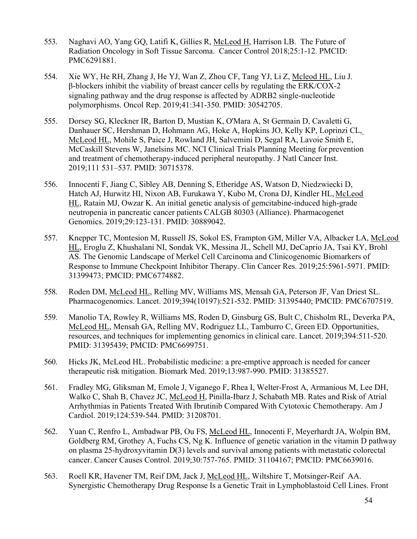- 553. Naghavi AO, Yang GQ, Latifi K, Gillies R, McLeod H, Harrison LB. The Future of Radiation Oncology in Soft Tissue Sarcoma. Cancer Control 2018;25:1-12. PMCID: PMC6291881.
- 554. Xie WY, He RH, Zhang J, He YJ, Wan Z, Zhou CF, Tang YJ, Li Z, Mcleod HL, Liu J. β-blockers inhibit the viability of breast cancer cells by regulating the ERK/COX-2 signaling pathway and the drug response is affected by ADRB2 single-nucleotide polymorphisms. Oncol Rep. 2019;41:341-350. PMID: 30542705.
- 555. Dorsey SG, Kleckner IR, Barton D, Mustian K, O'Mara A, St Germain D, Cavaletti G, Danhauer SC, Hershman D, Hohmann AG, Hoke A, Hopkins JO, Kelly KP, Loprinzi CL, McLeod HL, Mohile S, Paice J, Rowland JH, Salvemini D, Segal RA, Lavoie Smith E, McCaskill Stevens W, Janelsins MC. NCI Clinical Trials Planning Meeting for prevention and treatment of chemotherapy-induced peripheral neuropathy. J Natl Cancer Inst. 2019;111 531–537. PMID: 30715378.
- 556. Innocenti F, Jiang C, Sibley AB, Denning S, Etheridge AS, Watson D, Niedzwiecki D, Hatch AJ, Hurwitz HI, Nixon AB, Furukawa Y, Kubo M, Crona DJ, Kindler HL, McLeod HL, Ratain MJ, Owzar K. An initial genetic analysis of gemcitabine-induced high-grade neutropenia in pancreatic cancer patients CALGB 80303 (Alliance). Pharmacogenet Genomics. 2019;29:123-131. PMID: 30889042.
- 557. Knepper TC, Montesion M, Russell JS, Sokol ES, Frampton GM, Miller VA, Albacker LA, McLeod HL, Eroglu Z, Khushalani NI, Sondak VK, Messina JL, Schell MJ, DeCaprio JA, Tsai KY, Brohl AS. The Genomic Landscape of Merkel Cell Carcinoma and Clinicogenomic Biomarkers of Response to Immune Checkpoint Inhibitor Therapy. Clin Cancer Res. 2019;25:5961-5971. PMID: 31399473; PMCID: PMC6774882.
- 558. Roden DM, McLeod HL, Relling MV, Williams MS, Mensah GA, Peterson JF, Van Driest SL. Pharmacogenomics. Lancet. 2019;394(10197):521-532. PMID: 31395440; PMCID: PMC6707519.
- 559. Manolio TA, Rowley R, Williams MS, Roden D, Ginsburg GS, Bult C, Chisholm RL, Deverka PA, McLeod HL, Mensah GA, Relling MV, Rodriguez LL, Tamburro C, Green ED. Opportunities, resources, and techniques for implementing genomics in clinical care. Lancet. 2019;394:511-520. PMID: 31395439; PMCID: PMC6699751.
- 560. Hicks JK, McLeod HL. Probabilistic medicine: a pre-emptive approach is needed for cancer therapeutic risk mitigation. Biomark Med. 2019;13:987-990. PMID: 31385527.
- 561. Fradley MG, Gliksman M, Emole J, Viganego F, Rhea I, Welter-Frost A, Armanious M, Lee DH, Walko C, Shah B, Chavez JC, McLeod H, Pinilla-Ibarz J, Schabath MB. Rates and Risk of Atrial Arrhythmias in Patients Treated With Ibrutinib Compared With Cytotoxic Chemotherapy. Am J Cardiol. 2019;124:539-544. PMID: 31208701.
- 562. Yuan C, Renfro L, Ambadwar PB, Ou FS, McLeod HL, Innocenti F, Meyerhardt JA, Wolpin BM, Goldberg RM, Grothey A, Fuchs CS, Ng K. Influence of genetic variation in the vitamin D pathway on plasma 25-hydroxyvitamin D(3) levels and survival among patients with metastatic colorectal cancer. Cancer Causes Control. 2019;30:757-765. PMID: 31104167; PMCID: PMC6639016.
- 563. Roell KR, Havener TM, Reif DM, Jack J, McLeod HL, Wiltshire T, Motsinger-Reif AA. Synergistic Chemotherapy Drug Response Is a Genetic Trait in Lymphoblastoid Cell Lines. Front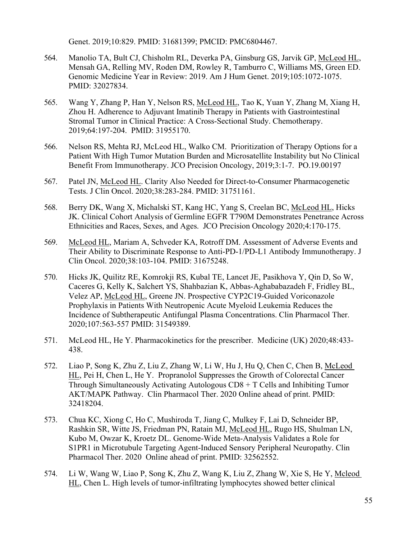Genet. 2019;10:829. PMID: 31681399; PMCID: PMC6804467.

- 564. Manolio TA, Bult CJ, Chisholm RL, Deverka PA, Ginsburg GS, Jarvik GP, McLeod HL, Mensah GA, Relling MV, Roden DM, Rowley R, Tamburro C, Williams MS, Green ED. Genomic Medicine Year in Review: 2019. Am J Hum Genet. 2019;105:1072-1075. PMID: 32027834.
- 565. Wang Y, Zhang P, Han Y, Nelson RS, McLeod HL, Tao K, Yuan Y, Zhang M, Xiang H, Zhou H. Adherence to Adjuvant Imatinib Therapy in Patients with Gastrointestinal Stromal Tumor in Clinical Practice: A Cross-Sectional Study. Chemotherapy. 2019;64:197-204. PMID: 31955170.
- 566. Nelson RS, Mehta RJ, McLeod HL, Walko CM. Prioritization of Therapy Options for a Patient With High Tumor Mutation Burden and Microsatellite Instability but No Clinical Benefit From Immunotherapy. JCO Precision Oncology, 2019;3:1-7. PO.19.00197
- 567. Patel JN, McLeod HL. Clarity Also Needed for Direct-to-Consumer Pharmacogenetic Tests. J Clin Oncol. 2020;38:283-284. PMID: 31751161.
- 568. Berry DK, Wang X, Michalski ST, Kang HC, Yang S, Creelan BC, McLeod HL, Hicks JK. Clinical Cohort Analysis of Germline EGFR T790M Demonstrates Penetrance Across Ethnicities and Races, Sexes, and Ages. JCO Precision Oncology 2020;4:170-175.
- 569. McLeod HL, Mariam A, Schveder KA, Rotroff DM. Assessment of Adverse Events and Their Ability to Discriminate Response to Anti-PD-1/PD-L1 Antibody Immunotherapy. J Clin Oncol. 2020;38:103-104. PMID: 31675248.
- 570. Hicks JK, Quilitz RE, Komrokji RS, Kubal TE, Lancet JE, Pasikhova Y, Qin D, So W, Caceres G, Kelly K, Salchert YS, Shahbazian K, Abbas-Aghababazadeh F, Fridley BL, Velez AP, McLeod HL, Greene JN. Prospective CYP2C19-Guided Voriconazole Prophylaxis in Patients With Neutropenic Acute Myeloid Leukemia Reduces the Incidence of Subtherapeutic Antifungal Plasma Concentrations. Clin Pharmacol Ther. 2020;107:563-557 PMID: 31549389.
- 571. McLeod HL, He Y. Pharmacokinetics for the prescriber. Medicine (UK) 2020;48:433- 438.
- 572. Liao P, Song K, Zhu Z, Liu Z, Zhang W, Li W, Hu J, Hu Q, Chen C, Chen B, McLeod HL, Pei H, Chen L, He Y. Propranolol Suppresses the Growth of Colorectal Cancer Through Simultaneously Activating Autologous CD8 + T Cells and Inhibiting Tumor AKT/MAPK Pathway. Clin Pharmacol Ther. 2020 Online ahead of print. PMID: 32418204.
- 573. Chua KC, Xiong C, Ho C, Mushiroda T, Jiang C, Mulkey F, Lai D, Schneider BP, Rashkin SR, Witte JS, Friedman PN, Ratain MJ, McLeod HL, Rugo HS, Shulman LN, Kubo M, Owzar K, Kroetz DL. Genome-Wide Meta-Analysis Validates a Role for S1PR1 in Microtubule Targeting Agent-Induced Sensory Peripheral Neuropathy. Clin Pharmacol Ther. 2020 Online ahead of print. PMID: 32562552.
- 574. Li W, Wang W, Liao P, Song K, Zhu Z, Wang K, Liu Z, Zhang W, Xie S, He Y, Mcleod HL, Chen L. High levels of tumor-infiltrating lymphocytes showed better clinical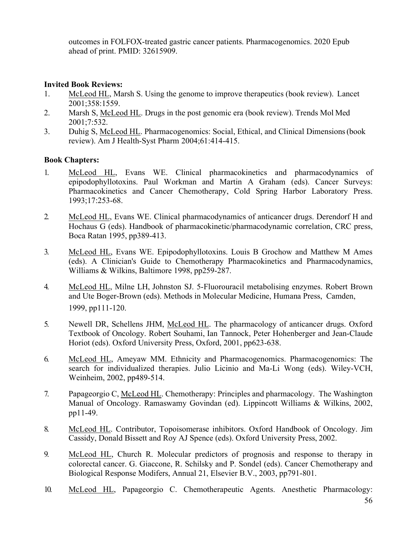outcomes in FOLFOX-treated gastric cancer patients. Pharmacogenomics. 2020 Epub ahead of print. PMID: 32615909.

# **Invited Book Reviews:**

- 1. McLeod HL, Marsh S. Using the genome to improve therapeutics (book review). Lancet 2001;358:1559.
- 2. Marsh S, McLeod HL. Drugs in the post genomic era (book review). Trends Mol Med 2001;7:532.
- 3. Duhig S, McLeod HL. Pharmacogenomics: Social, Ethical, and Clinical Dimensions(book review). Am J Health-Syst Pharm 2004;61:414-415.

# **Book Chapters:**

- 1. McLeod HL, Evans WE. Clinical pharmacokinetics and pharmacodynamics of epipodophyllotoxins. Paul Workman and Martin A Graham (eds). Cancer Surveys: Pharmacokinetics and Cancer Chemotherapy, Cold Spring Harbor Laboratory Press. 1993;17:253-68.
- 2. McLeod HL, Evans WE. Clinical pharmacodynamics of anticancer drugs. Derendorf H and Hochaus G (eds). Handbook of pharmacokinetic/pharmacodynamic correlation, CRC press, Boca Ratan 1995, pp389-413.
- 3. McLeod HL, Evans WE. Epipodophyllotoxins. Louis B Grochow and Matthew M Ames (eds). A Clinician's Guide to Chemotherapy Pharmacokinetics and Pharmacodynamics, Williams & Wilkins, Baltimore 1998, pp259-287.
- 4. McLeod HL, Milne LH, Johnston SJ. 5-Fluorouracil metabolising enzymes. Robert Brown and Ute Boger-Brown (eds). Methods in Molecular Medicine, Humana Press, Camden, 1999, pp111-120.
- 5. Newell DR, Schellens JHM, McLeod HL. The pharmacology of anticancer drugs. Oxford Textbook of Oncology. Robert Souhami, Ian Tannock, Peter Hohenberger and Jean-Claude Horiot (eds). Oxford University Press, Oxford, 2001, pp623-638.
- 6. McLeod HL, Ameyaw MM. Ethnicity and Pharmacogenomics. Pharmacogenomics: The search for individualized therapies. Julio Licinio and Ma-Li Wong (eds). Wiley-VCH, Weinheim, 2002, pp489-514.
- 7. Papageorgio C, McLeod HL. Chemotherapy: Principles and pharmacology. The Washington Manual of Oncology. Ramaswamy Govindan (ed). Lippincott Williams & Wilkins, 2002, pp11-49.
- 8. McLeod HL. Contributor, Topoisomerase inhibitors. Oxford Handbook of Oncology. Jim Cassidy, Donald Bissett and Roy AJ Spence (eds). Oxford University Press, 2002.
- 9. McLeod HL, Church R. Molecular predictors of prognosis and response to therapy in colorectal cancer. G. Giaccone, R. Schilsky and P. Sondel (eds). Cancer Chemotherapy and Biological Response Modifers, Annual 21, Elsevier B.V., 2003, pp791-801.
- 10. McLeod HL, Papageorgio C. Chemotherapeutic Agents. Anesthetic Pharmacology: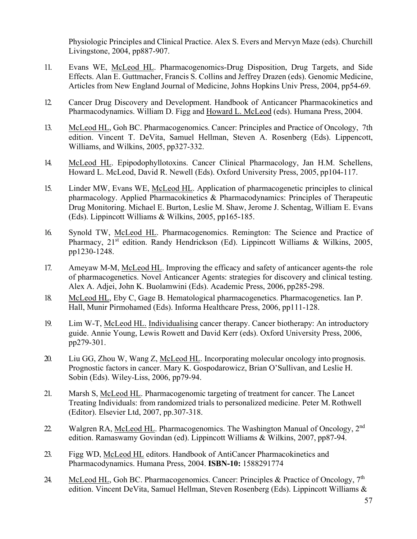Physiologic Principles and Clinical Practice. Alex S. Evers and Mervyn Maze (eds). Churchill Livingstone, 2004, pp887-907.

- 11. Evans WE, McLeod HL. Pharmacogenomics-Drug Disposition, Drug Targets, and Side Effects. Alan E. Guttmacher, Francis S. Collins and Jeffrey Drazen (eds). Genomic Medicine, Articles from New England Journal of Medicine, Johns Hopkins Univ Press, 2004, pp54-69.
- 12. Cancer Drug Discovery and Development. Handbook of Anticancer Pharmacokinetics and Pharmacodynamics. William D. Figg and Howard L. McLeod (eds). Humana Press, 2004.
- 13. McLeod HL, Goh BC. Pharmacogenomics. Cancer: Principles and Practice of Oncology, 7th edition. Vincent T. DeVita, Samuel Hellman, Steven A. Rosenberg (Eds). Lippencott, Williams, and Wilkins, 2005, pp327-332.
- 14. McLeod HL. Epipodophyllotoxins. Cancer Clinical Pharmacology, Jan H.M. Schellens, Howard L. McLeod, David R. Newell (Eds). Oxford University Press, 2005, pp104-117.
- 15. Linder MW, Evans WE, McLeod HL. Application of pharmacogenetic principles to clinical pharmacology. Applied Pharmacokinetics & Pharmacodynamics: Principles of Therapeutic Drug Monitoring. Michael E. Burton, Leslie M. Shaw, Jerome J. Schentag, William E. Evans (Eds). Lippincott Williams & Wilkins, 2005, pp165-185.
- 16. Synold TW, McLeod HL. Pharmacogenomics. Remington: The Science and Practice of Pharmacy, 21<sup>st</sup> edition. Randy Hendrickson (Ed). Lippincott Williams & Wilkins, 2005, pp1230-1248.
- 17. Ameyaw M-M, McLeod HL. Improving the efficacy and safety of anticancer agents-the role of pharmacogenetics. Novel Anticancer Agents: strategies for discovery and clinical testing. Alex A. Adjei, John K. Buolamwini (Eds). Academic Press, 2006, pp285-298.
- 18. McLeod HL, Eby C, Gage B. Hematological pharmacogenetics. Pharmacogenetics. Ian P. Hall, Munir Pirmohamed (Eds). Informa Healthcare Press, 2006, pp111-128.
- 19. Lim W-T, McLeod HL. Individualising cancer therapy. Cancer biotherapy: An introductory guide. Annie Young, Lewis Rowett and David Kerr (eds). Oxford University Press, 2006, pp279-301.
- 20. Liu GG, Zhou W, Wang Z, McLeod HL. Incorporating molecular oncology into prognosis. Prognostic factors in cancer. Mary K. Gospodarowicz, Brian O'Sullivan, and Leslie H. Sobin (Eds). Wiley-Liss, 2006, pp79-94.
- 21. Marsh S, McLeod HL. Pharmacogenomic targeting of treatment for cancer. The Lancet Treating Individuals: from randomized trials to personalized medicine. Peter M.Rothwell (Editor). Elsevier Ltd, 2007, pp.307-318.
- 22. Walgren RA, McLeod HL. Pharmacogenomics. The Washington Manual of Oncology,  $2^{nd}$ edition. Ramaswamy Govindan (ed). Lippincott Williams & Wilkins, 2007, pp87-94.
- 23. Figg WD, McLeod HL editors. Handbook of AntiCancer Pharmacokinetics and Pharmacodynamics. Humana Press, 2004. **ISBN-10:** 1588291774
- 24. McLeod HL, Goh BC. Pharmacogenomics. Cancer: Principles & Practice of Oncology, 7<sup>th</sup> edition. Vincent DeVita, Samuel Hellman, Steven Rosenberg (Eds). Lippincott Williams &